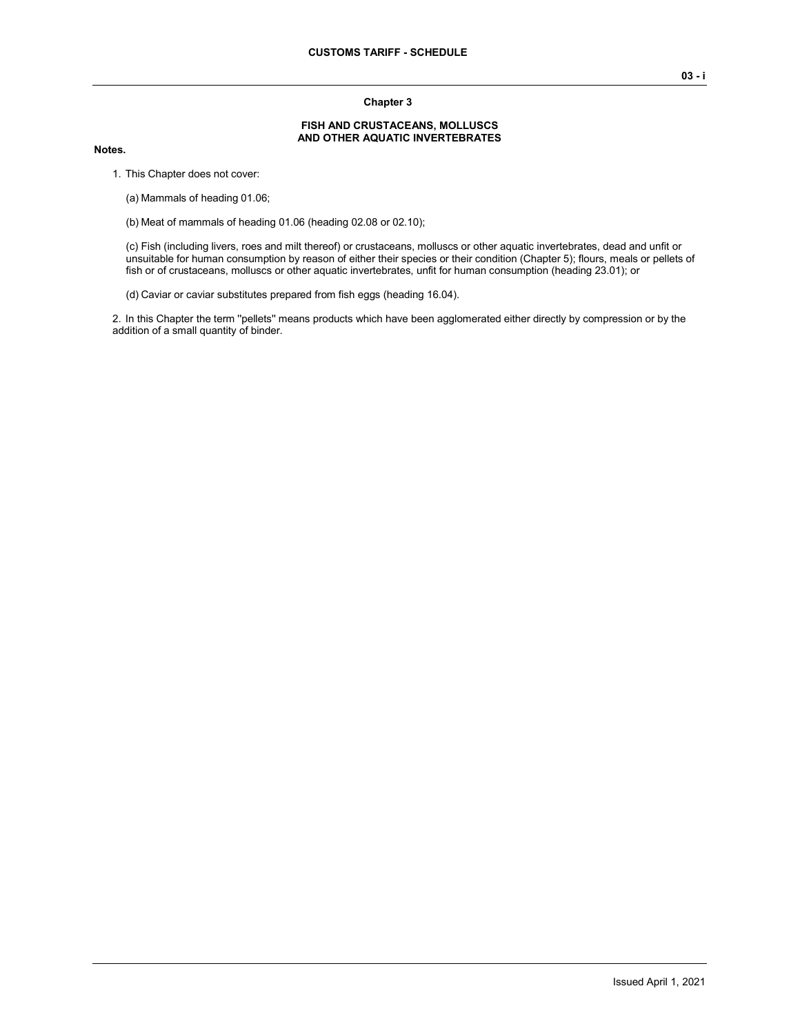#### **Chapter 3**

#### **FISH AND CRUSTACEANS, MOLLUSCS AND OTHER AQUATIC INVERTEBRATES**

#### **Notes.**

1. This Chapter does not cover:

(a) Mammals of heading 01.06;

(b) Meat of mammals of heading 01.06 (heading 02.08 or 02.10);

(c) Fish (including livers, roes and milt thereof) or crustaceans, molluscs or other aquatic invertebrates, dead and unfit or unsuitable for human consumption by reason of either their species or their condition (Chapter 5); flours, meals or pellets of fish or of crustaceans, molluscs or other aquatic invertebrates, unfit for human consumption (heading 23.01); or

(d) Caviar or caviar substitutes prepared from fish eggs (heading 16.04).

2. In this Chapter the term ''pellets'' means products which have been agglomerated either directly by compression or by the addition of a small quantity of binder.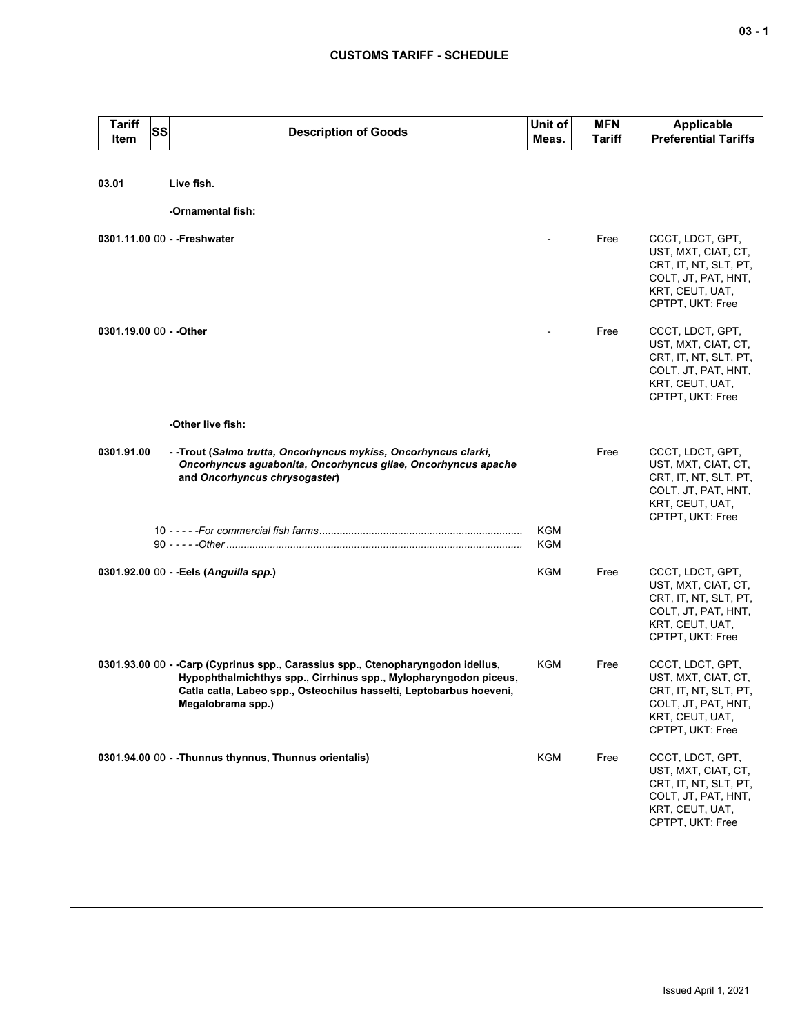| <b>Tariff</b><br>Item   | <b>SS</b> | <b>Description of Goods</b>                                                                                                                                                                                                                      | Unit of<br>Meas. | <b>MFN</b><br>Tariff | <b>Applicable</b><br><b>Preferential Tariffs</b>                                                                               |
|-------------------------|-----------|--------------------------------------------------------------------------------------------------------------------------------------------------------------------------------------------------------------------------------------------------|------------------|----------------------|--------------------------------------------------------------------------------------------------------------------------------|
| 03.01                   |           | Live fish.                                                                                                                                                                                                                                       |                  |                      |                                                                                                                                |
|                         |           | -Ornamental fish:                                                                                                                                                                                                                                |                  |                      |                                                                                                                                |
|                         |           | 0301.11.00 00 - - Freshwater                                                                                                                                                                                                                     |                  | Free                 | CCCT, LDCT, GPT,<br>UST, MXT, CIAT, CT,<br>CRT, IT, NT, SLT, PT,<br>COLT, JT, PAT, HNT,<br>KRT, CEUT, UAT,<br>CPTPT, UKT: Free |
| 0301.19.00 00 - - Other |           |                                                                                                                                                                                                                                                  |                  | Free                 | CCCT, LDCT, GPT,<br>UST, MXT, CIAT, CT,<br>CRT, IT, NT, SLT, PT,<br>COLT, JT, PAT, HNT,<br>KRT, CEUT, UAT,<br>CPTPT, UKT: Free |
|                         |           | -Other live fish:                                                                                                                                                                                                                                |                  |                      |                                                                                                                                |
| 0301.91.00              |           | - -Trout (Salmo trutta, Oncorhyncus mykiss, Oncorhyncus clarki,<br>Oncorhyncus aguabonita, Oncorhyncus gilae, Oncorhyncus apache<br>and Oncorhyncus chrysogaster)                                                                                |                  | Free                 | CCCT, LDCT, GPT,<br>UST, MXT, CIAT, CT,<br>CRT, IT, NT, SLT, PT,<br>COLT, JT, PAT, HNT,<br>KRT, CEUT, UAT,<br>CPTPT, UKT: Free |
|                         |           |                                                                                                                                                                                                                                                  | KGM<br>KGM       |                      |                                                                                                                                |
|                         |           | 0301.92.00 00 - - Eels (Anguilla spp.)                                                                                                                                                                                                           | KGM              | Free                 | CCCT, LDCT, GPT,<br>UST, MXT, CIAT, CT,<br>CRT, IT, NT, SLT, PT,<br>COLT, JT, PAT, HNT,<br>KRT, CEUT, UAT,<br>CPTPT, UKT: Free |
|                         |           | 0301.93.00 00 - - Carp (Cyprinus spp., Carassius spp., Ctenopharyngodon idellus,<br>Hypophthalmichthys spp., Cirrhinus spp., Mylopharyngodon piceus,<br>Catla catla, Labeo spp., Osteochilus hasselti, Leptobarbus hoeveni,<br>Megalobrama spp.) | <b>KGM</b>       | Free                 | CCCT, LDCT, GPT,<br>UST, MXT, CIAT, CT,<br>CRT, IT, NT, SLT, PT,<br>COLT, JT, PAT, HNT,<br>KRT, CEUT, UAT,<br>CPTPT, UKT: Free |
|                         |           | 0301.94.00 00 - - Thunnus thynnus, Thunnus orientalis)                                                                                                                                                                                           | <b>KGM</b>       | Free                 | CCCT, LDCT, GPT,<br>UST, MXT, CIAT, CT,<br>CRT, IT, NT, SLT, PT,<br>COLT, JT, PAT, HNT,<br>KRT, CEUT, UAT,<br>CPTPT, UKT: Free |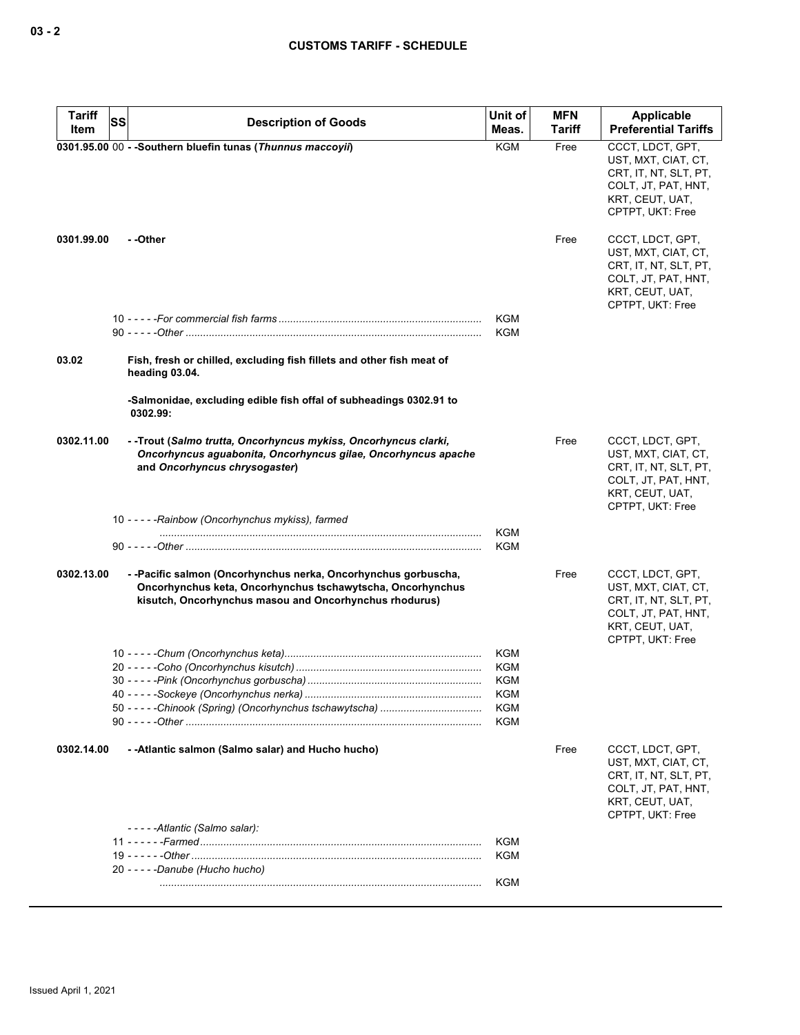| <b>Tariff</b><br>Item | SS<br><b>Description of Goods</b>                                                                                                                                                     | Unit of<br>Meas.         | <b>MFN</b><br>Tariff | <b>Applicable</b><br><b>Preferential Tariffs</b>                                                                               |
|-----------------------|---------------------------------------------------------------------------------------------------------------------------------------------------------------------------------------|--------------------------|----------------------|--------------------------------------------------------------------------------------------------------------------------------|
|                       | 0301.95.00 00 - - Southern bluefin tunas (Thunnus maccoyii)                                                                                                                           | <b>KGM</b>               | Free                 | CCCT, LDCT, GPT,<br>UST, MXT, CIAT, CT,<br>CRT, IT, NT, SLT, PT,<br>COLT, JT, PAT, HNT,<br>KRT, CEUT, UAT,<br>CPTPT, UKT: Free |
| 0301.99.00            | - -Other                                                                                                                                                                              |                          | Free                 | CCCT, LDCT, GPT,<br>UST, MXT, CIAT, CT,<br>CRT, IT, NT, SLT, PT,<br>COLT, JT, PAT, HNT,<br>KRT, CEUT, UAT,<br>CPTPT, UKT: Free |
|                       |                                                                                                                                                                                       | <b>KGM</b><br><b>KGM</b> |                      |                                                                                                                                |
| 03.02                 | Fish, fresh or chilled, excluding fish fillets and other fish meat of<br>heading 03.04.                                                                                               |                          |                      |                                                                                                                                |
|                       | -Salmonidae, excluding edible fish offal of subheadings 0302.91 to<br>0302.99:                                                                                                        |                          |                      |                                                                                                                                |
| 0302.11.00            | - -Trout (Salmo trutta, Oncorhyncus mykiss, Oncorhyncus clarki,<br>Oncorhyncus aguabonita, Oncorhyncus gilae, Oncorhyncus apache<br>and Oncorhyncus chrysogaster)                     |                          | Free                 | CCCT, LDCT, GPT,<br>UST, MXT, CIAT, CT,<br>CRT, IT, NT, SLT, PT,<br>COLT, JT, PAT, HNT,<br>KRT, CEUT, UAT,<br>CPTPT, UKT: Free |
|                       | 10 - - - - - Rainbow (Oncorhynchus mykiss), farmed                                                                                                                                    | <b>KGM</b>               |                      |                                                                                                                                |
|                       |                                                                                                                                                                                       | <b>KGM</b>               |                      |                                                                                                                                |
| 0302.13.00            | --Pacific salmon (Oncorhynchus nerka, Oncorhynchus gorbuscha,<br>Oncorhynchus keta, Oncorhynchus tschawytscha, Oncorhynchus<br>kisutch, Oncorhynchus masou and Oncorhynchus rhodurus) |                          | Free                 | CCCT, LDCT, GPT,<br>UST, MXT, CIAT, CT,<br>CRT, IT, NT, SLT, PT,<br>COLT, JT, PAT, HNT,<br>KRT, CEUT, UAT,<br>CPTPT, UKT: Free |
|                       |                                                                                                                                                                                       | KGM                      |                      |                                                                                                                                |
|                       |                                                                                                                                                                                       | <b>KGM</b><br><b>KGM</b> |                      |                                                                                                                                |
|                       |                                                                                                                                                                                       | KGM                      |                      |                                                                                                                                |
|                       |                                                                                                                                                                                       | KGM                      |                      |                                                                                                                                |
|                       |                                                                                                                                                                                       | KGM                      |                      |                                                                                                                                |
| 0302.14.00            | - - Atlantic salmon (Salmo salar) and Hucho hucho)                                                                                                                                    |                          | Free                 | CCCT, LDCT, GPT,<br>UST, MXT, CIAT, CT,<br>CRT, IT, NT, SLT, PT,<br>COLT, JT, PAT, HNT,<br>KRT, CEUT, UAT,<br>CPTPT, UKT: Free |
|                       | -----Atlantic (Salmo salar):                                                                                                                                                          | KGM                      |                      |                                                                                                                                |
|                       |                                                                                                                                                                                       | <b>KGM</b>               |                      |                                                                                                                                |
|                       | 20 - - - - - Danube (Hucho hucho)                                                                                                                                                     |                          |                      |                                                                                                                                |
|                       |                                                                                                                                                                                       | <b>KGM</b>               |                      |                                                                                                                                |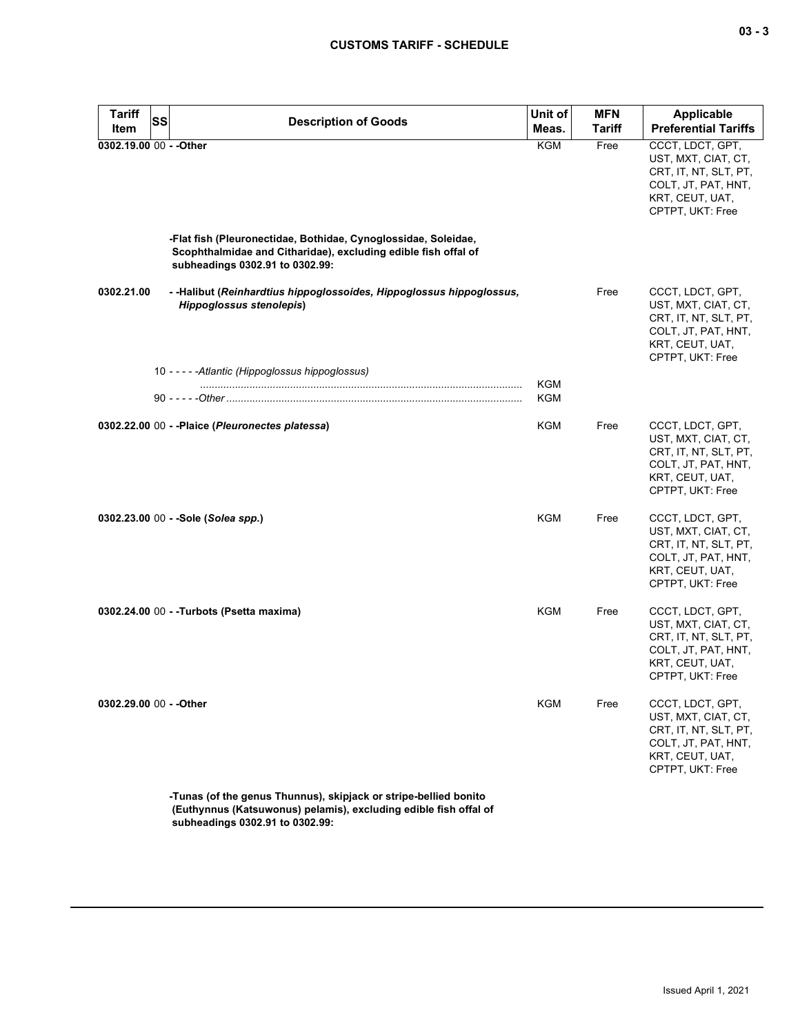| <b>Tariff</b>           | <b>SS</b><br><b>Description of Goods</b>                                                                                                                            | Unit of                  | <b>MFN</b>    | <b>Applicable</b>                                                                                                              |
|-------------------------|---------------------------------------------------------------------------------------------------------------------------------------------------------------------|--------------------------|---------------|--------------------------------------------------------------------------------------------------------------------------------|
| Item                    |                                                                                                                                                                     | Meas.                    | <b>Tariff</b> | <b>Preferential Tariffs</b>                                                                                                    |
| 0302.19.00 00 - - Other |                                                                                                                                                                     | KGM                      | Free          | CCCT, LDCT, GPT,<br>UST, MXT, CIAT, CT,<br>CRT, IT, NT, SLT, PT,<br>COLT, JT, PAT, HNT,<br>KRT, CEUT, UAT,<br>CPTPT, UKT: Free |
|                         | -Flat fish (Pleuronectidae, Bothidae, Cynoglossidae, Soleidae,<br>Scophthalmidae and Citharidae), excluding edible fish offal of<br>subheadings 0302.91 to 0302.99: |                          |               |                                                                                                                                |
| 0302.21.00              | - -Halibut (Reinhardtius hippoglossoides, Hippoglossus hippoglossus,<br><b>Hippoglossus stenolepis)</b>                                                             |                          | Free          | CCCT, LDCT, GPT,<br>UST, MXT, CIAT, CT,<br>CRT, IT, NT, SLT, PT,<br>COLT, JT, PAT, HNT,<br>KRT, CEUT, UAT,<br>CPTPT, UKT: Free |
|                         | 10 - - - - - Atlantic (Hippoglossus hippoglossus)                                                                                                                   |                          |               |                                                                                                                                |
|                         |                                                                                                                                                                     | <b>KGM</b><br><b>KGM</b> |               |                                                                                                                                |
|                         | 0302.22.00 00 - -Plaice (Pleuronectes platessa)                                                                                                                     | KGM                      | Free          | CCCT, LDCT, GPT,<br>UST, MXT, CIAT, CT,<br>CRT, IT, NT, SLT, PT,<br>COLT, JT, PAT, HNT,<br>KRT, CEUT, UAT,<br>CPTPT, UKT: Free |
|                         | 0302.23.00 00 - -Sole (Solea spp.)                                                                                                                                  | KGM                      | Free          | CCCT, LDCT, GPT,<br>UST, MXT, CIAT, CT,<br>CRT, IT, NT, SLT, PT,<br>COLT, JT, PAT, HNT,<br>KRT, CEUT, UAT,<br>CPTPT, UKT: Free |
|                         | 0302.24.00 00 - - Turbots (Psetta maxima)                                                                                                                           | <b>KGM</b>               | Free          | CCCT, LDCT, GPT,<br>UST, MXT, CIAT, CT,<br>CRT, IT, NT, SLT, PT,<br>COLT, JT, PAT, HNT,<br>KRT, CEUT, UAT,<br>CPTPT, UKT: Free |
| 0302.29.00 00 - - Other |                                                                                                                                                                     | <b>KGM</b>               | Free          | CCCT, LDCT, GPT,<br>UST, MXT, CIAT, CT,<br>CRT, IT, NT, SLT, PT,<br>COLT, JT, PAT, HNT,<br>KRT, CEUT, UAT,<br>CPTPT, UKT: Free |
|                         | -Tunas (of the genus Thunnus), skipiack or stripe-bellied bonito                                                                                                    |                          |               |                                                                                                                                |

**-Tunas (of the genus Thunnus), skipjack or stripe-bellied bonito (Euthynnus (Katsuwonus) pelamis), excluding edible fish offal of subheadings 0302.91 to 0302.99:**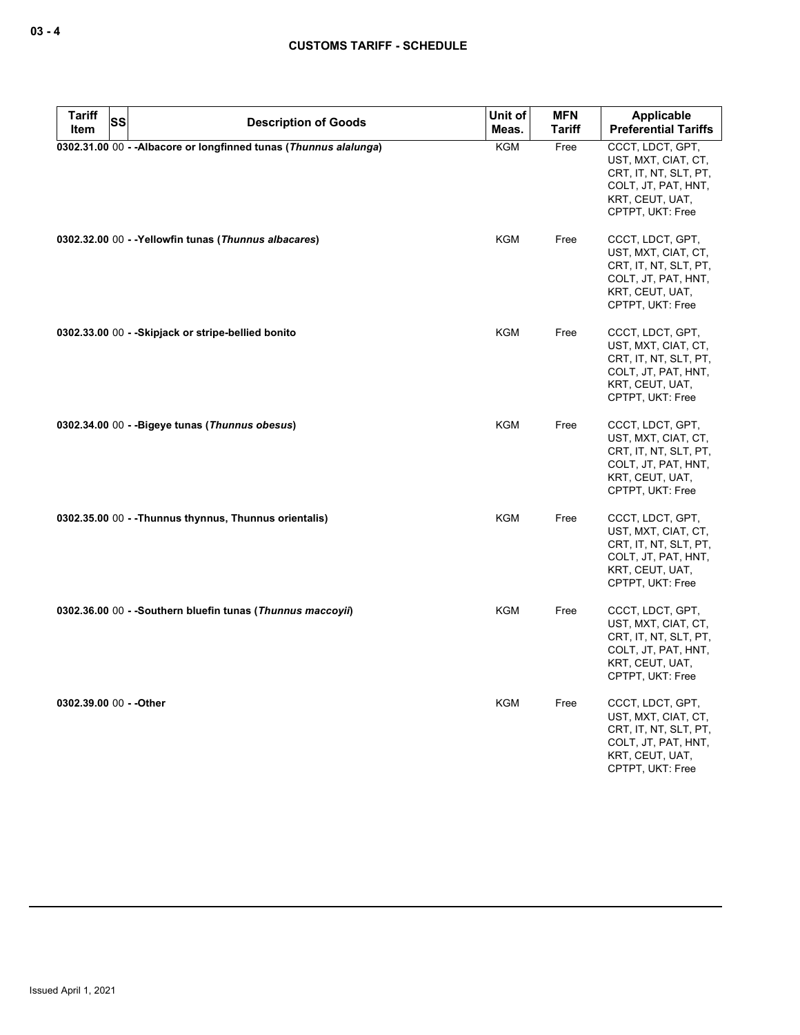| <b>Tariff</b><br><b>SS</b> | <b>Description of Goods</b>                                       | Unit of    | <b>MFN</b>    | Applicable                                                                                                                     |
|----------------------------|-------------------------------------------------------------------|------------|---------------|--------------------------------------------------------------------------------------------------------------------------------|
| Item                       |                                                                   | Meas.      | <b>Tariff</b> | <b>Preferential Tariffs</b>                                                                                                    |
|                            | 0302.31.00 00 - - Albacore or longfinned tunas (Thunnus alalunga) | KGM        | Free          | CCCT, LDCT, GPT,<br>UST, MXT, CIAT, CT,<br>CRT, IT, NT, SLT, PT,<br>COLT, JT, PAT, HNT,<br>KRT, CEUT, UAT,<br>CPTPT, UKT: Free |
|                            | 0302.32.00 00 - - Yellowfin tunas (Thunnus albacares)             | KGM        | Free          | CCCT, LDCT, GPT,<br>UST, MXT, CIAT, CT,<br>CRT, IT, NT, SLT, PT,<br>COLT, JT, PAT, HNT,<br>KRT, CEUT, UAT,<br>CPTPT, UKT: Free |
|                            | 0302.33.00 00 - - Skipjack or stripe-bellied bonito               | <b>KGM</b> | Free          | CCCT, LDCT, GPT,<br>UST, MXT, CIAT, CT,<br>CRT, IT, NT, SLT, PT,<br>COLT, JT, PAT, HNT,<br>KRT, CEUT, UAT,<br>CPTPT, UKT: Free |
|                            | 0302.34.00 00 - - Bigeye tunas (Thunnus obesus)                   | <b>KGM</b> | Free          | CCCT, LDCT, GPT,<br>UST, MXT, CIAT, CT,<br>CRT, IT, NT, SLT, PT,<br>COLT, JT, PAT, HNT,<br>KRT, CEUT, UAT,<br>CPTPT, UKT: Free |
|                            | 0302.35.00 00 - - Thunnus thynnus, Thunnus orientalis)            | KGM        | Free          | CCCT, LDCT, GPT,<br>UST, MXT, CIAT, CT,<br>CRT, IT, NT, SLT, PT,<br>COLT, JT, PAT, HNT,<br>KRT, CEUT, UAT,<br>CPTPT, UKT: Free |
|                            | 0302.36.00 00 - - Southern bluefin tunas (Thunnus maccoyii)       | <b>KGM</b> | Free          | CCCT, LDCT, GPT,<br>UST, MXT, CIAT, CT,<br>CRT, IT, NT, SLT, PT,<br>COLT, JT, PAT, HNT,<br>KRT, CEUT, UAT,<br>CPTPT, UKT: Free |
| 0302.39.00 00 - - Other    |                                                                   | KGM        | Free          | CCCT, LDCT, GPT,<br>UST, MXT, CIAT, CT,<br>CRT, IT, NT, SLT, PT,<br>COLT, JT, PAT, HNT,<br>KRT, CEUT, UAT,<br>CPTPT, UKT: Free |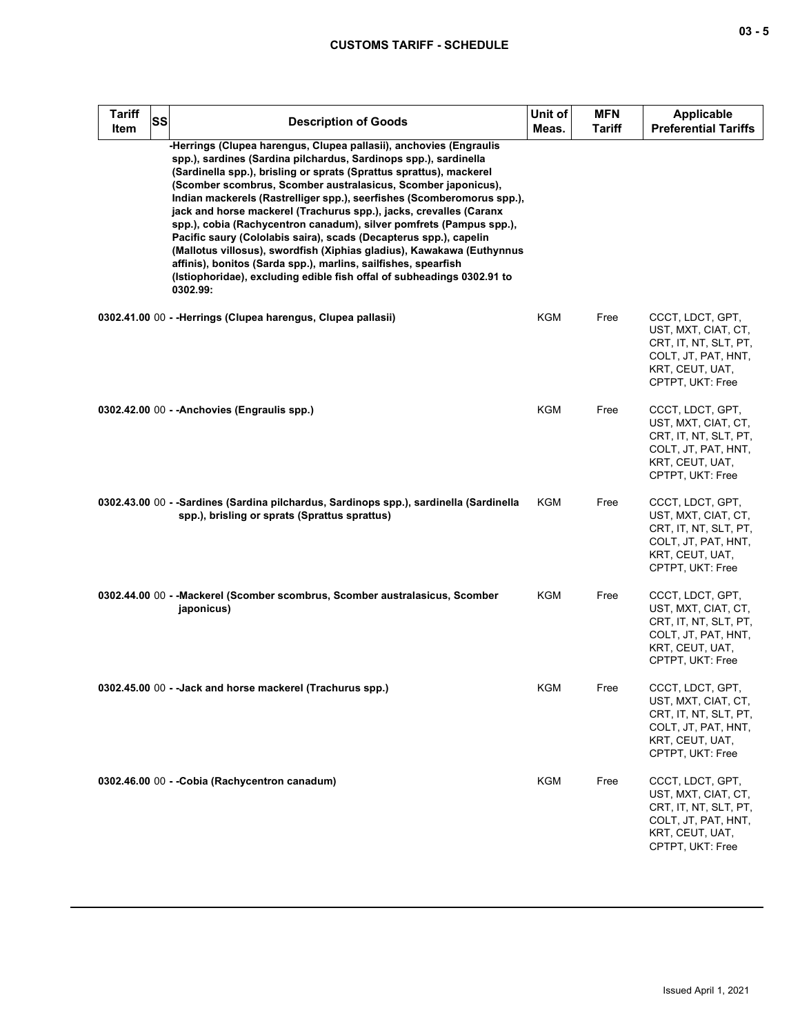| <b>Tariff</b><br>Item | <b>SS</b> | <b>Description of Goods</b>                                                                                                                                                                                                                                                                                                                                                                                                                                                                                                                                                                                                                                                                                                                                                                                 | Unit of<br>Meas. | <b>MFN</b><br><b>Tariff</b> | <b>Applicable</b><br><b>Preferential Tariffs</b>                                                                               |
|-----------------------|-----------|-------------------------------------------------------------------------------------------------------------------------------------------------------------------------------------------------------------------------------------------------------------------------------------------------------------------------------------------------------------------------------------------------------------------------------------------------------------------------------------------------------------------------------------------------------------------------------------------------------------------------------------------------------------------------------------------------------------------------------------------------------------------------------------------------------------|------------------|-----------------------------|--------------------------------------------------------------------------------------------------------------------------------|
|                       |           | -Herrings (Clupea harengus, Clupea pallasii), anchovies (Engraulis<br>spp.), sardines (Sardina pilchardus, Sardinops spp.), sardinella<br>(Sardinella spp.), brisling or sprats (Sprattus sprattus), mackerel<br>(Scomber scombrus, Scomber australasicus, Scomber japonicus),<br>Indian mackerels (Rastrelliger spp.), seerfishes (Scomberomorus spp.),<br>jack and horse mackerel (Trachurus spp.), jacks, crevalles (Caranx<br>spp.), cobia (Rachycentron canadum), silver pomfrets (Pampus spp.),<br>Pacific saury (Cololabis saira), scads (Decapterus spp.), capelin<br>(Mallotus villosus), swordfish (Xiphias gladius), Kawakawa (Euthynnus<br>affinis), bonitos (Sarda spp.), marlins, sailfishes, spearfish<br>(Istiophoridae), excluding edible fish offal of subheadings 0302.91 to<br>0302.99: |                  |                             |                                                                                                                                |
|                       |           | 0302.41.00 00 - - Herrings (Clupea harengus, Clupea pallasii)                                                                                                                                                                                                                                                                                                                                                                                                                                                                                                                                                                                                                                                                                                                                               | KGM              | Free                        | CCCT, LDCT, GPT,<br>UST, MXT, CIAT, CT,<br>CRT, IT, NT, SLT, PT,<br>COLT, JT, PAT, HNT,<br>KRT, CEUT, UAT,<br>CPTPT, UKT: Free |
|                       |           | 0302.42.00 00 - - Anchovies (Engraulis spp.)                                                                                                                                                                                                                                                                                                                                                                                                                                                                                                                                                                                                                                                                                                                                                                | KGM              | Free                        | CCCT, LDCT, GPT,<br>UST, MXT, CIAT, CT,<br>CRT, IT, NT, SLT, PT,<br>COLT, JT, PAT, HNT,<br>KRT, CEUT, UAT,<br>CPTPT, UKT: Free |
|                       |           | 0302.43.00 00 - -Sardines (Sardina pilchardus, Sardinops spp.), sardinella (Sardinella<br>spp.), brisling or sprats (Sprattus sprattus)                                                                                                                                                                                                                                                                                                                                                                                                                                                                                                                                                                                                                                                                     | KGM              | Free                        | CCCT, LDCT, GPT,<br>UST, MXT, CIAT, CT,<br>CRT, IT, NT, SLT, PT,<br>COLT, JT, PAT, HNT,<br>KRT, CEUT, UAT,<br>CPTPT, UKT: Free |
|                       |           | 0302.44.00 00 - -Mackerel (Scomber scombrus, Scomber australasicus, Scomber<br>japonicus)                                                                                                                                                                                                                                                                                                                                                                                                                                                                                                                                                                                                                                                                                                                   | KGM              | Free                        | CCCT, LDCT, GPT,<br>UST, MXT, CIAT, CT,<br>CRT, IT, NT, SLT, PT,<br>COLT, JT, PAT, HNT,<br>KRT, CEUT, UAT,<br>CPTPT, UKT: Free |
|                       |           | 0302.45.00 00 - - Jack and horse mackerel (Trachurus spp.)                                                                                                                                                                                                                                                                                                                                                                                                                                                                                                                                                                                                                                                                                                                                                  | KGM              | Free                        | CCCT, LDCT, GPT,<br>UST, MXT, CIAT, CT,<br>CRT, IT, NT, SLT, PT,<br>COLT, JT, PAT, HNT,<br>KRT, CEUT, UAT,<br>CPTPT, UKT: Free |
|                       |           | 0302.46.00 00 - - Cobia (Rachycentron canadum)                                                                                                                                                                                                                                                                                                                                                                                                                                                                                                                                                                                                                                                                                                                                                              | <b>KGM</b>       | Free                        | CCCT, LDCT, GPT,<br>UST, MXT, CIAT, CT,<br>CRT, IT, NT, SLT, PT,<br>COLT, JT, PAT, HNT,<br>KRT, CEUT, UAT,<br>CPTPT, UKT: Free |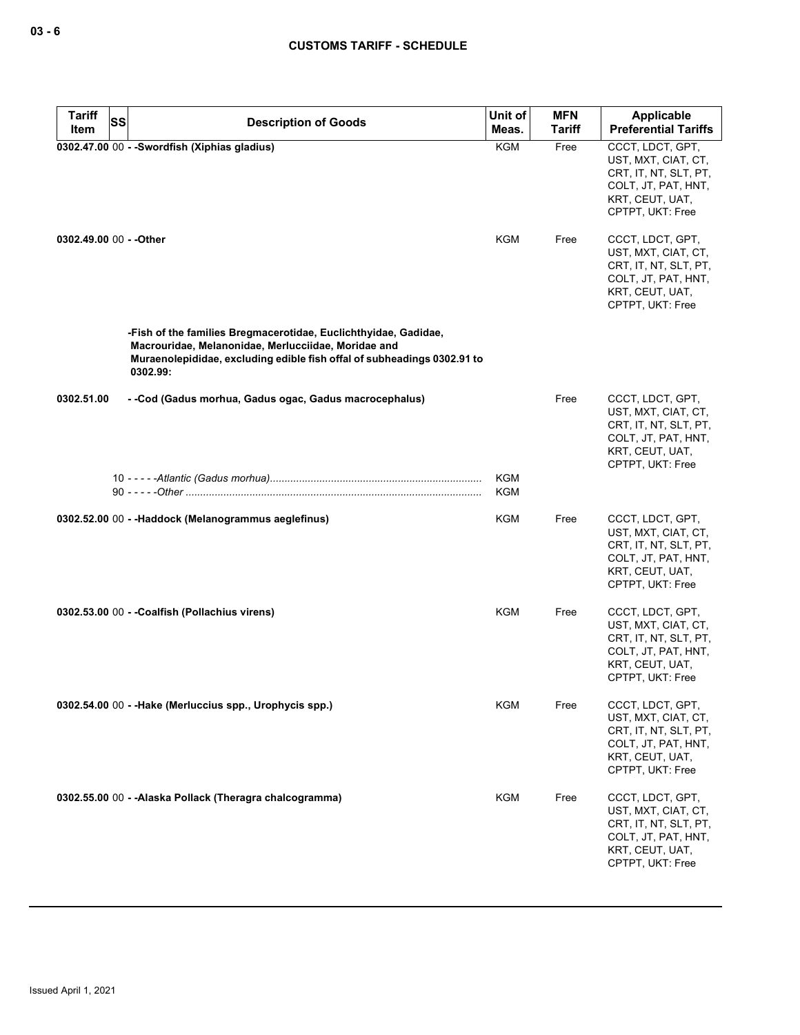| <b>Tariff</b>           | <b>SS</b><br><b>Description of Goods</b>                                                                                                                                                                      | Unit of    | <b>MFN</b>    | <b>Applicable</b>                                                                                                              |
|-------------------------|---------------------------------------------------------------------------------------------------------------------------------------------------------------------------------------------------------------|------------|---------------|--------------------------------------------------------------------------------------------------------------------------------|
| Item                    |                                                                                                                                                                                                               | Meas.      | <b>Tariff</b> | <b>Preferential Tariffs</b>                                                                                                    |
|                         | 0302.47.00 00 - - Swordfish (Xiphias gladius)                                                                                                                                                                 | <b>KGM</b> | Free          | CCCT, LDCT, GPT,<br>UST, MXT, CIAT, CT,<br>CRT, IT, NT, SLT, PT,<br>COLT, JT, PAT, HNT,<br>KRT, CEUT, UAT,<br>CPTPT, UKT: Free |
| 0302.49.00 00 - - Other |                                                                                                                                                                                                               | KGM        | Free          | CCCT, LDCT, GPT,<br>UST, MXT, CIAT, CT,<br>CRT, IT, NT, SLT, PT,<br>COLT, JT, PAT, HNT,<br>KRT, CEUT, UAT,<br>CPTPT, UKT: Free |
|                         | -Fish of the families Bregmacerotidae, Euclichthyidae, Gadidae,<br>Macrouridae, Melanonidae, Merlucciidae, Moridae and<br>Muraenolepididae, excluding edible fish offal of subheadings 0302.91 to<br>0302.99: |            |               |                                                                                                                                |
| 0302.51.00              | - -Cod (Gadus morhua, Gadus ogac, Gadus macrocephalus)                                                                                                                                                        |            | Free          | CCCT, LDCT, GPT,<br>UST, MXT, CIAT, CT,<br>CRT, IT, NT, SLT, PT,<br>COLT, JT, PAT, HNT,<br>KRT, CEUT, UAT,<br>CPTPT, UKT: Free |
|                         |                                                                                                                                                                                                               | KGM<br>KGM |               |                                                                                                                                |
|                         | 0302.52.00 00 - -Haddock (Melanogrammus aeglefinus)                                                                                                                                                           | KGM        | Free          | CCCT, LDCT, GPT,<br>UST, MXT, CIAT, CT,<br>CRT, IT, NT, SLT, PT,<br>COLT, JT, PAT, HNT,<br>KRT, CEUT, UAT,<br>CPTPT, UKT: Free |
|                         | 0302.53.00 00 - - Coalfish (Pollachius virens)                                                                                                                                                                | KGM        | Free          | CCCT, LDCT, GPT,<br>UST, MXT, CIAT, CT,<br>CRT, IT, NT, SLT, PT,<br>COLT, JT, PAT, HNT,<br>KRT, CEUT, UAT,<br>CPTPT, UKT: Free |
|                         | 0302.54.00 00 - - Hake (Merluccius spp., Urophycis spp.)                                                                                                                                                      | <b>KGM</b> | Free          | CCCT, LDCT, GPT,<br>UST, MXT, CIAT, CT,<br>CRT, IT, NT, SLT, PT,<br>COLT, JT, PAT, HNT,<br>KRT, CEUT, UAT,<br>CPTPT, UKT: Free |
|                         | 0302.55.00 00 - - Alaska Pollack (Theragra chalcogramma)                                                                                                                                                      | <b>KGM</b> | Free          | CCCT, LDCT, GPT,<br>UST, MXT, CIAT, CT,<br>CRT, IT, NT, SLT, PT,<br>COLT, JT, PAT, HNT,<br>KRT, CEUT, UAT,<br>CPTPT, UKT: Free |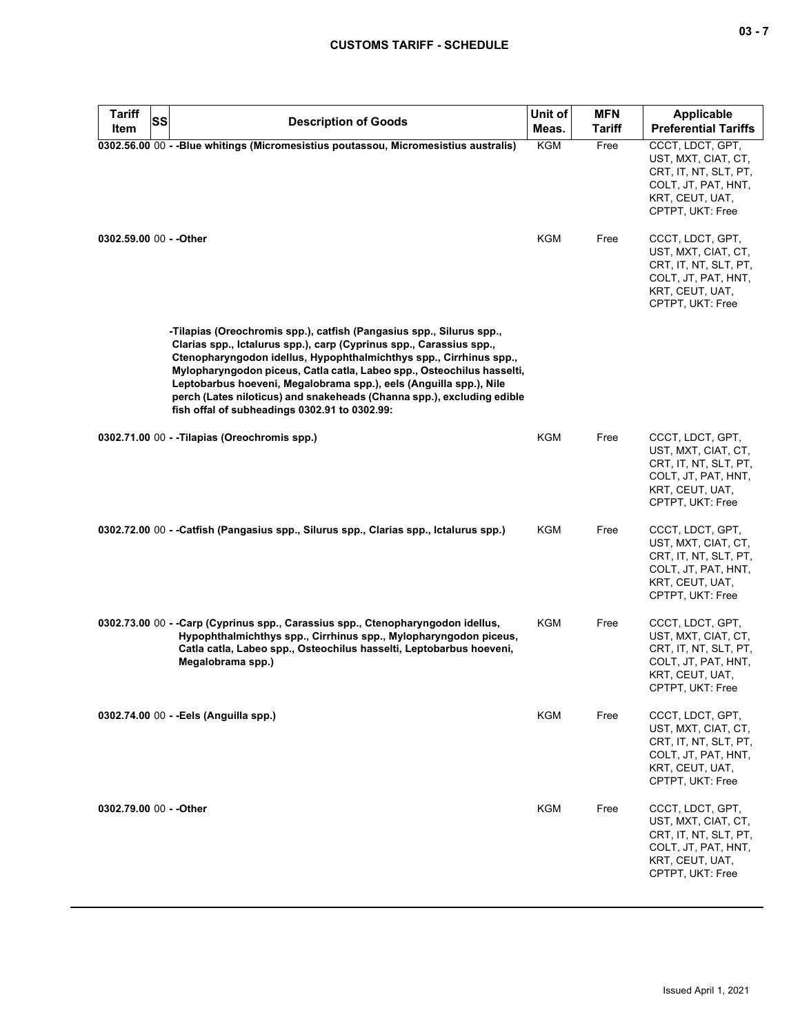| <b>Tariff</b><br><b>SS</b><br>Item | <b>Description of Goods</b>                                                                                                                                                                                                                                                                                                                                                                                                                                                                  | Unit of<br>Meas. | <b>MFN</b><br><b>Tariff</b> | <b>Applicable</b><br><b>Preferential Tariffs</b>                                                                               |
|------------------------------------|----------------------------------------------------------------------------------------------------------------------------------------------------------------------------------------------------------------------------------------------------------------------------------------------------------------------------------------------------------------------------------------------------------------------------------------------------------------------------------------------|------------------|-----------------------------|--------------------------------------------------------------------------------------------------------------------------------|
|                                    | 0302.56.00 00 - - Blue whitings (Micromesistius poutassou, Micromesistius australis)                                                                                                                                                                                                                                                                                                                                                                                                         | <b>KGM</b>       | Free                        | CCCT, LDCT, GPT,<br>UST, MXT, CIAT, CT,<br>CRT, IT, NT, SLT, PT,<br>COLT, JT, PAT, HNT,<br>KRT, CEUT, UAT,<br>CPTPT, UKT: Free |
| 0302.59.00 00 - - Other            |                                                                                                                                                                                                                                                                                                                                                                                                                                                                                              | KGM              | Free                        | CCCT, LDCT, GPT,<br>UST, MXT, CIAT, CT,<br>CRT, IT, NT, SLT, PT,<br>COLT, JT, PAT, HNT,<br>KRT, CEUT, UAT,<br>CPTPT, UKT: Free |
|                                    | -Tilapias (Oreochromis spp.), catfish (Pangasius spp., Silurus spp.,<br>Clarias spp., Ictalurus spp.), carp (Cyprinus spp., Carassius spp.,<br>Ctenopharyngodon idellus, Hypophthalmichthys spp., Cirrhinus spp.,<br>Mylopharyngodon piceus, Catla catla, Labeo spp., Osteochilus hasselti,<br>Leptobarbus hoeveni, Megalobrama spp.), eels (Anguilla spp.), Nile<br>perch (Lates niloticus) and snakeheads (Channa spp.), excluding edible<br>fish offal of subheadings 0302.91 to 0302.99: |                  |                             |                                                                                                                                |
|                                    | 0302.71.00 00 - -Tilapias (Oreochromis spp.)                                                                                                                                                                                                                                                                                                                                                                                                                                                 | <b>KGM</b>       | Free                        | CCCT, LDCT, GPT,<br>UST, MXT, CIAT, CT,<br>CRT, IT, NT, SLT, PT,<br>COLT, JT, PAT, HNT,<br>KRT, CEUT, UAT,<br>CPTPT, UKT: Free |
|                                    | 0302.72.00 00 - -Catfish (Pangasius spp., Silurus spp., Clarias spp., Ictalurus spp.)                                                                                                                                                                                                                                                                                                                                                                                                        | KGM              | Free                        | CCCT, LDCT, GPT,<br>UST, MXT, CIAT, CT,<br>CRT, IT, NT, SLT, PT,<br>COLT, JT, PAT, HNT,<br>KRT, CEUT, UAT,<br>CPTPT, UKT: Free |
|                                    | 0302.73.00 00 - -Carp (Cyprinus spp., Carassius spp., Ctenopharyngodon idellus,<br>Hypophthalmichthys spp., Cirrhinus spp., Mylopharyngodon piceus,<br>Catla catla, Labeo spp., Osteochilus hasselti, Leptobarbus hoeveni,<br>Megalobrama spp.)                                                                                                                                                                                                                                              | KGM              | Free                        | CCCT, LDCT, GPT,<br>UST, MXT, CIAT, CT,<br>CRT, IT, NT, SLT, PT,<br>COLT, JT, PAT, HNT,<br>KRT, CEUT, UAT,<br>CPTPT, UKT: Free |
|                                    | 0302.74.00 00 - - Eels (Anguilla spp.)                                                                                                                                                                                                                                                                                                                                                                                                                                                       | KGM              | Free                        | CCCT, LDCT, GPT,<br>UST, MXT, CIAT, CT,<br>CRT, IT, NT, SLT, PT,<br>COLT, JT, PAT, HNT,<br>KRT, CEUT, UAT,<br>CPTPT, UKT: Free |
| 0302.79.00 00 - - Other            |                                                                                                                                                                                                                                                                                                                                                                                                                                                                                              | <b>KGM</b>       | Free                        | CCCT, LDCT, GPT,<br>UST, MXT, CIAT, CT,<br>CRT, IT, NT, SLT, PT,<br>COLT, JT, PAT, HNT,<br>KRT, CEUT, UAT,<br>CPTPT, UKT: Free |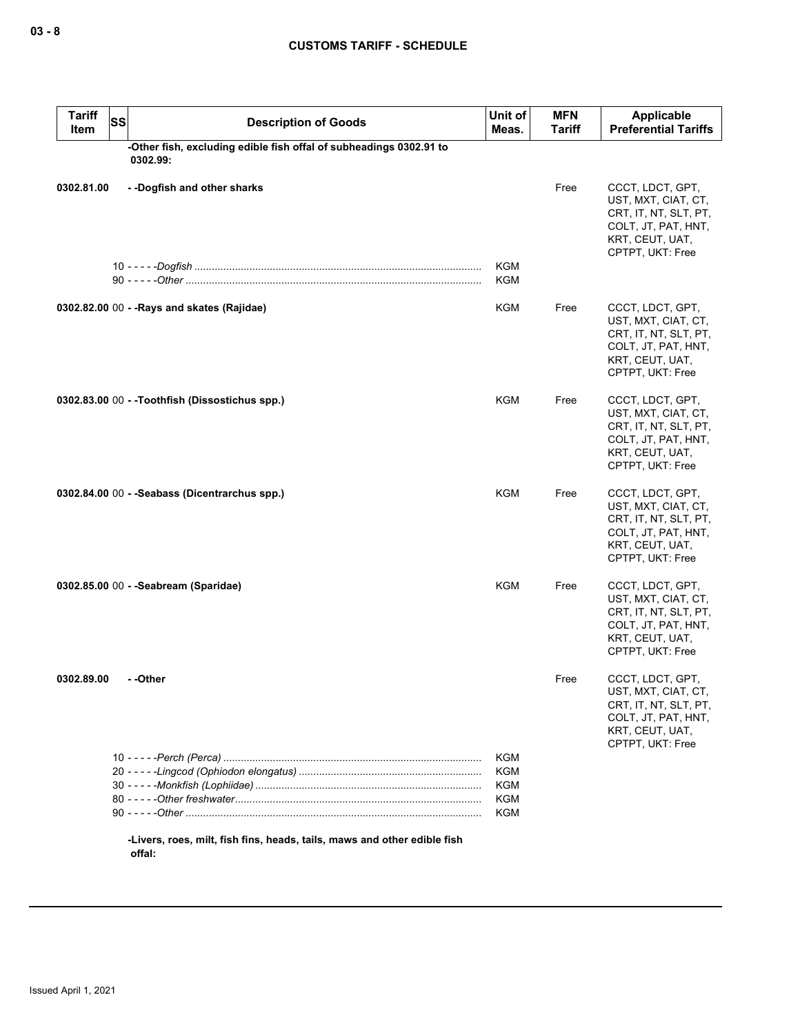| <b>Tariff</b><br><b>SS</b><br>Item             | <b>Description of Goods</b>                                              | Unit of<br>Meas.                              | <b>MFN</b><br><b>Tariff</b> | <b>Applicable</b><br><b>Preferential Tariffs</b>                                                                               |
|------------------------------------------------|--------------------------------------------------------------------------|-----------------------------------------------|-----------------------------|--------------------------------------------------------------------------------------------------------------------------------|
| 0302.99:                                       | -Other fish, excluding edible fish offal of subheadings 0302.91 to       |                                               |                             |                                                                                                                                |
| 0302.81.00<br>--Dogfish and other sharks       |                                                                          |                                               | Free                        | CCCT, LDCT, GPT,<br>UST, MXT, CIAT, CT,<br>CRT, IT, NT, SLT, PT,<br>COLT, JT, PAT, HNT,<br>KRT, CEUT, UAT,<br>CPTPT, UKT: Free |
|                                                |                                                                          | KGM<br>KGM                                    |                             |                                                                                                                                |
| 0302.82.00 00 - - Rays and skates (Rajidae)    |                                                                          | KGM                                           | Free                        | CCCT, LDCT, GPT,<br>UST, MXT, CIAT, CT,<br>CRT, IT, NT, SLT, PT,<br>COLT, JT, PAT, HNT,<br>KRT, CEUT, UAT,<br>CPTPT, UKT: Free |
| 0302.83.00 00 - -Toothfish (Dissostichus spp.) |                                                                          | <b>KGM</b>                                    | Free                        | CCCT, LDCT, GPT,<br>UST, MXT, CIAT, CT,<br>CRT, IT, NT, SLT, PT,<br>COLT, JT, PAT, HNT,<br>KRT, CEUT, UAT,<br>CPTPT, UKT: Free |
| 0302.84.00 00 - - Seabass (Dicentrarchus spp.) |                                                                          | <b>KGM</b>                                    | Free                        | CCCT, LDCT, GPT,<br>UST, MXT, CIAT, CT,<br>CRT, IT, NT, SLT, PT,<br>COLT, JT, PAT, HNT,<br>KRT, CEUT, UAT,<br>CPTPT, UKT: Free |
| 0302.85.00 00 - - Seabream (Sparidae)          |                                                                          | <b>KGM</b>                                    | Free                        | CCCT, LDCT, GPT,<br>UST, MXT, CIAT, CT,<br>CRT, IT, NT, SLT, PT,<br>COLT, JT, PAT, HNT,<br>KRT, CEUT, UAT,<br>CPTPT, UKT: Free |
| - -Other<br>0302.89.00                         |                                                                          |                                               | Free                        | CCCT, LDCT, GPT,<br>UST, MXT, CIAT, CT,<br>CRT, IT, NT, SLT, PT,<br>COLT, JT, PAT, HNT,<br>KRT, CEUT, UAT,<br>CPTPT, UKT: Free |
|                                                |                                                                          | <b>KGM</b><br><b>KGM</b><br>KGM<br><b>KGM</b> |                             |                                                                                                                                |
|                                                | -Livers, roes, milt, fish fins, heads, tails, maws and other edible fish | <b>KGM</b>                                    |                             |                                                                                                                                |

**offal:**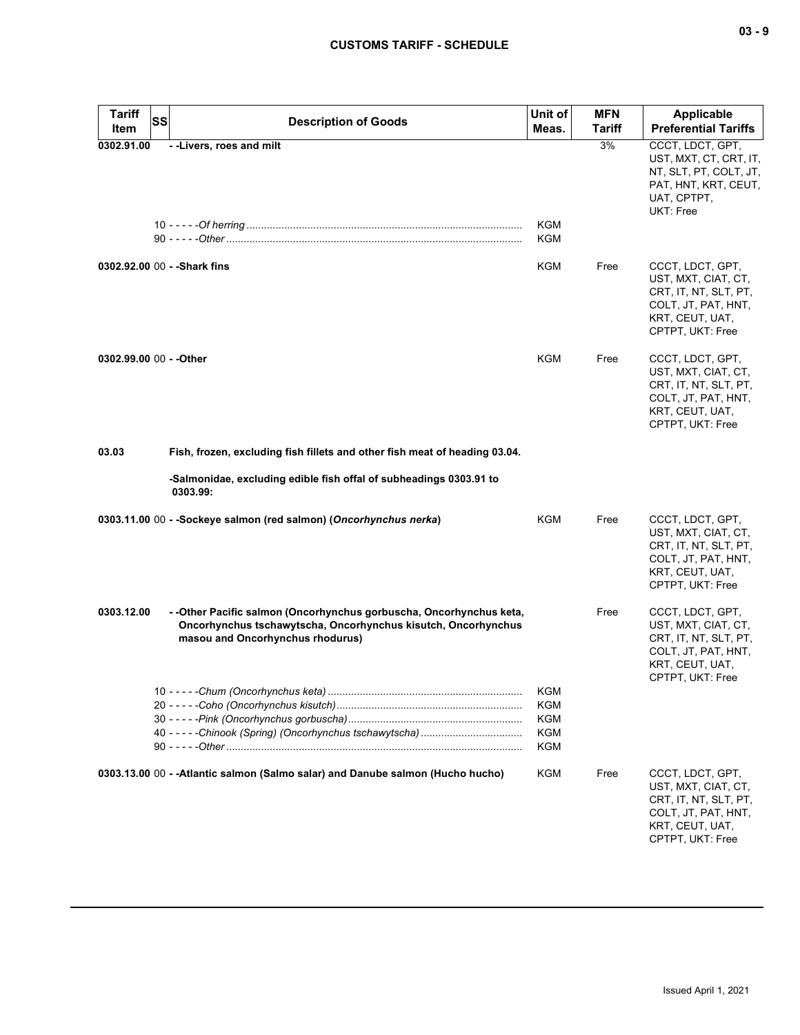| <b>Tariff</b><br>Item   | SS<br><b>Description of Goods</b>                                                                                                                                       | Unit of<br>Meas.                       | <b>MFN</b><br><b>Tariff</b> | Applicable<br><b>Preferential Tariffs</b>                                                                                      |
|-------------------------|-------------------------------------------------------------------------------------------------------------------------------------------------------------------------|----------------------------------------|-----------------------------|--------------------------------------------------------------------------------------------------------------------------------|
| 0302.91.00              | --Livers, roes and milt                                                                                                                                                 |                                        | 3%                          | CCCT, LDCT, GPT,                                                                                                               |
|                         |                                                                                                                                                                         | KGM                                    |                             | UST, MXT, CT, CRT, IT,<br>NT, SLT, PT, COLT, JT,<br>PAT, HNT, KRT, CEUT,<br>UAT, CPTPT,<br>UKT: Free                           |
|                         |                                                                                                                                                                         | KGM                                    |                             |                                                                                                                                |
|                         | 0302.92.00 00 - - Shark fins                                                                                                                                            | KGM                                    | Free                        | CCCT, LDCT, GPT,<br>UST, MXT, CIAT, CT,<br>CRT, IT, NT, SLT, PT,<br>COLT, JT, PAT, HNT,<br>KRT, CEUT, UAT,<br>CPTPT, UKT: Free |
| 0302.99.00 00 - - Other |                                                                                                                                                                         | KGM                                    | Free                        | CCCT, LDCT, GPT,<br>UST, MXT, CIAT, CT,<br>CRT, IT, NT, SLT, PT,<br>COLT, JT, PAT, HNT,<br>KRT, CEUT, UAT,<br>CPTPT, UKT: Free |
| 03.03                   | Fish, frozen, excluding fish fillets and other fish meat of heading 03.04.                                                                                              |                                        |                             |                                                                                                                                |
|                         | -Salmonidae, excluding edible fish offal of subheadings 0303.91 to<br>0303.99:                                                                                          |                                        |                             |                                                                                                                                |
|                         | 0303.11.00 00 - -Sockeye salmon (red salmon) (Oncorhynchus nerka)                                                                                                       | KGM                                    | Free                        | CCCT, LDCT, GPT,<br>UST, MXT, CIAT, CT,<br>CRT, IT, NT, SLT, PT,<br>COLT, JT, PAT, HNT,<br>KRT, CEUT, UAT,<br>CPTPT, UKT: Free |
| 0303.12.00              | --Other Pacific salmon (Oncorhynchus gorbuscha, Oncorhynchus keta,<br>Oncorhynchus tschawytscha, Oncorhynchus kisutch, Oncorhynchus<br>masou and Oncorhynchus rhodurus) |                                        | Free                        | CCCT, LDCT, GPT,<br>UST, MXT, CIAT, CT,<br>CRT, IT, NT, SLT, PT,<br>COLT, JT, PAT, HNT,<br>KRT, CEUT, UAT,<br>CPTPT, UKT: Free |
|                         |                                                                                                                                                                         | <b>KGM</b><br>KGM<br>KGM<br>KGM<br>KGM |                             |                                                                                                                                |
|                         | 0303.13.00 00 - - Atlantic salmon (Salmo salar) and Danube salmon (Hucho hucho)                                                                                         | KGM                                    | Free                        | CCCT, LDCT, GPT,<br>UST, MXT, CIAT, CT,<br>CRT, IT, NT, SLT, PT,<br>COLT, JT, PAT, HNT,                                        |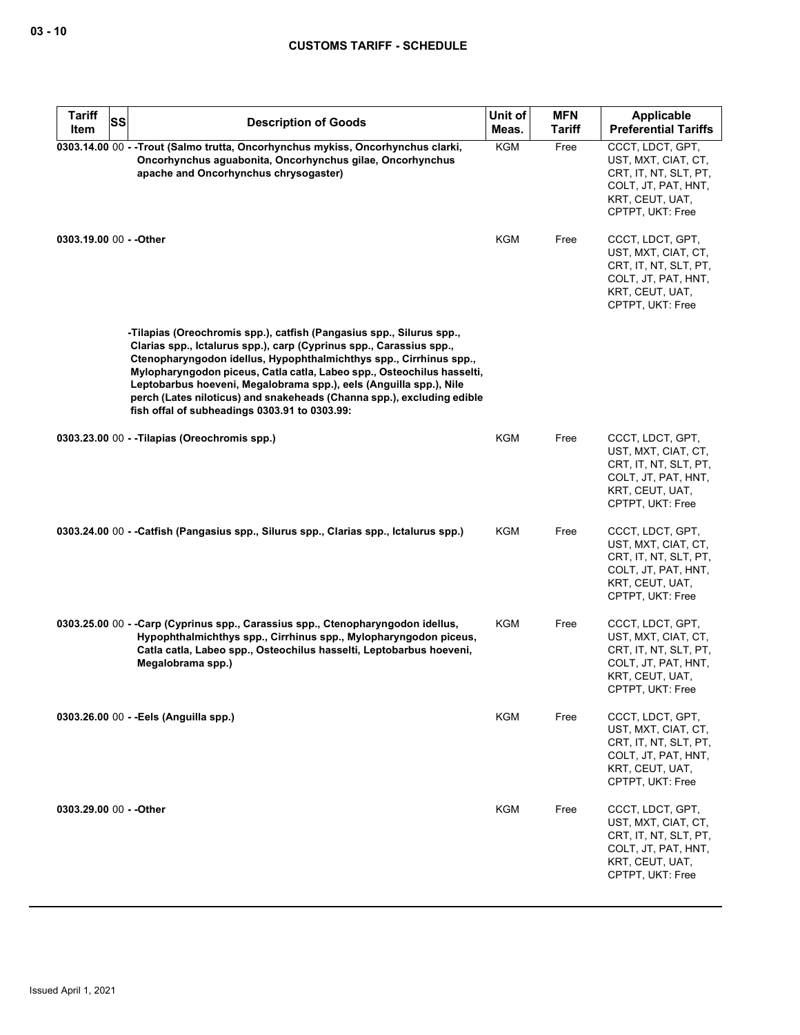| <b>Tariff</b>           | <b>SS</b> | <b>Description of Goods</b>                                                                                                                                                                                                                                                                                                                                                                                                                                                                  | Unit of             | <b>MFN</b>            | Applicable                                                                                                                     |
|-------------------------|-----------|----------------------------------------------------------------------------------------------------------------------------------------------------------------------------------------------------------------------------------------------------------------------------------------------------------------------------------------------------------------------------------------------------------------------------------------------------------------------------------------------|---------------------|-----------------------|--------------------------------------------------------------------------------------------------------------------------------|
| Item                    |           |                                                                                                                                                                                                                                                                                                                                                                                                                                                                                              | Meas.<br><b>KGM</b> | <b>Tariff</b><br>Free | <b>Preferential Tariffs</b><br>CCCT, LDCT, GPT,                                                                                |
|                         |           | 0303.14.00 00 - - Trout (Salmo trutta, Oncorhynchus mykiss, Oncorhynchus clarki,<br>Oncorhynchus aguabonita, Oncorhynchus gilae, Oncorhynchus<br>apache and Oncorhynchus chrysogaster)                                                                                                                                                                                                                                                                                                       |                     |                       | UST, MXT, CIAT, CT,<br>CRT, IT, NT, SLT, PT,<br>COLT, JT, PAT, HNT,<br>KRT, CEUT, UAT,<br>CPTPT, UKT: Free                     |
| 0303.19.00 00 - - Other |           |                                                                                                                                                                                                                                                                                                                                                                                                                                                                                              | <b>KGM</b>          | Free                  | CCCT, LDCT, GPT,<br>UST, MXT, CIAT, CT,<br>CRT, IT, NT, SLT, PT,<br>COLT, JT, PAT, HNT,<br>KRT, CEUT, UAT,<br>CPTPT, UKT: Free |
|                         |           | -Tilapias (Oreochromis spp.), catfish (Pangasius spp., Silurus spp.,<br>Clarias spp., Ictalurus spp.), carp (Cyprinus spp., Carassius spp.,<br>Ctenopharyngodon idellus, Hypophthalmichthys spp., Cirrhinus spp.,<br>Mylopharyngodon piceus, Catla catla, Labeo spp., Osteochilus hasselti,<br>Leptobarbus hoeveni, Megalobrama spp.), eels (Anguilla spp.), Nile<br>perch (Lates niloticus) and snakeheads (Channa spp.), excluding edible<br>fish offal of subheadings 0303.91 to 0303.99: |                     |                       |                                                                                                                                |
|                         |           | 0303.23.00 00 - - Tilapias (Oreochromis spp.)                                                                                                                                                                                                                                                                                                                                                                                                                                                | KGM                 | Free                  | CCCT, LDCT, GPT,<br>UST, MXT, CIAT, CT,<br>CRT, IT, NT, SLT, PT,<br>COLT, JT, PAT, HNT,<br>KRT, CEUT, UAT,<br>CPTPT, UKT: Free |
|                         |           | 0303.24.00 00 - - Catfish (Pangasius spp., Silurus spp., Clarias spp., Ictalurus spp.)                                                                                                                                                                                                                                                                                                                                                                                                       | KGM                 | Free                  | CCCT, LDCT, GPT,<br>UST, MXT, CIAT, CT,<br>CRT, IT, NT, SLT, PT,<br>COLT, JT, PAT, HNT,<br>KRT, CEUT, UAT,<br>CPTPT, UKT: Free |
|                         |           | 0303.25.00 00 - -Carp (Cyprinus spp., Carassius spp., Ctenopharyngodon idellus,<br>Hypophthalmichthys spp., Cirrhinus spp., Mylopharyngodon piceus,<br>Catla catla, Labeo spp., Osteochilus hasselti, Leptobarbus hoeveni,<br>Megalobrama spp.)                                                                                                                                                                                                                                              | KGM                 | Free                  | CCCT, LDCT, GPT,<br>UST, MXT, CIAT, CT,<br>CRT. IT. NT. SLT. PT.<br>COLT, JT, PAT, HNT,<br>KRT, CEUT, UAT,<br>CPTPT, UKT: Free |
|                         |           | 0303.26.00 00 - - Eels (Anguilla spp.)                                                                                                                                                                                                                                                                                                                                                                                                                                                       | <b>KGM</b>          | Free                  | CCCT, LDCT, GPT,<br>UST, MXT, CIAT, CT,<br>CRT, IT, NT, SLT, PT,<br>COLT, JT, PAT, HNT,<br>KRT, CEUT, UAT,<br>CPTPT, UKT: Free |
| 0303.29.00 00 - - Other |           |                                                                                                                                                                                                                                                                                                                                                                                                                                                                                              | <b>KGM</b>          | Free                  | CCCT, LDCT, GPT,<br>UST, MXT, CIAT, CT,<br>CRT, IT, NT, SLT, PT,<br>COLT, JT, PAT, HNT,<br>KRT, CEUT, UAT,<br>CPTPT, UKT: Free |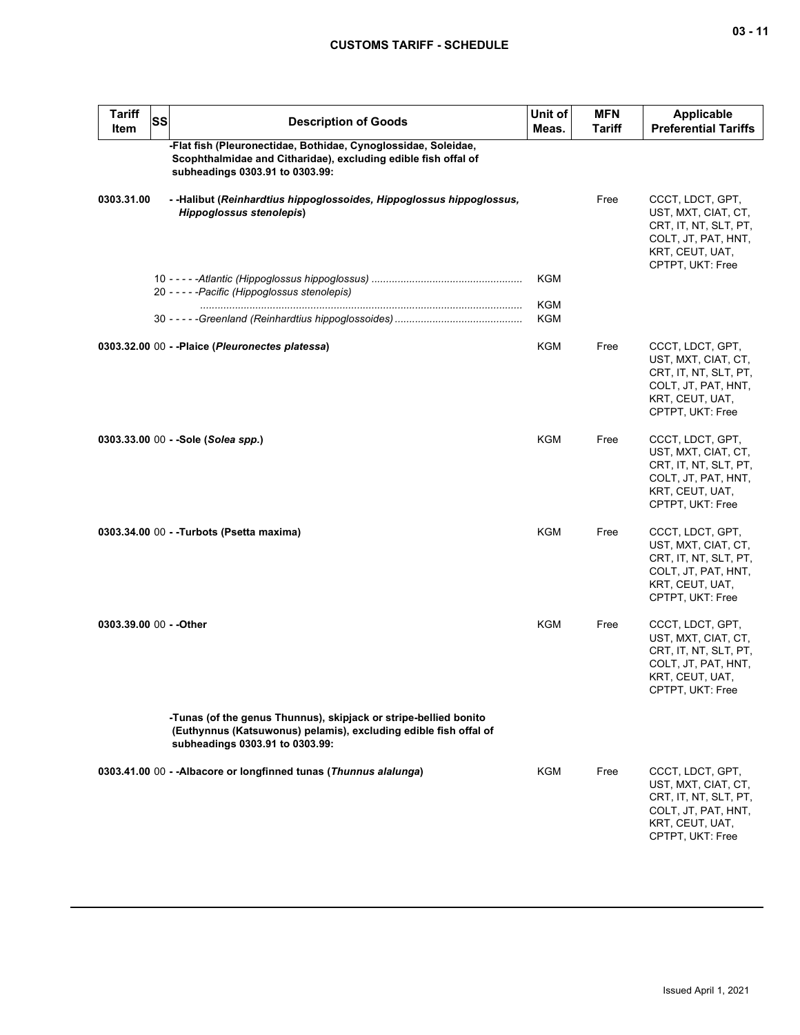| Tariff<br>Item          | SS | <b>Description of Goods</b>                                                                                                                                             | Unit of<br>Meas. | <b>MFN</b><br><b>Tariff</b> | <b>Applicable</b><br><b>Preferential Tariffs</b>                                                                               |
|-------------------------|----|-------------------------------------------------------------------------------------------------------------------------------------------------------------------------|------------------|-----------------------------|--------------------------------------------------------------------------------------------------------------------------------|
|                         |    | -Flat fish (Pleuronectidae, Bothidae, Cynoglossidae, Soleidae,<br>Scophthalmidae and Citharidae), excluding edible fish offal of<br>subheadings 0303.91 to 0303.99:     |                  |                             |                                                                                                                                |
| 0303.31.00              |    | - -Halibut (Reinhardtius hippoglossoides, Hippoglossus hippoglossus,<br><b>Hippoglossus stenolepis)</b>                                                                 |                  | Free                        | CCCT, LDCT, GPT,<br>UST, MXT, CIAT, CT,<br>CRT, IT, NT, SLT, PT,<br>COLT, JT, PAT, HNT,<br>KRT, CEUT, UAT,<br>CPTPT, UKT: Free |
|                         |    | 20 - - - - - Pacific (Hippoglossus stenolepis)                                                                                                                          | KGM              |                             |                                                                                                                                |
|                         |    |                                                                                                                                                                         | KGM<br>KGM       |                             |                                                                                                                                |
|                         |    | 0303.32.00 00 - -Plaice (Pleuronectes platessa)                                                                                                                         | KGM              | Free                        | CCCT, LDCT, GPT,<br>UST, MXT, CIAT, CT,<br>CRT, IT, NT, SLT, PT,<br>COLT, JT, PAT, HNT,<br>KRT, CEUT, UAT,<br>CPTPT, UKT: Free |
|                         |    | 0303.33.00 00 - - Sole (Solea spp.)                                                                                                                                     | KGM              | Free                        | CCCT, LDCT, GPT,<br>UST, MXT, CIAT, CT,<br>CRT, IT, NT, SLT, PT,<br>COLT, JT, PAT, HNT,<br>KRT, CEUT, UAT,<br>CPTPT, UKT: Free |
|                         |    | 0303.34.00 00 - -Turbots (Psetta maxima)                                                                                                                                | KGM              | Free                        | CCCT, LDCT, GPT,<br>UST, MXT, CIAT, CT,<br>CRT, IT, NT, SLT, PT,<br>COLT, JT, PAT, HNT,<br>KRT, CEUT, UAT,<br>CPTPT, UKT: Free |
| 0303.39.00 00 - - Other |    |                                                                                                                                                                         | KGM              | Free                        | CCCT, LDCT, GPT,<br>UST, MXT, CIAT, CT,<br>CRT, IT, NT, SLT, PT,<br>COLT, JT, PAT, HNT,<br>KRT, CEUT, UAT,<br>CPTPT, UKT: Free |
|                         |    | -Tunas (of the genus Thunnus), skipjack or stripe-bellied bonito<br>(Euthynnus (Katsuwonus) pelamis), excluding edible fish offal of<br>subheadings 0303.91 to 0303.99: |                  |                             |                                                                                                                                |
|                         |    | 0303.41.00 00 - - Albacore or longfinned tunas (Thunnus alalunga)                                                                                                       | KGM              | Free                        | CCCT, LDCT, GPT,<br>UST, MXT, CIAT, CT,<br>CRT, IT, NT, SLT, PT,<br>COLT, JT, PAT, HNT,<br>KRT, CEUT, UAT,<br>CPTPT, UKT: Free |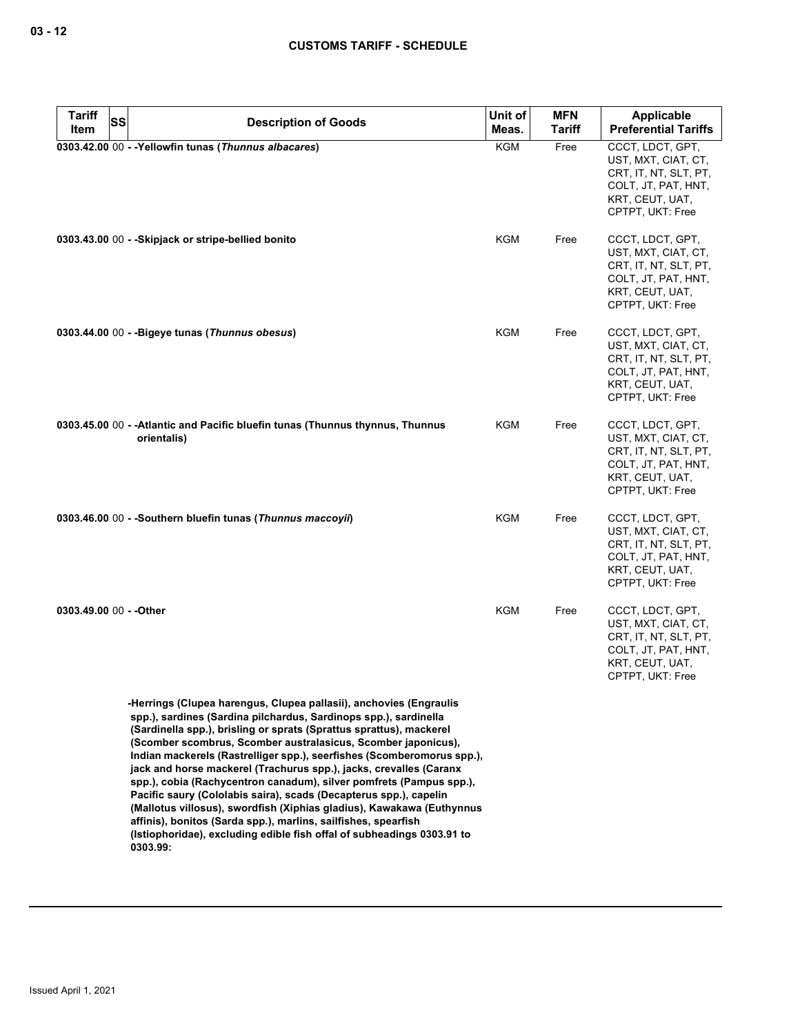| <b>Tariff</b>           | <b>SS</b><br><b>Description of Goods</b>                                                                                                                                                                                                                                                                                                                                                                                                                                                                                                                                                                                                                                                                                                                                                                    | Unit of    | <b>MFN</b>    | Applicable                                                                                                                     |
|-------------------------|-------------------------------------------------------------------------------------------------------------------------------------------------------------------------------------------------------------------------------------------------------------------------------------------------------------------------------------------------------------------------------------------------------------------------------------------------------------------------------------------------------------------------------------------------------------------------------------------------------------------------------------------------------------------------------------------------------------------------------------------------------------------------------------------------------------|------------|---------------|--------------------------------------------------------------------------------------------------------------------------------|
| Item                    |                                                                                                                                                                                                                                                                                                                                                                                                                                                                                                                                                                                                                                                                                                                                                                                                             | Meas.      | <b>Tariff</b> | <b>Preferential Tariffs</b>                                                                                                    |
|                         | 0303.42.00 00 - - Yellowfin tunas (Thunnus albacares)                                                                                                                                                                                                                                                                                                                                                                                                                                                                                                                                                                                                                                                                                                                                                       | <b>KGM</b> | Free          | CCCT, LDCT, GPT,<br>UST, MXT, CIAT, CT,<br>CRT, IT, NT, SLT, PT,<br>COLT, JT, PAT, HNT,<br>KRT, CEUT, UAT,<br>CPTPT, UKT: Free |
|                         | 0303.43.00 00 - - Skipjack or stripe-bellied bonito                                                                                                                                                                                                                                                                                                                                                                                                                                                                                                                                                                                                                                                                                                                                                         | <b>KGM</b> | Free          | CCCT, LDCT, GPT,<br>UST, MXT, CIAT, CT,<br>CRT, IT, NT, SLT, PT,<br>COLT, JT, PAT, HNT,<br>KRT, CEUT, UAT,<br>CPTPT, UKT: Free |
|                         | 0303.44.00 00 - - Bigeye tunas (Thunnus obesus)                                                                                                                                                                                                                                                                                                                                                                                                                                                                                                                                                                                                                                                                                                                                                             | <b>KGM</b> | Free          | CCCT, LDCT, GPT,<br>UST, MXT, CIAT, CT,<br>CRT, IT, NT, SLT, PT,<br>COLT, JT, PAT, HNT,<br>KRT, CEUT, UAT,<br>CPTPT, UKT: Free |
|                         | 0303.45.00 00 - - Atlantic and Pacific bluefin tunas (Thunnus thynnus, Thunnus<br>orientalis)                                                                                                                                                                                                                                                                                                                                                                                                                                                                                                                                                                                                                                                                                                               | KGM        | Free          | CCCT, LDCT, GPT,<br>UST, MXT, CIAT, CT,<br>CRT, IT, NT, SLT, PT,<br>COLT, JT, PAT, HNT,<br>KRT, CEUT, UAT,<br>CPTPT, UKT: Free |
|                         | 0303.46.00 00 - - Southern bluefin tunas (Thunnus maccoyii)                                                                                                                                                                                                                                                                                                                                                                                                                                                                                                                                                                                                                                                                                                                                                 | <b>KGM</b> | Free          | CCCT, LDCT, GPT,<br>UST, MXT, CIAT, CT,<br>CRT, IT, NT, SLT, PT,<br>COLT, JT, PAT, HNT,<br>KRT, CEUT, UAT,<br>CPTPT, UKT: Free |
| 0303.49.00 00 - - Other |                                                                                                                                                                                                                                                                                                                                                                                                                                                                                                                                                                                                                                                                                                                                                                                                             | <b>KGM</b> | Free          | CCCT, LDCT, GPT,<br>UST, MXT, CIAT, CT,<br>CRT, IT, NT, SLT, PT,<br>COLT, JT, PAT, HNT,<br>KRT, CEUT, UAT,<br>CPTPT, UKT: Free |
|                         | -Herrings (Clupea harengus, Clupea pallasii), anchovies (Engraulis<br>spp.), sardines (Sardina pilchardus, Sardinops spp.), sardinella<br>(Sardinella spp.), brisling or sprats (Sprattus sprattus), mackerel<br>(Scomber scombrus, Scomber australasicus, Scomber japonicus),<br>Indian mackerels (Rastrelliger spp.), seerfishes (Scomberomorus spp.),<br>jack and horse mackerel (Trachurus spp.), jacks, crevalles (Caranx<br>spp.), cobia (Rachycentron canadum), silver pomfrets (Pampus spp.),<br>Pacific saury (Cololabis saira), scads (Decapterus spp.), capelin<br>(Mallotus villosus), swordfish (Xiphias gladius), Kawakawa (Euthynnus<br>affinis), bonitos (Sarda spp.), marlins, sailfishes, spearfish<br>(Istiophoridae), excluding edible fish offal of subheadings 0303.91 to<br>0303.99: |            |               |                                                                                                                                |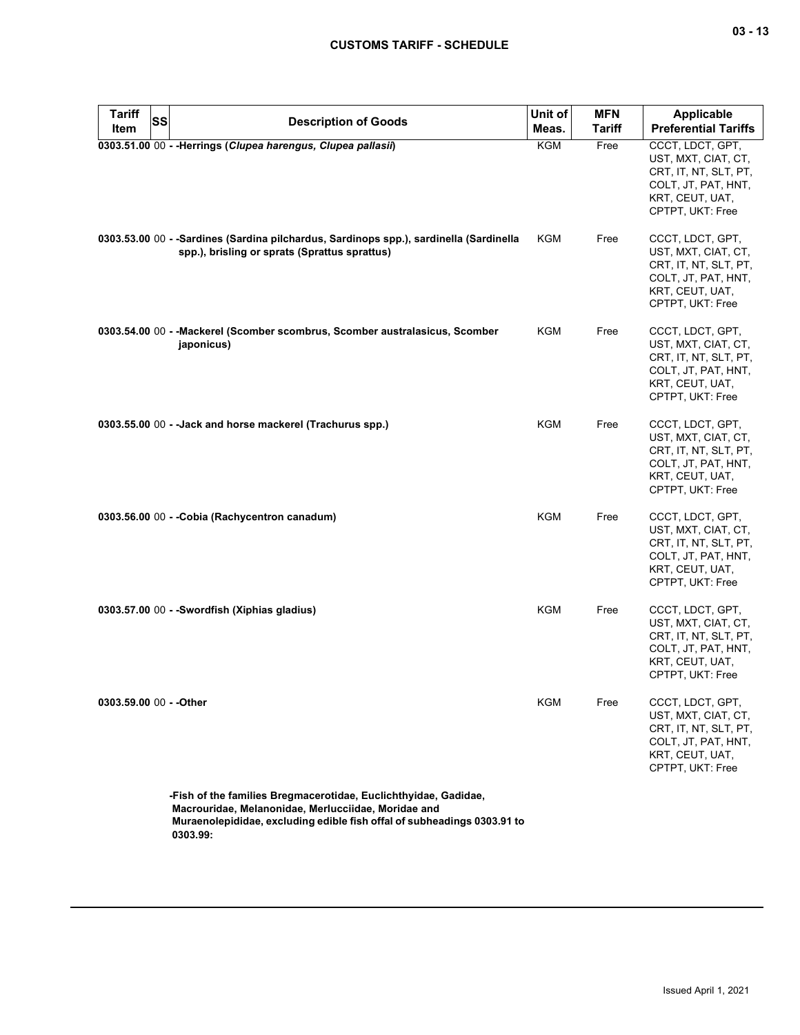| <b>Tariff</b><br>Item   | SS | <b>Description of Goods</b>                                                                                                                                                                       | Unit of<br>Meas. | <b>MFN</b><br><b>Tariff</b> | <b>Applicable</b><br><b>Preferential Tariffs</b>                                                                               |
|-------------------------|----|---------------------------------------------------------------------------------------------------------------------------------------------------------------------------------------------------|------------------|-----------------------------|--------------------------------------------------------------------------------------------------------------------------------|
|                         |    | 0303.51.00 00 - - Herrings (Clupea harengus, Clupea pallasii)                                                                                                                                     | KGM              | Free                        | CCCT, LDCT, GPT,                                                                                                               |
|                         |    |                                                                                                                                                                                                   |                  |                             | UST, MXT, CIAT, CT,<br>CRT, IT, NT, SLT, PT,<br>COLT, JT, PAT, HNT,<br>KRT, CEUT, UAT,<br>CPTPT, UKT: Free                     |
|                         |    | 0303.53.00 00 - -Sardines (Sardina pilchardus, Sardinops spp.), sardinella (Sardinella<br>spp.), brisling or sprats (Sprattus sprattus)                                                           | KGM              | Free                        | CCCT, LDCT, GPT,<br>UST, MXT, CIAT, CT,<br>CRT, IT, NT, SLT, PT,<br>COLT, JT, PAT, HNT,<br>KRT, CEUT, UAT,<br>CPTPT, UKT: Free |
|                         |    | 0303.54.00 00 - -Mackerel (Scomber scombrus, Scomber australasicus, Scomber<br>japonicus)                                                                                                         | KGM              | Free                        | CCCT, LDCT, GPT,<br>UST, MXT, CIAT, CT,<br>CRT, IT, NT, SLT, PT,<br>COLT, JT, PAT, HNT,<br>KRT, CEUT, UAT,<br>CPTPT, UKT: Free |
|                         |    | 0303.55.00 00 - - Jack and horse mackerel (Trachurus spp.)                                                                                                                                        | <b>KGM</b>       | Free                        | CCCT, LDCT, GPT,<br>UST, MXT, CIAT, CT,<br>CRT, IT, NT, SLT, PT,<br>COLT, JT, PAT, HNT,<br>KRT, CEUT, UAT,<br>CPTPT, UKT: Free |
|                         |    | 0303.56.00 00 - - Cobia (Rachycentron canadum)                                                                                                                                                    | KGM              | Free                        | CCCT, LDCT, GPT,<br>UST, MXT, CIAT, CT,<br>CRT, IT, NT, SLT, PT,<br>COLT, JT, PAT, HNT,<br>KRT, CEUT, UAT,<br>CPTPT, UKT: Free |
|                         |    | 0303.57.00 00 - -Swordfish (Xiphias gladius)                                                                                                                                                      | KGM              | Free                        | CCCT, LDCT, GPT,<br>UST, MXT, CIAT, CT,<br>CRT, IT, NT, SLT, PT,<br>COLT, JT, PAT, HNT,<br>KRT, CEUT, UAT,<br>CPTPT, UKT: Free |
| 0303.59.00 00 - - Other |    |                                                                                                                                                                                                   | KGM              | Free                        | CCCT, LDCT, GPT,<br>UST, MXT, CIAT, CT,<br>CRT, IT, NT, SLT, PT,<br>COLT, JT, PAT, HNT,<br>KRT, CEUT, UAT,<br>CPTPT, UKT: Free |
|                         |    | -Fish of the families Bregmacerotidae, Euclichthyidae, Gadidae,<br>Macrouridae, Melanonidae, Merlucciidae, Moridae and<br>Muraenolepididae, excluding edible fish offal of subheadings 0303.91 to |                  |                             |                                                                                                                                |

**0303.99:**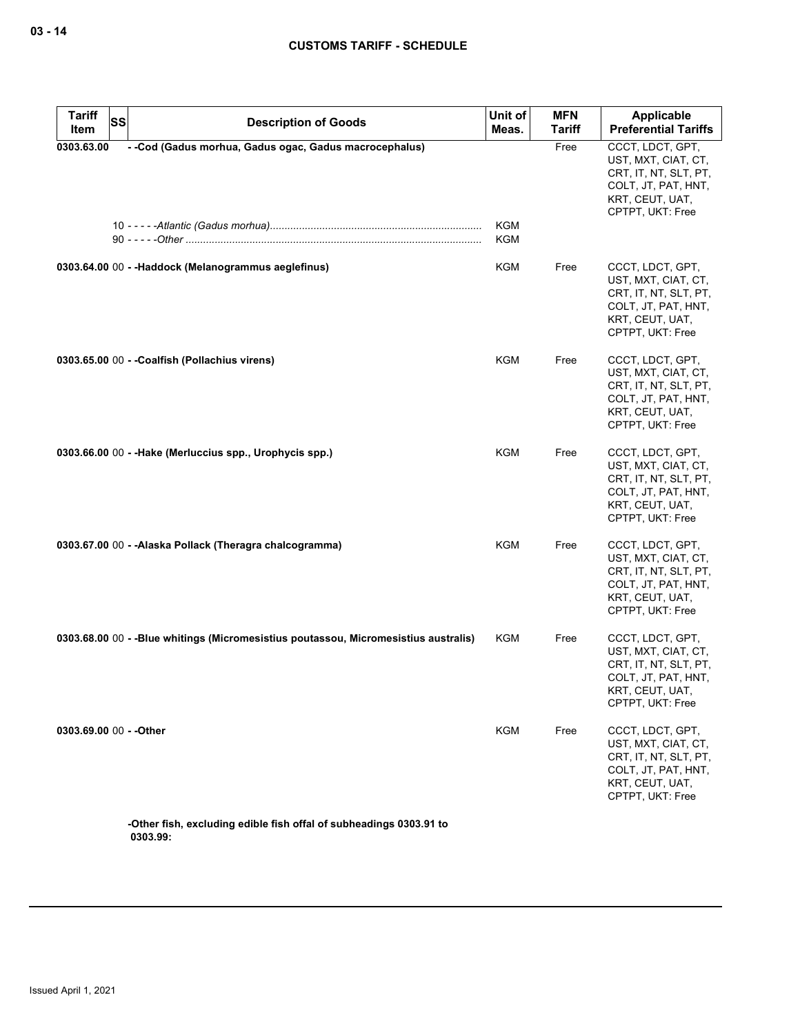| <b>Tariff</b><br>SS<br>Item | <b>Description of Goods</b>                                                         | Unit of<br>Meas. | <b>MFN</b><br>Tariff | Applicable<br><b>Preferential Tariffs</b>                                                                                      |
|-----------------------------|-------------------------------------------------------------------------------------|------------------|----------------------|--------------------------------------------------------------------------------------------------------------------------------|
| 0303.63.00                  | - -Cod (Gadus morhua, Gadus ogac, Gadus macrocephalus)                              | KGM<br>KGM       | Free                 | CCCT, LDCT, GPT,<br>UST, MXT, CIAT, CT,<br>CRT, IT, NT, SLT, PT,<br>COLT, JT, PAT, HNT,<br>KRT, CEUT, UAT,<br>CPTPT, UKT: Free |
|                             | 0303.64.00 00 - - Haddock (Melanogrammus aeglefinus)                                | KGM              | Free                 | CCCT, LDCT, GPT,<br>UST, MXT, CIAT, CT,<br>CRT, IT, NT, SLT, PT,<br>COLT, JT, PAT, HNT,<br>KRT, CEUT, UAT,<br>CPTPT, UKT: Free |
|                             | 0303.65.00 00 - - Coalfish (Pollachius virens)                                      | KGM              | Free                 | CCCT, LDCT, GPT,<br>UST, MXT, CIAT, CT,<br>CRT, IT, NT, SLT, PT,<br>COLT, JT, PAT, HNT,<br>KRT, CEUT, UAT,<br>CPTPT, UKT: Free |
|                             | 0303.66.00 00 - -Hake (Merluccius spp., Urophycis spp.)                             | <b>KGM</b>       | Free                 | CCCT, LDCT, GPT,<br>UST, MXT, CIAT, CT,<br>CRT, IT, NT, SLT, PT,<br>COLT, JT, PAT, HNT,<br>KRT, CEUT, UAT,<br>CPTPT, UKT: Free |
|                             | 0303.67.00 00 - -Alaska Pollack (Theragra chalcogramma)                             | KGM              | Free                 | CCCT, LDCT, GPT,<br>UST, MXT, CIAT, CT,<br>CRT, IT, NT, SLT, PT,<br>COLT, JT, PAT, HNT,<br>KRT, CEUT, UAT,<br>CPTPT, UKT: Free |
|                             | 0303.68.00 00 - -Blue whitings (Micromesistius poutassou, Micromesistius australis) | KGM              | Free                 | CCCT, LDCT, GPT,<br>UST, MXT, CIAT, CT,<br>CRT, IT, NT, SLT, PT,<br>COLT, JT, PAT, HNT,<br>KRT, CEUT, UAT,<br>CPTPT, UKT: Free |
| 0303.69.00 00 - - Other     |                                                                                     | KGM              | Free                 | CCCT, LDCT, GPT,<br>UST, MXT, CIAT, CT,<br>CRT, IT, NT, SLT, PT,<br>COLT, JT, PAT, HNT,<br>KRT, CEUT, UAT,<br>CPTPT, UKT: Free |
|                             | -Other fish, excluding edible fish offal of subheadings 0303.91 to                  |                  |                      |                                                                                                                                |

**0303.99:**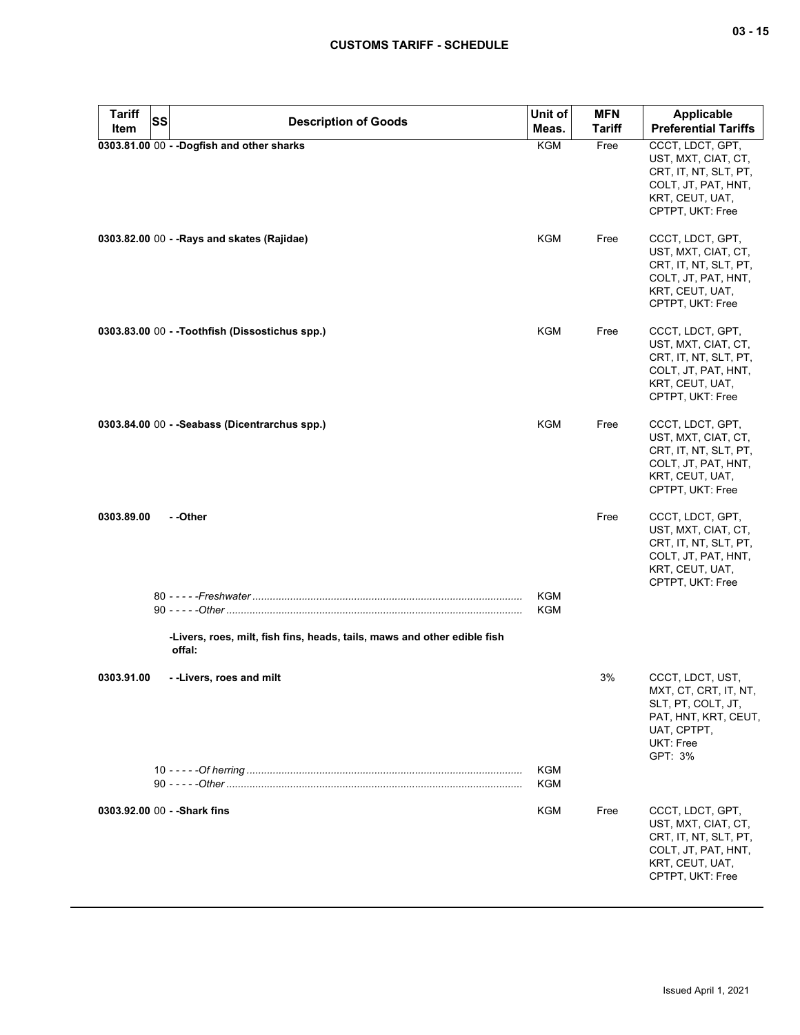| Tariff<br>SS                 | <b>Description of Goods</b>                                                        | Unit of    | <b>MFN</b>    | <b>Applicable</b>                                                                                                              |
|------------------------------|------------------------------------------------------------------------------------|------------|---------------|--------------------------------------------------------------------------------------------------------------------------------|
| Item                         |                                                                                    | Meas.      | <b>Tariff</b> | <b>Preferential Tariffs</b>                                                                                                    |
|                              | 0303.81.00 00 - - Dogfish and other sharks                                         | KGM        | Free          | CCCT, LDCT, GPT,<br>UST, MXT, CIAT, CT,<br>CRT, IT, NT, SLT, PT,<br>COLT, JT, PAT, HNT,<br>KRT, CEUT, UAT,<br>CPTPT, UKT: Free |
|                              | 0303.82.00 00 - - Rays and skates (Rajidae)                                        | KGM        | Free          | CCCT, LDCT, GPT,<br>UST, MXT, CIAT, CT,<br>CRT, IT, NT, SLT, PT,<br>COLT, JT, PAT, HNT,<br>KRT, CEUT, UAT,<br>CPTPT, UKT: Free |
|                              | 0303.83.00 00 - -Toothfish (Dissostichus spp.)                                     | KGM        | Free          | CCCT, LDCT, GPT,<br>UST, MXT, CIAT, CT,<br>CRT, IT, NT, SLT, PT,<br>COLT, JT, PAT, HNT,<br>KRT, CEUT, UAT,<br>CPTPT, UKT: Free |
|                              | 0303.84.00 00 - - Seabass (Dicentrarchus spp.)                                     | KGM        | Free          | CCCT, LDCT, GPT,<br>UST, MXT, CIAT, CT,<br>CRT, IT, NT, SLT, PT,<br>COLT, JT, PAT, HNT,<br>KRT, CEUT, UAT,<br>CPTPT, UKT: Free |
| 0303.89.00                   | - -Other                                                                           |            | Free          | CCCT, LDCT, GPT,<br>UST, MXT, CIAT, CT,<br>CRT, IT, NT, SLT, PT,<br>COLT, JT, PAT, HNT,<br>KRT, CEUT, UAT,<br>CPTPT, UKT: Free |
|                              |                                                                                    | <b>KGM</b> |               |                                                                                                                                |
|                              |                                                                                    | KGM        |               |                                                                                                                                |
|                              | -Livers, roes, milt, fish fins, heads, tails, maws and other edible fish<br>offal: |            |               |                                                                                                                                |
| 0303.91.00                   | --Livers, roes and milt                                                            |            | 3%            | CCCT, LDCT, UST,<br>MXI, CI, CRI, II, NI,<br>SLT, PT, COLT, JT,<br>PAT, HNT, KRT, CEUT,<br>UAT, CPTPT,<br>UKT: Free            |
|                              |                                                                                    | KGM<br>KGM |               | GPT: 3%                                                                                                                        |
| 0303.92.00 00 - - Shark fins |                                                                                    | KGM        | Free          | CCCT, LDCT, GPT,<br>UST, MXT, CIAT, CT,<br>CRT, IT, NT, SLT, PT,<br>COLT, JT, PAT, HNT,<br>KRT, CEUT, UAT,<br>CPTPT, UKT: Free |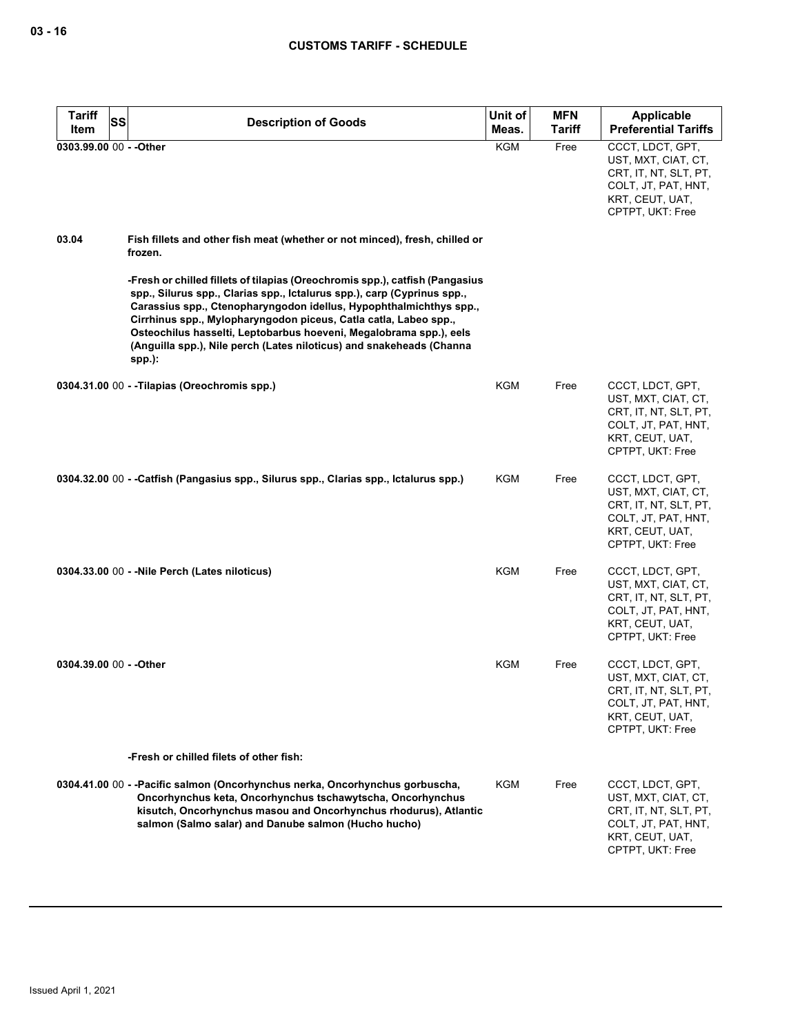| <b>Tariff</b><br>SS     | <b>Description of Goods</b>                                                                                                                                                                                                                                                                                                                                                                                                                                 | Unit of    | <b>MFN</b>    | <b>Applicable</b>                                                                                                              |
|-------------------------|-------------------------------------------------------------------------------------------------------------------------------------------------------------------------------------------------------------------------------------------------------------------------------------------------------------------------------------------------------------------------------------------------------------------------------------------------------------|------------|---------------|--------------------------------------------------------------------------------------------------------------------------------|
| Item                    |                                                                                                                                                                                                                                                                                                                                                                                                                                                             | Meas.      | <b>Tariff</b> | <b>Preferential Tariffs</b>                                                                                                    |
| 0303.99.00 00 - - Other |                                                                                                                                                                                                                                                                                                                                                                                                                                                             | <b>KGM</b> | Free          | CCCT, LDCT, GPT,<br>UST, MXT, CIAT, CT,<br>CRT, IT, NT, SLT, PT,<br>COLT, JT, PAT, HNT,<br>KRT, CEUT, UAT,<br>CPTPT, UKT: Free |
| 03.04                   | Fish fillets and other fish meat (whether or not minced), fresh, chilled or<br>frozen.                                                                                                                                                                                                                                                                                                                                                                      |            |               |                                                                                                                                |
|                         | -Fresh or chilled fillets of tilapias (Oreochromis spp.), catfish (Pangasius<br>spp., Silurus spp., Clarias spp., Ictalurus spp.), carp (Cyprinus spp.,<br>Carassius spp., Ctenopharyngodon idellus, Hypophthalmichthys spp.,<br>Cirrhinus spp., Mylopharyngodon piceus, Catla catla, Labeo spp.,<br>Osteochilus hasselti, Leptobarbus hoeveni, Megalobrama spp.), eels<br>(Anguilla spp.), Nile perch (Lates niloticus) and snakeheads (Channa<br>$spp.$ : |            |               |                                                                                                                                |
|                         | 0304.31.00 00 - - Tilapias (Oreochromis spp.)                                                                                                                                                                                                                                                                                                                                                                                                               | KGM        | Free          | CCCT, LDCT, GPT,<br>UST, MXT, CIAT, CT,<br>CRT, IT, NT, SLT, PT,<br>COLT, JT, PAT, HNT,<br>KRT, CEUT, UAT,<br>CPTPT, UKT: Free |
|                         | 0304.32.00 00 - -Catfish (Pangasius spp., Silurus spp., Clarias spp., Ictalurus spp.)                                                                                                                                                                                                                                                                                                                                                                       | KGM        | Free          | CCCT, LDCT, GPT,<br>UST, MXT, CIAT, CT,<br>CRT, IT, NT, SLT, PT,<br>COLT, JT, PAT, HNT,<br>KRT, CEUT, UAT,<br>CPTPT, UKT: Free |
|                         | 0304.33.00 00 - - Nile Perch (Lates niloticus)                                                                                                                                                                                                                                                                                                                                                                                                              | KGM        | Free          | CCCT, LDCT, GPT,<br>UST, MXT, CIAT, CT,<br>CRT, IT, NT, SLT, PT,<br>COLT, JT, PAT, HNT,<br>KRT, CEUT, UAT,<br>CPTPT, UKT: Free |
| 0304.39.00 00 - - Other |                                                                                                                                                                                                                                                                                                                                                                                                                                                             | KGM        | Free          | CCCT, LDCT, GPT,<br>UST, MXT, CIAT, CT,<br>CRT, IT, NT, SLT, PT,<br>COLT, JT, PAT, HNT,<br>KRT, CEUT, UAT,<br>CPTPT, UKT: Free |
|                         | -Fresh or chilled filets of other fish:                                                                                                                                                                                                                                                                                                                                                                                                                     |            |               |                                                                                                                                |
|                         | 0304.41.00 00 - - Pacific salmon (Oncorhynchus nerka, Oncorhynchus gorbuscha,<br>Oncorhynchus keta, Oncorhynchus tschawytscha, Oncorhynchus<br>kisutch, Oncorhynchus masou and Oncorhynchus rhodurus), Atlantic<br>salmon (Salmo salar) and Danube salmon (Hucho hucho)                                                                                                                                                                                     | KGM        | Free          | CCCT, LDCT, GPT,<br>UST, MXT, CIAT, CT,<br>CRT, IT, NT, SLT, PT,<br>COLT, JT, PAT, HNT,<br>KRT, CEUT, UAT,<br>CPTPT, UKT: Free |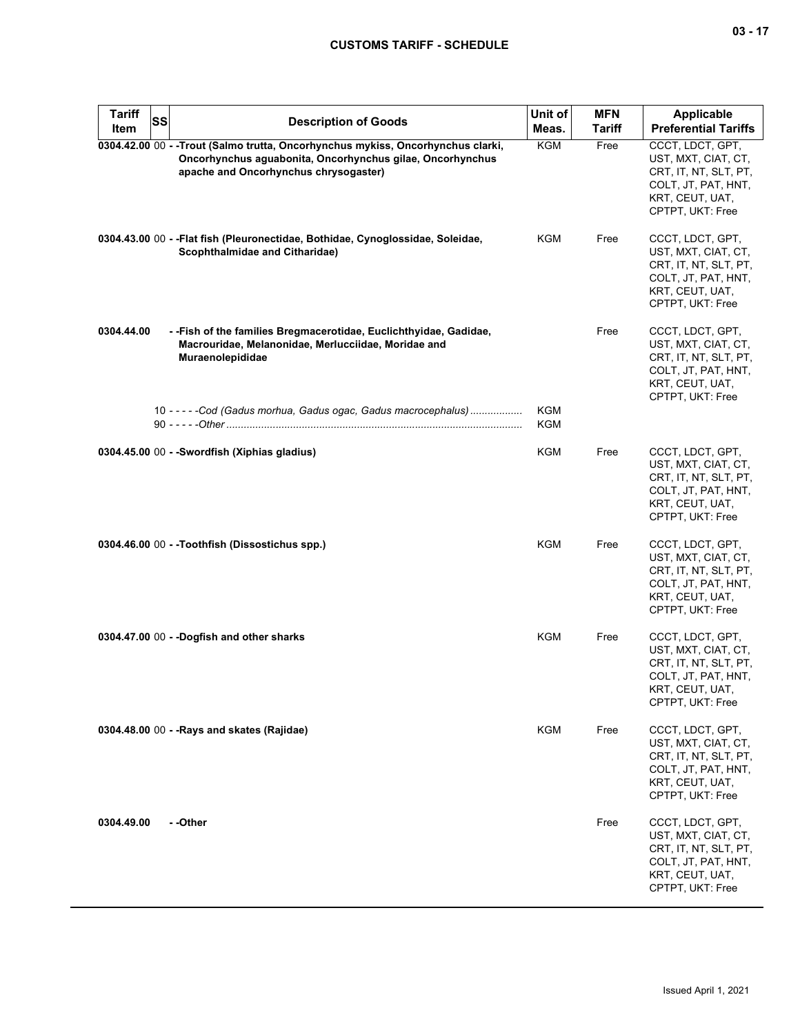| <b>Tariff</b><br>Item | SS | <b>Description of Goods</b>                                                                                                                                                            | Unit of<br>Meas. | <b>MFN</b><br><b>Tariff</b> | Applicable<br><b>Preferential Tariffs</b>                                                                                      |
|-----------------------|----|----------------------------------------------------------------------------------------------------------------------------------------------------------------------------------------|------------------|-----------------------------|--------------------------------------------------------------------------------------------------------------------------------|
|                       |    | 0304.42.00 00 - - Trout (Salmo trutta, Oncorhynchus mykiss, Oncorhynchus clarki,<br>Oncorhynchus aguabonita, Oncorhynchus gilae, Oncorhynchus<br>apache and Oncorhynchus chrysogaster) | <b>KGM</b>       | Free                        | CCCT, LDCT, GPT,<br>UST, MXT, CIAT, CT,<br>CRT, IT, NT, SLT, PT,<br>COLT, JT, PAT, HNT,<br>KRT, CEUT, UAT,<br>CPTPT, UKT: Free |
|                       |    | 0304.43.00 00 - - Flat fish (Pleuronectidae, Bothidae, Cynoglossidae, Soleidae,<br>Scophthalmidae and Citharidae)                                                                      | KGM              | Free                        | CCCT, LDCT, GPT,<br>UST, MXT, CIAT, CT,<br>CRT, IT, NT, SLT, PT,<br>COLT, JT, PAT, HNT,<br>KRT, CEUT, UAT,<br>CPTPT, UKT: Free |
| 0304.44.00            |    | - - Fish of the families Bregmacerotidae, Euclichthyidae, Gadidae,<br>Macrouridae, Melanonidae, Merlucciidae, Moridae and<br>Muraenolepididae                                          |                  | Free                        | CCCT, LDCT, GPT,<br>UST, MXT, CIAT, CT,<br>CRT, IT, NT, SLT, PT,<br>COLT, JT, PAT, HNT,<br>KRT, CEUT, UAT,<br>CPTPT, UKT: Free |
|                       |    | 10 - - - - - Cod (Gadus morhua, Gadus ogac, Gadus macrocephalus)                                                                                                                       | KGM<br>KGM       |                             |                                                                                                                                |
|                       |    | 0304.45.00 00 - - Swordfish (Xiphias gladius)                                                                                                                                          | KGM              | Free                        | CCCT, LDCT, GPT,<br>UST, MXT, CIAT, CT,<br>CRT, IT, NT, SLT, PT,<br>COLT, JT, PAT, HNT,<br>KRT, CEUT, UAT,<br>CPTPT, UKT: Free |
|                       |    | 0304.46.00 00 - -Toothfish (Dissostichus spp.)                                                                                                                                         | <b>KGM</b>       | Free                        | CCCT, LDCT, GPT,<br>UST, MXT, CIAT, CT,<br>CRT, IT, NT, SLT, PT,<br>COLT, JT, PAT, HNT,<br>KRT, CEUT, UAT,<br>CPTPT, UKT: Free |
|                       |    | 0304.47.00 00 - - Dogfish and other sharks                                                                                                                                             | KGM              | Free                        | CCCT, LDCT, GPT,<br>UST, MXT, CIAT, CT,<br>CRT, IT, NT, SLT, PT,<br>COLT, JT, PAT, HNT,<br>KRI, CEUI, UAI,<br>CPTPT, UKT: Free |
|                       |    | 0304.48.00 00 - - Rays and skates (Rajidae)                                                                                                                                            | <b>KGM</b>       | Free                        | CCCT, LDCT, GPT,<br>UST, MXT, CIAT, CT,<br>CRT, IT, NT, SLT, PT,<br>COLT, JT, PAT, HNT,<br>KRT, CEUT, UAT,<br>CPTPT, UKT: Free |
| 0304.49.00            |    | - -Other                                                                                                                                                                               |                  | Free                        | CCCT, LDCT, GPT,<br>UST, MXT, CIAT, CT,<br>CRT, IT, NT, SLT, PT,<br>COLT, JT, PAT, HNT,<br>KRT, CEUT, UAT,<br>CPTPT, UKT: Free |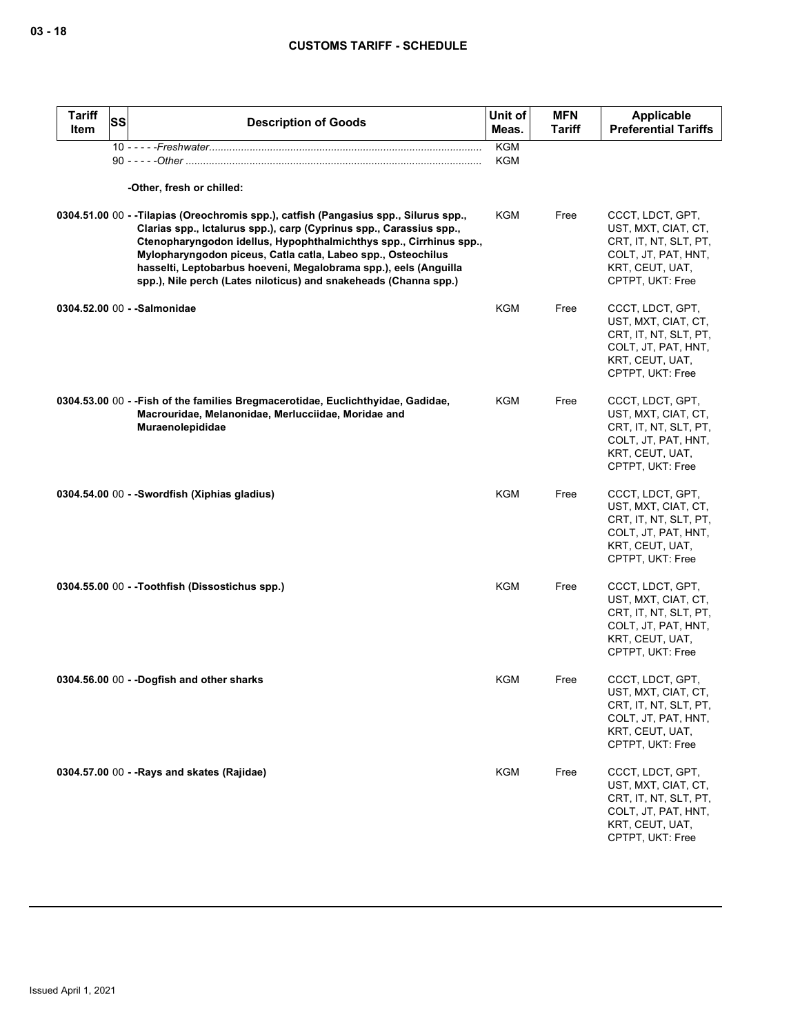| <b>Tariff</b><br>ltem | SS | <b>Description of Goods</b>                                                                                                                                                                                                                                                                                                                                                                                                               | Unit of<br>Meas.  | <b>MFN</b><br><b>Tariff</b> | Applicable<br><b>Preferential Tariffs</b>                                                                                      |
|-----------------------|----|-------------------------------------------------------------------------------------------------------------------------------------------------------------------------------------------------------------------------------------------------------------------------------------------------------------------------------------------------------------------------------------------------------------------------------------------|-------------------|-----------------------------|--------------------------------------------------------------------------------------------------------------------------------|
|                       |    |                                                                                                                                                                                                                                                                                                                                                                                                                                           | <b>KGM</b><br>KGM |                             |                                                                                                                                |
|                       |    |                                                                                                                                                                                                                                                                                                                                                                                                                                           |                   |                             |                                                                                                                                |
|                       |    | -Other, fresh or chilled:                                                                                                                                                                                                                                                                                                                                                                                                                 |                   |                             |                                                                                                                                |
|                       |    | 0304.51.00 00 - -Tilapias (Oreochromis spp.), catfish (Pangasius spp., Silurus spp.,<br>Clarias spp., Ictalurus spp.), carp (Cyprinus spp., Carassius spp.,<br>Ctenopharyngodon idellus, Hypophthalmichthys spp., Cirrhinus spp.,<br>Mylopharyngodon piceus, Catla catla, Labeo spp., Osteochilus<br>hasselti, Leptobarbus hoeveni, Megalobrama spp.), eels (Anguilla<br>spp.), Nile perch (Lates niloticus) and snakeheads (Channa spp.) | <b>KGM</b>        | Free                        | CCCT, LDCT, GPT,<br>UST, MXT, CIAT, CT,<br>CRT, IT, NT, SLT, PT,<br>COLT, JT, PAT, HNT,<br>KRT, CEUT, UAT,<br>CPTPT, UKT: Free |
|                       |    | 0304.52.00 00 - - Salmonidae                                                                                                                                                                                                                                                                                                                                                                                                              | <b>KGM</b>        | Free                        | CCCT, LDCT, GPT,<br>UST, MXT, CIAT, CT,<br>CRT, IT, NT, SLT, PT,<br>COLT, JT, PAT, HNT,<br>KRT, CEUT, UAT,<br>CPTPT, UKT: Free |
|                       |    | 0304.53.00 00 - - Fish of the families Bregmacerotidae, Euclichthyidae, Gadidae,<br>Macrouridae, Melanonidae, Merlucciidae, Moridae and<br><b>Muraenolepididae</b>                                                                                                                                                                                                                                                                        | <b>KGM</b>        | Free                        | CCCT, LDCT, GPT,<br>UST, MXT, CIAT, CT,<br>CRT, IT, NT, SLT, PT,<br>COLT, JT, PAT, HNT,<br>KRT, CEUT, UAT,<br>CPTPT, UKT: Free |
|                       |    | 0304.54.00 00 - -Swordfish (Xiphias gladius)                                                                                                                                                                                                                                                                                                                                                                                              | <b>KGM</b>        | Free                        | CCCT, LDCT, GPT,<br>UST, MXT, CIAT, CT,<br>CRT, IT, NT, SLT, PT,<br>COLT, JT, PAT, HNT,<br>KRT, CEUT, UAT,<br>CPTPT, UKT: Free |
|                       |    | 0304.55.00 00 - -Toothfish (Dissostichus spp.)                                                                                                                                                                                                                                                                                                                                                                                            | <b>KGM</b>        | Free                        | CCCT, LDCT, GPT,<br>UST, MXT, CIAT, CT,<br>CRT, IT, NT, SLT, PT,<br>COLT, JT, PAT, HNT,<br>KRT, CEUT, UAT,<br>CPTPT, UKT: Free |
|                       |    | 0304.56.00 00 - -Dogfish and other sharks                                                                                                                                                                                                                                                                                                                                                                                                 | KGM               | Free                        | CCCT, LDCT, GPT,<br>UST, MXT, CIAT, CT,<br>CRT, IT, NT, SLT, PT,<br>COLT, JT, PAT, HNT,<br>KRT, CEUT, UAT,<br>CPTPT, UKT: Free |
|                       |    | 0304.57.00 00 - - Rays and skates (Rajidae)                                                                                                                                                                                                                                                                                                                                                                                               | KGM               | Free                        | CCCT, LDCT, GPT,<br>UST, MXT, CIAT, CT,<br>CRT, IT, NT, SLT, PT,<br>COLT, JT, PAT, HNT,<br>KRT, CEUT, UAT,<br>CPTPT, UKT: Free |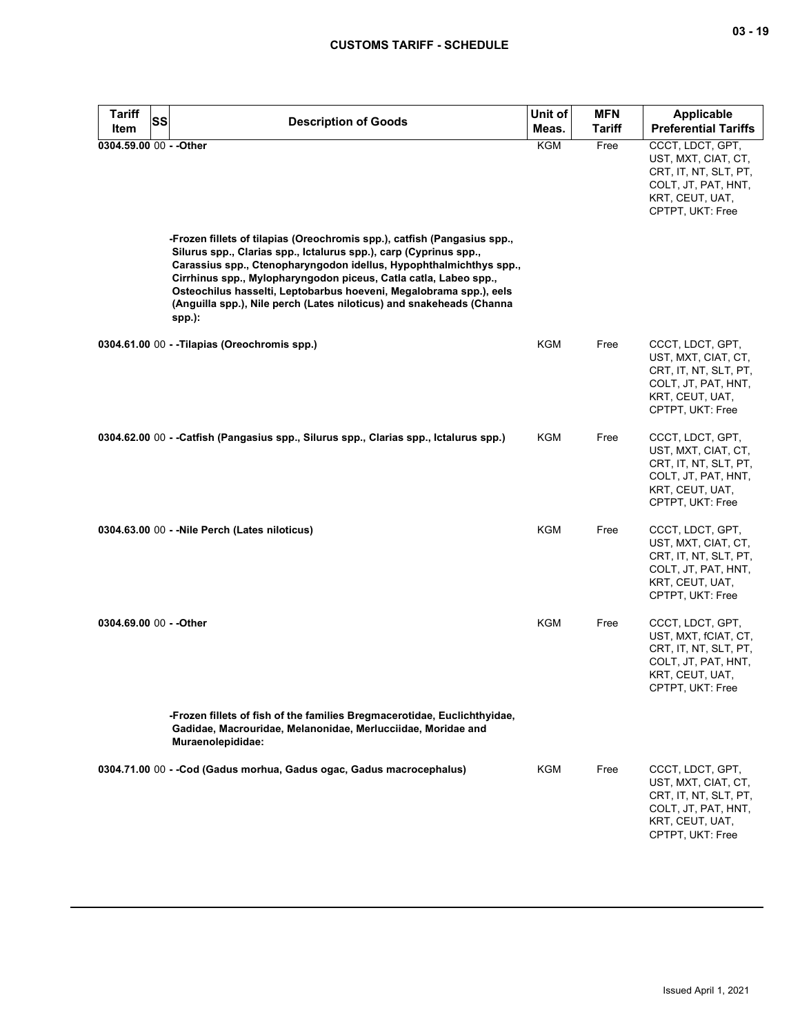| <b>Tariff</b><br>Item   | <b>SS</b> | <b>Description of Goods</b>                                                                                                                                                                                                                                                                                                                                                                                                                       | Unit of<br>Meas. | <b>MFN</b><br><b>Tariff</b> | <b>Applicable</b><br><b>Preferential Tariffs</b>                                                                                |
|-------------------------|-----------|---------------------------------------------------------------------------------------------------------------------------------------------------------------------------------------------------------------------------------------------------------------------------------------------------------------------------------------------------------------------------------------------------------------------------------------------------|------------------|-----------------------------|---------------------------------------------------------------------------------------------------------------------------------|
| 0304.59.00 00 - - Other |           |                                                                                                                                                                                                                                                                                                                                                                                                                                                   | <b>KGM</b>       | Free                        | CCCT, LDCT, GPT,<br>UST, MXT, CIAT, CT,<br>CRT, IT, NT, SLT, PT,<br>COLT, JT, PAT, HNT,<br>KRT, CEUT, UAT,<br>CPTPT, UKT: Free  |
|                         |           | -Frozen fillets of tilapias (Oreochromis spp.), catfish (Pangasius spp.,<br>Silurus spp., Clarias spp., Ictalurus spp.), carp (Cyprinus spp.,<br>Carassius spp., Ctenopharyngodon idellus, Hypophthalmichthys spp.,<br>Cirrhinus spp., Mylopharyngodon piceus, Catla catla, Labeo spp.,<br>Osteochilus hasselti, Leptobarbus hoeveni, Megalobrama spp.), eels<br>(Anguilla spp.), Nile perch (Lates niloticus) and snakeheads (Channa<br>$spp.$ : |                  |                             |                                                                                                                                 |
|                         |           | 0304.61.00 00 - -Tilapias (Oreochromis spp.)                                                                                                                                                                                                                                                                                                                                                                                                      | KGM              | Free                        | CCCT, LDCT, GPT,<br>UST, MXT, CIAT, CT,<br>CRT, IT, NT, SLT, PT,<br>COLT, JT, PAT, HNT,<br>KRT, CEUT, UAT,<br>CPTPT, UKT: Free  |
|                         |           | 0304.62.00 00 - - Catfish (Pangasius spp., Silurus spp., Clarias spp., Ictalurus spp.)                                                                                                                                                                                                                                                                                                                                                            | KGM              | Free                        | CCCT, LDCT, GPT,<br>UST, MXT, CIAT, CT,<br>CRT, IT, NT, SLT, PT,<br>COLT, JT, PAT, HNT,<br>KRT, CEUT, UAT,<br>CPTPT, UKT: Free  |
|                         |           | 0304.63.00 00 - - Nile Perch (Lates niloticus)                                                                                                                                                                                                                                                                                                                                                                                                    | <b>KGM</b>       | Free                        | CCCT, LDCT, GPT,<br>UST, MXT, CIAT, CT,<br>CRT, IT, NT, SLT, PT,<br>COLT, JT, PAT, HNT,<br>KRT, CEUT, UAT,<br>CPTPT, UKT: Free  |
| 0304.69.00 00 - - Other |           |                                                                                                                                                                                                                                                                                                                                                                                                                                                   | KGM              | Free                        | CCCT, LDCT, GPT,<br>UST, MXT, fCIAT, CT,<br>CRT, IT, NT, SLT, PT,<br>COLT, JT, PAT, HNT,<br>KRT, CEUT, UAT,<br>CPTPT, UKT: Free |
|                         |           | -Frozen fillets of fish of the families Bregmacerotidae, Euclichthyidae,<br>Gadidae, Macrouridae, Melanonidae, Merlucciidae, Moridae and<br>Muraenolepididae:                                                                                                                                                                                                                                                                                     |                  |                             |                                                                                                                                 |
|                         |           | 0304.71.00 00 - - Cod (Gadus morhua, Gadus ogac, Gadus macrocephalus)                                                                                                                                                                                                                                                                                                                                                                             | KGM              | Free                        | CCCT, LDCT, GPT,<br>UST, MXT, CIAT, CT,<br>CRT, IT, NT, SLT, PT,<br>COLT, JT, PAT, HNT,<br>KRT, CEUT, UAT,<br>CPTPT, UKT: Free  |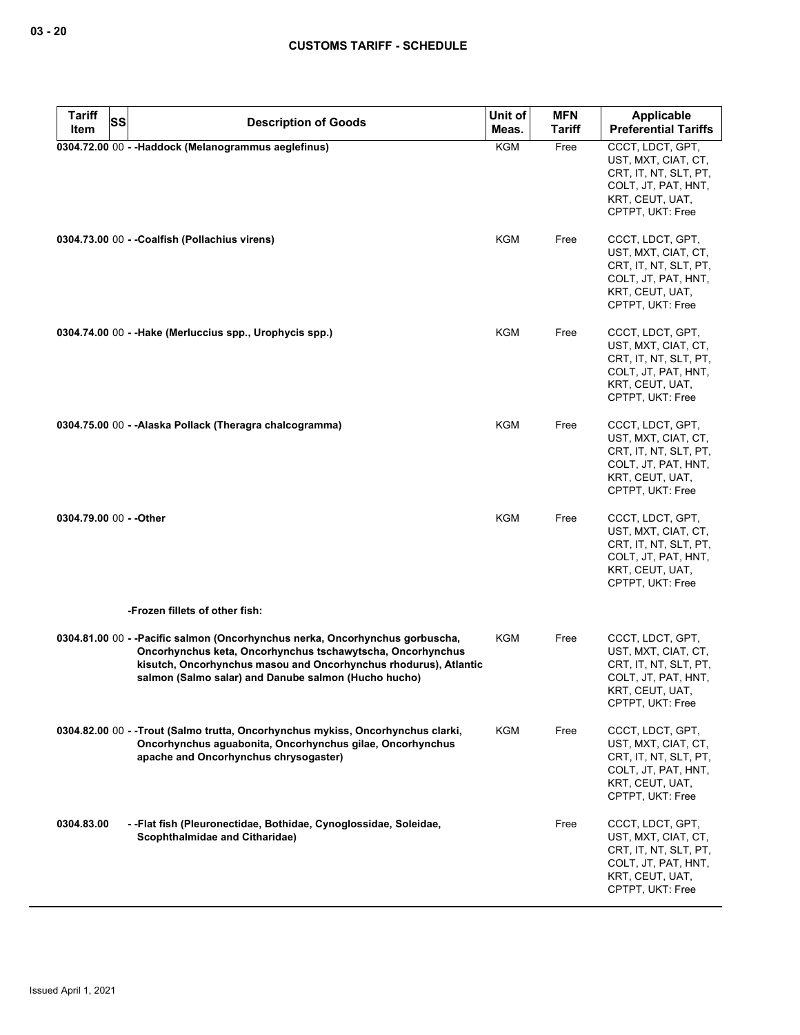| <b>Tariff</b><br>SS     |                                                                                                                                                                                                                                                                         | Unit of    | <b>MFN</b> | <b>Applicable</b>                                                                                                              |
|-------------------------|-------------------------------------------------------------------------------------------------------------------------------------------------------------------------------------------------------------------------------------------------------------------------|------------|------------|--------------------------------------------------------------------------------------------------------------------------------|
| Item                    | <b>Description of Goods</b>                                                                                                                                                                                                                                             | Meas.      | Tariff     | <b>Preferential Tariffs</b>                                                                                                    |
|                         | 0304.72.00 00 - - Haddock (Melanogrammus aeglefinus)                                                                                                                                                                                                                    | <b>KGM</b> | Free       | CCCT, LDCT, GPT,<br>UST, MXT, CIAT, CT,<br>CRT, IT, NT, SLT, PT,<br>COLT, JT, PAT, HNT,<br>KRT, CEUT, UAT,<br>CPTPT, UKT: Free |
|                         | 0304.73.00 00 - - Coalfish (Pollachius virens)                                                                                                                                                                                                                          | KGM        | Free       | CCCT, LDCT, GPT,<br>UST, MXT, CIAT, CT,<br>CRT, IT, NT, SLT, PT,<br>COLT, JT, PAT, HNT,<br>KRT, CEUT, UAT,<br>CPTPT, UKT: Free |
|                         | 0304.74.00 00 - -Hake (Merluccius spp., Urophycis spp.)                                                                                                                                                                                                                 | KGM        | Free       | CCCT, LDCT, GPT,<br>UST, MXT, CIAT, CT,<br>CRT, IT, NT, SLT, PT,<br>COLT, JT, PAT, HNT,<br>KRT, CEUT, UAT,<br>CPTPT, UKT: Free |
|                         | 0304.75.00 00 - -Alaska Pollack (Theragra chalcogramma)                                                                                                                                                                                                                 | <b>KGM</b> | Free       | CCCT, LDCT, GPT,<br>UST, MXT, CIAT, CT,<br>CRT, IT, NT, SLT, PT,<br>COLT, JT, PAT, HNT,<br>KRT, CEUT, UAT,<br>CPTPT, UKT: Free |
| 0304.79.00 00 - - Other |                                                                                                                                                                                                                                                                         | <b>KGM</b> | Free       | CCCT, LDCT, GPT,<br>UST, MXT, CIAT, CT,<br>CRT, IT, NT, SLT, PT,<br>COLT, JT, PAT, HNT,<br>KRT, CEUT, UAT,<br>CPTPT, UKT: Free |
|                         | -Frozen fillets of other fish:                                                                                                                                                                                                                                          |            |            |                                                                                                                                |
|                         | 0304.81.00 00 - - Pacific salmon (Oncorhynchus nerka, Oncorhynchus gorbuscha,<br>Oncorhynchus keta, Oncorhynchus tschawytscha, Oncorhynchus<br>kisutch, Oncorhynchus masou and Oncorhynchus rhodurus), Atlantic<br>salmon (Salmo salar) and Danube salmon (Hucho hucho) | KGM        | Free       | CCCT, LDCT, GPT,<br>UST, MXT, CIAT, CT,<br>CRT, IT, NT, SLT, PT,<br>COLT, JT, PAT, HNT,<br>KRT, CEUT, UAT,<br>CPTPT, UKT: Free |
|                         | 0304.82.00 00 - - Trout (Salmo trutta, Oncorhynchus mykiss, Oncorhynchus clarki,<br>Oncorhynchus aguabonita, Oncorhynchus gilae, Oncorhynchus<br>apache and Oncorhynchus chrysogaster)                                                                                  | <b>KGM</b> | Free       | CCCT, LDCT, GPT,<br>UST, MXT, CIAT, CT,<br>CRT, IT, NT, SLT, PT,<br>COLT, JT, PAT, HNT,<br>KRT, CEUT, UAT,<br>CPTPT, UKT: Free |
| 0304.83.00              | - - Flat fish (Pleuronectidae, Bothidae, Cynoglossidae, Soleidae,<br>Scophthalmidae and Citharidae)                                                                                                                                                                     |            | Free       | CCCT, LDCT, GPT,<br>UST, MXT, CIAT, CT,<br>CRT, IT, NT, SLT, PT,<br>COLT, JT, PAT, HNT,<br>KRT, CEUT, UAT,<br>CPTPT, UKT: Free |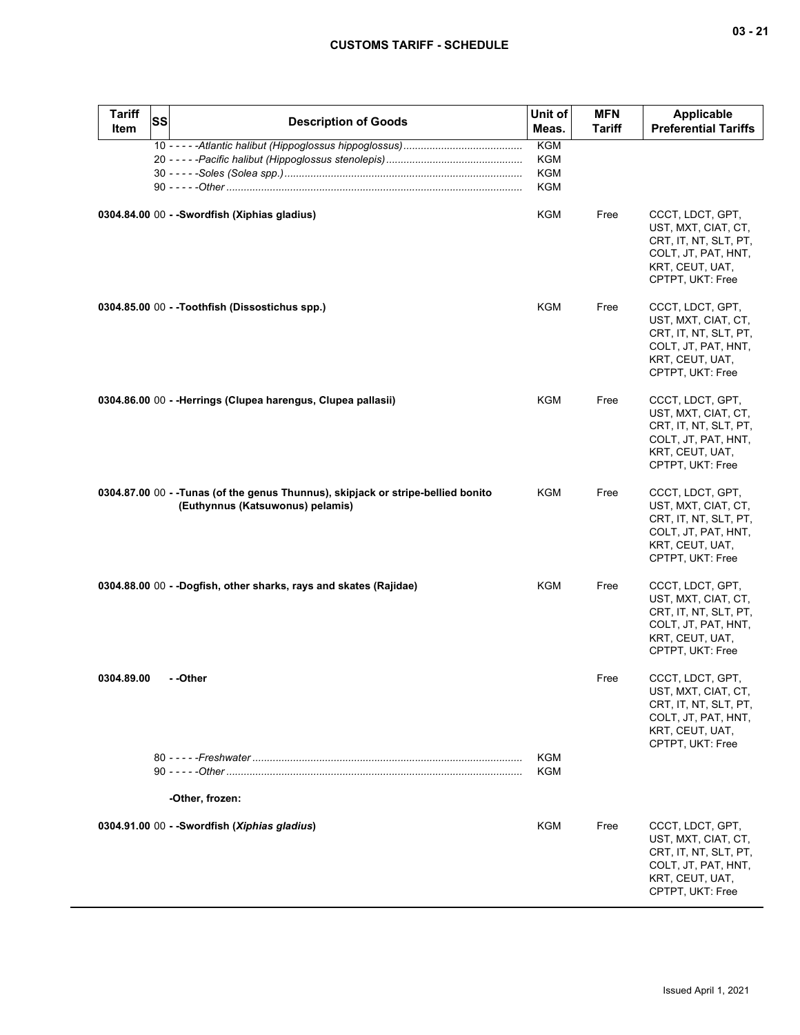| ъ<br>m<br>×<br>× |  | 4 |
|------------------|--|---|
|------------------|--|---|

| <b>Tariff</b><br><b>Item</b> | <b>SS</b> | <b>Description of Goods</b>                                                                                           | Unit of<br>Meas.                       | <b>MFN</b><br><b>Tariff</b> | <b>Applicable</b><br><b>Preferential Tariffs</b>                                                                               |
|------------------------------|-----------|-----------------------------------------------------------------------------------------------------------------------|----------------------------------------|-----------------------------|--------------------------------------------------------------------------------------------------------------------------------|
|                              |           |                                                                                                                       | <b>KGM</b><br>KGM<br><b>KGM</b><br>KGM |                             |                                                                                                                                |
|                              |           | 0304.84.00 00 - - Swordfish (Xiphias gladius)                                                                         | KGM                                    | Free                        | CCCT, LDCT, GPT,<br>UST, MXT, CIAT, CT,<br>CRT, IT, NT, SLT, PT,<br>COLT, JT, PAT, HNT,<br>KRT, CEUT, UAT,<br>CPTPT, UKT: Free |
|                              |           | 0304.85.00 00 - -Toothfish (Dissostichus spp.)                                                                        | KGM                                    | Free                        | CCCT, LDCT, GPT,<br>UST, MXT, CIAT, CT,<br>CRT, IT, NT, SLT, PT,<br>COLT, JT, PAT, HNT,<br>KRT, CEUT, UAT,<br>CPTPT, UKT: Free |
|                              |           | 0304.86.00 00 - -Herrings (Clupea harengus, Clupea pallasii)                                                          | <b>KGM</b>                             | Free                        | CCCT, LDCT, GPT,<br>UST, MXT, CIAT, CT,<br>CRT, IT, NT, SLT, PT,<br>COLT, JT, PAT, HNT,<br>KRT, CEUT, UAT,<br>CPTPT, UKT: Free |
|                              |           | 0304.87.00 00 - - Tunas (of the genus Thunnus), skipjack or stripe-bellied bonito<br>(Euthynnus (Katsuwonus) pelamis) | KGM                                    | Free                        | CCCT, LDCT, GPT,<br>UST, MXT, CIAT, CT,<br>CRT, IT, NT, SLT, PT,<br>COLT, JT, PAT, HNT,<br>KRT, CEUT, UAT,<br>CPTPT, UKT: Free |
|                              |           | 0304.88.00 00 - -Dogfish, other sharks, rays and skates (Rajidae)                                                     | KGM                                    | Free                        | CCCT, LDCT, GPT,<br>UST, MXT, CIAT, CT,<br>CRT, IT, NT, SLT, PT,<br>COLT, JT, PAT, HNT,<br>KRT, CEUT, UAT,<br>CPTPT, UKT: Free |
| 0304.89.00                   |           | - -Other                                                                                                              |                                        | Free                        | CCCT, LDCT, GPT,<br>UST, MXT, CIAT, CT,<br>CRT, IT, NT, SLT, PT,<br>COLT, JT, PAT, HNT,<br>KRT, CEUT, UAT,<br>CPTPT, UKT: Free |
|                              |           | -Other, frozen:                                                                                                       | <b>KGM</b><br>KGM                      |                             |                                                                                                                                |
|                              |           | 0304.91.00 00 - -Swordfish (Xiphias gladius)                                                                          | KGM                                    | Free                        | CCCT, LDCT, GPT,<br>UST, MXT, CIAT, CT,<br>CRT, IT, NT, SLT, PT,<br>COLT, JT, PAT, HNT,<br>KRT, CEUT, UAT,<br>CPTPT, UKT: Free |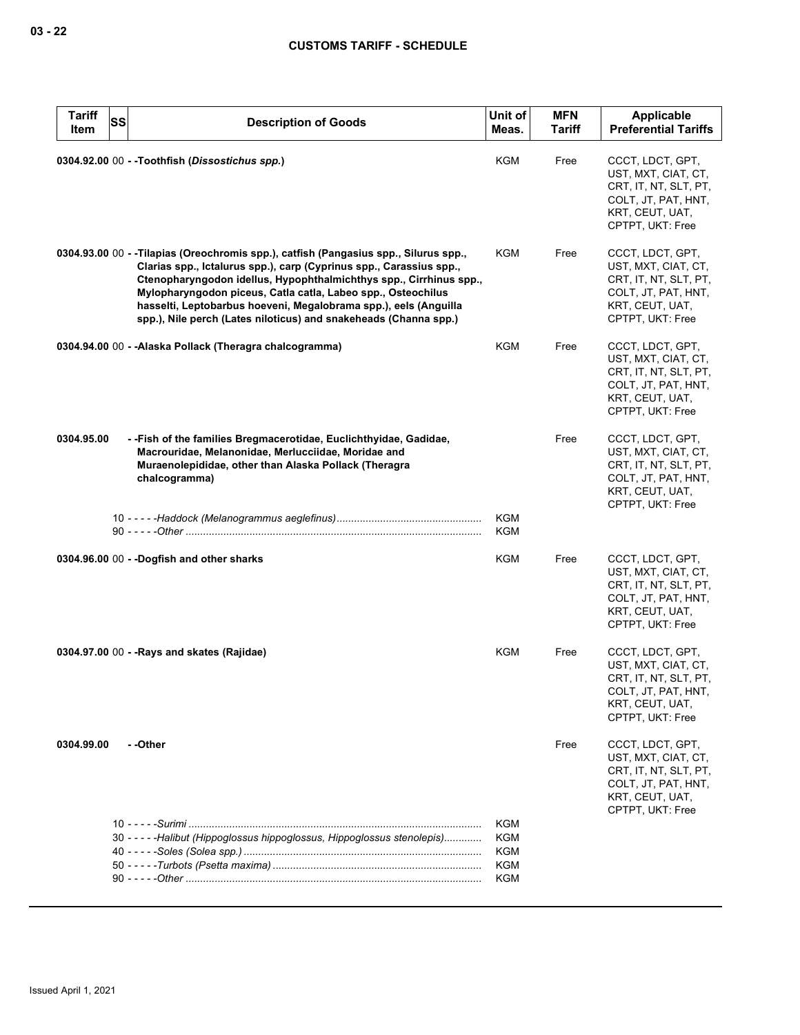| <b>Tariff</b><br>Item | <b>SS</b> | <b>Description of Goods</b>                                                                                                                                                                                                                                                                                                                                                                                                                | Unit of<br>Meas.         | <b>MFN</b><br>Tariff | <b>Applicable</b><br><b>Preferential Tariffs</b>                                                                               |
|-----------------------|-----------|--------------------------------------------------------------------------------------------------------------------------------------------------------------------------------------------------------------------------------------------------------------------------------------------------------------------------------------------------------------------------------------------------------------------------------------------|--------------------------|----------------------|--------------------------------------------------------------------------------------------------------------------------------|
|                       |           | 0304.92.00 00 - - Toothfish (Dissostichus spp.)                                                                                                                                                                                                                                                                                                                                                                                            | KGM                      | Free                 | CCCT, LDCT, GPT,<br>UST, MXT, CIAT, CT,<br>CRT, IT, NT, SLT, PT,<br>COLT, JT, PAT, HNT,<br>KRT, CEUT, UAT,<br>CPTPT, UKT: Free |
|                       |           | 0304.93.00 00 - - Tilapias (Oreochromis spp.), catfish (Pangasius spp., Silurus spp.,<br>Clarias spp., Ictalurus spp.), carp (Cyprinus spp., Carassius spp.,<br>Ctenopharyngodon idellus, Hypophthalmichthys spp., Cirrhinus spp.,<br>Mylopharyngodon piceus, Catla catla, Labeo spp., Osteochilus<br>hasselti, Leptobarbus hoeveni, Megalobrama spp.), eels (Anguilla<br>spp.), Nile perch (Lates niloticus) and snakeheads (Channa spp.) | KGM                      | Free                 | CCCT, LDCT, GPT,<br>UST, MXT, CIAT, CT,<br>CRT, IT, NT, SLT, PT,<br>COLT, JT, PAT, HNT,<br>KRT, CEUT, UAT,<br>CPTPT, UKT: Free |
|                       |           | 0304.94.00 00 - - Alaska Pollack (Theragra chalcogramma)                                                                                                                                                                                                                                                                                                                                                                                   | <b>KGM</b>               | Free                 | CCCT, LDCT, GPT,<br>UST, MXT, CIAT, CT,<br>CRT, IT, NT, SLT, PT,<br>COLT, JT, PAT, HNT,<br>KRT, CEUT, UAT,<br>CPTPT, UKT: Free |
| 0304.95.00            |           | - -Fish of the families Bregmacerotidae, Euclichthyidae, Gadidae,<br>Macrouridae, Melanonidae, Merlucciidae, Moridae and<br>Muraenolepididae, other than Alaska Pollack (Theragra<br>chalcogramma)                                                                                                                                                                                                                                         |                          | Free                 | CCCT, LDCT, GPT,<br>UST, MXT, CIAT, CT,<br>CRT, IT, NT, SLT, PT,<br>COLT, JT, PAT, HNT,<br>KRT, CEUT, UAT,<br>CPTPT, UKT: Free |
|                       |           |                                                                                                                                                                                                                                                                                                                                                                                                                                            | <b>KGM</b><br>KGM        |                      |                                                                                                                                |
|                       |           | 0304.96.00 00 - -Dogfish and other sharks                                                                                                                                                                                                                                                                                                                                                                                                  | KGM                      | Free                 | CCCT, LDCT, GPT,<br>UST, MXT, CIAT, CT,<br>CRT, IT, NT, SLT, PT,<br>COLT, JT, PAT, HNT,<br>KRT, CEUT, UAT,<br>CPTPT, UKT: Free |
|                       |           | 0304.97.00 00 - - Rays and skates (Rajidae)                                                                                                                                                                                                                                                                                                                                                                                                | <b>KGM</b>               | Free                 | CCCT, LDCT, GPT,<br>UST, MXT, CIAT, CT,<br>CRT, IT, NT, SLT, PT,<br>COLT, JT, PAT, HNT,<br>KRT, CEUT, UAT,<br>CPTPT, UKT: Free |
| 0304.99.00            |           | - -Other                                                                                                                                                                                                                                                                                                                                                                                                                                   |                          | Free                 | CCCT, LDCT, GPT,<br>UST, MXT, CIAT, CT,<br>CRT, IT, NT, SLT, PT,<br>COLT, JT, PAT, HNT,<br>KRT, CEUT, UAT,<br>CPTPT, UKT: Free |
|                       |           | 30 - - - - - Halibut (Hippoglossus hippoglossus, Hippoglossus stenolepis)                                                                                                                                                                                                                                                                                                                                                                  | <b>KGM</b><br><b>KGM</b> |                      |                                                                                                                                |
|                       |           |                                                                                                                                                                                                                                                                                                                                                                                                                                            | KGM                      |                      |                                                                                                                                |
|                       |           |                                                                                                                                                                                                                                                                                                                                                                                                                                            | <b>KGM</b>               |                      |                                                                                                                                |
|                       |           |                                                                                                                                                                                                                                                                                                                                                                                                                                            | <b>KGM</b>               |                      |                                                                                                                                |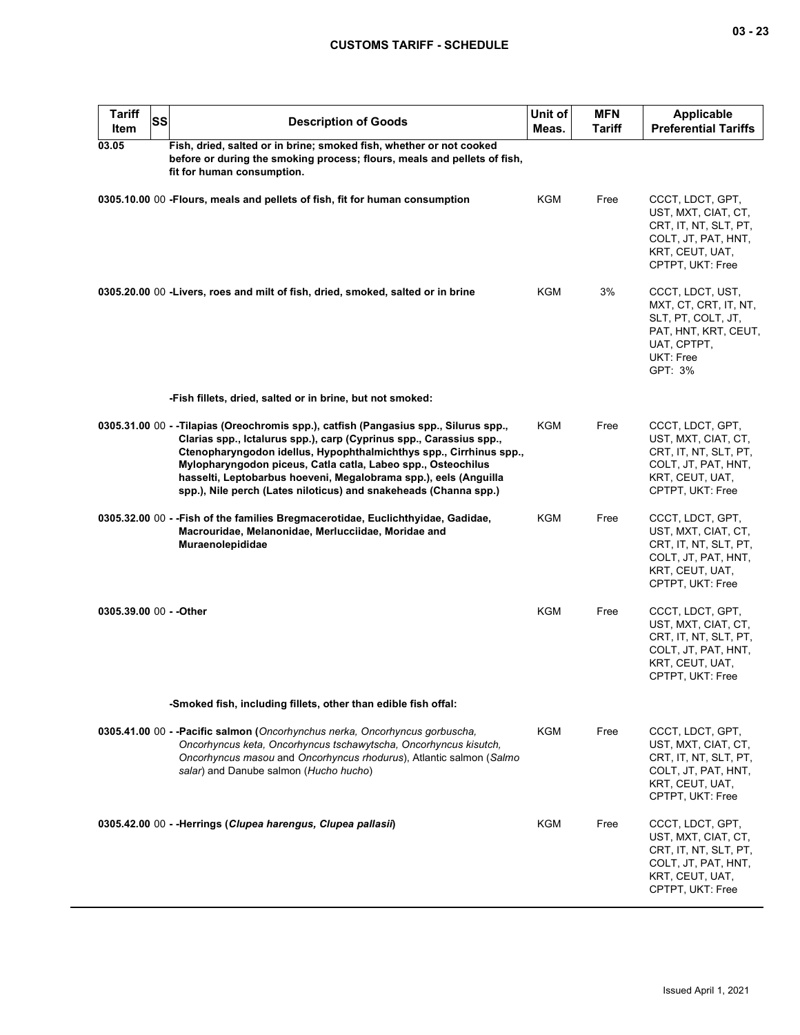| <b>Tariff</b><br><b>Item</b> | SS | <b>Description of Goods</b>                                                                                                                                                                                                                                                                                                                                                                                                               | Unit of<br>Meas. | <b>MFN</b><br>Tariff | <b>Applicable</b><br><b>Preferential Tariffs</b>                                                                               |
|------------------------------|----|-------------------------------------------------------------------------------------------------------------------------------------------------------------------------------------------------------------------------------------------------------------------------------------------------------------------------------------------------------------------------------------------------------------------------------------------|------------------|----------------------|--------------------------------------------------------------------------------------------------------------------------------|
| 03.05                        |    | Fish, dried, salted or in brine; smoked fish, whether or not cooked<br>before or during the smoking process; flours, meals and pellets of fish,<br>fit for human consumption.                                                                                                                                                                                                                                                             |                  |                      |                                                                                                                                |
|                              |    | 0305.10.00 00 - Flours, meals and pellets of fish, fit for human consumption                                                                                                                                                                                                                                                                                                                                                              | <b>KGM</b>       | Free                 | CCCT, LDCT, GPT,<br>UST, MXT, CIAT, CT,<br>CRT, IT, NT, SLT, PT,<br>COLT, JT, PAT, HNT,<br>KRT, CEUT, UAT,<br>CPTPT, UKT: Free |
|                              |    | 0305.20.00 00 -Livers, roes and milt of fish, dried, smoked, salted or in brine                                                                                                                                                                                                                                                                                                                                                           | KGM              | 3%                   | CCCT, LDCT, UST,<br>MXT, CT, CRT, IT, NT,<br>SLT, PT, COLT, JT,<br>PAT, HNT, KRT, CEUT,<br>UAT, CPTPT,<br>UKT: Free<br>GPT: 3% |
|                              |    | -Fish fillets, dried, salted or in brine, but not smoked:                                                                                                                                                                                                                                                                                                                                                                                 |                  |                      |                                                                                                                                |
|                              |    | 0305.31.00 00 - -Tilapias (Oreochromis spp.), catfish (Pangasius spp., Silurus spp.,<br>Clarias spp., Ictalurus spp.), carp (Cyprinus spp., Carassius spp.,<br>Ctenopharyngodon idellus, Hypophthalmichthys spp., Cirrhinus spp.,<br>Mylopharyngodon piceus, Catla catla, Labeo spp., Osteochilus<br>hasselti, Leptobarbus hoeveni, Megalobrama spp.), eels (Anguilla<br>spp.), Nile perch (Lates niloticus) and snakeheads (Channa spp.) | <b>KGM</b>       | Free                 | CCCT, LDCT, GPT,<br>UST, MXT, CIAT, CT,<br>CRT, IT, NT, SLT, PT,<br>COLT, JT, PAT, HNT,<br>KRT, CEUT, UAT,<br>CPTPT, UKT: Free |
|                              |    | 0305.32.00 00 - - Fish of the families Bregmacerotidae, Euclichthyidae, Gadidae,<br>Macrouridae, Melanonidae, Merlucciidae, Moridae and<br>Muraenolepididae                                                                                                                                                                                                                                                                               | KGM              | Free                 | CCCT, LDCT, GPT,<br>UST, MXT, CIAT, CT,<br>CRT, IT, NT, SLT, PT,<br>COLT, JT, PAT, HNT,<br>KRT, CEUT, UAT,<br>CPTPT, UKT: Free |
| 0305.39.00 00 - - Other      |    |                                                                                                                                                                                                                                                                                                                                                                                                                                           | KGM              | Free                 | CCCT, LDCT, GPT,<br>UST, MXT, CIAT, CT,<br>CRT, IT, NT, SLT, PT,<br>COLT, JT, PAT, HNT,<br>KRT, CEUT, UAT,<br>CPTPT, UKT: Free |
|                              |    | -Smoked fish, including fillets, other than edible fish offal:                                                                                                                                                                                                                                                                                                                                                                            |                  |                      |                                                                                                                                |
|                              |    | 0305.41.00 00 - -Pacific salmon (Oncorhynchus nerka, Oncorhyncus gorbuscha,<br>Oncorhyncus keta, Oncorhyncus tschawytscha, Oncorhyncus kisutch,<br>Oncorhyncus masou and Oncorhyncus rhodurus), Atlantic salmon (Salmo<br>salar) and Danube salmon (Hucho hucho)                                                                                                                                                                          | KGM              | Free                 | CCCT, LDCT, GPT,<br>UST, MXT, CIAT, CT,<br>CRT, IT, NT, SLT, PT,<br>COLT, JT, PAT, HNT,<br>KRT, CEUT, UAT,<br>CPTPT, UKT: Free |
|                              |    | 0305.42.00 00 - - Herrings (Clupea harengus, Clupea pallasii)                                                                                                                                                                                                                                                                                                                                                                             | KGM              | Free                 | CCCT, LDCT, GPT,<br>UST, MXT, CIAT, CT,<br>CRT, IT, NT, SLT, PT,<br>COLT, JT, PAT, HNT,<br>KRT, CEUT, UAT,<br>CPTPT, UKT: Free |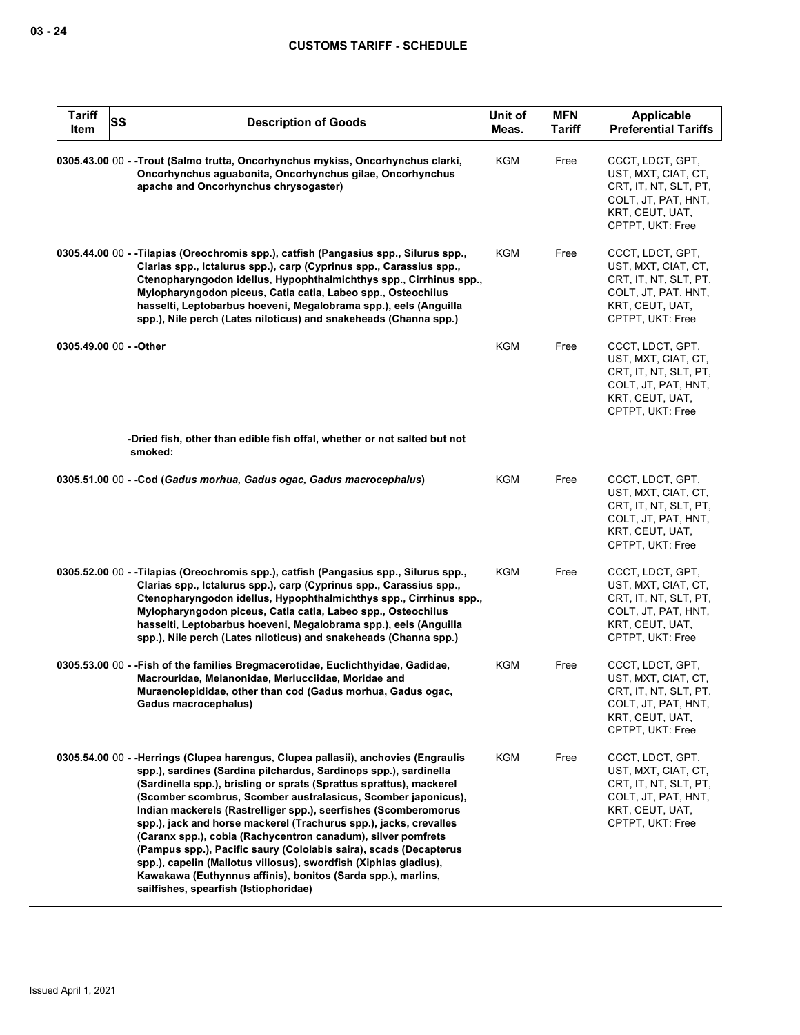| <b>Tariff</b><br>Item   | <b>SS</b> | <b>Description of Goods</b>                                                                                                                                                                                                                                                                                                                                                                                                                                                                                                                                                                                                                                                                                                                              | Unit of<br>Meas. | <b>MFN</b><br><b>Tariff</b> | <b>Applicable</b><br><b>Preferential Tariffs</b>                                                                               |
|-------------------------|-----------|----------------------------------------------------------------------------------------------------------------------------------------------------------------------------------------------------------------------------------------------------------------------------------------------------------------------------------------------------------------------------------------------------------------------------------------------------------------------------------------------------------------------------------------------------------------------------------------------------------------------------------------------------------------------------------------------------------------------------------------------------------|------------------|-----------------------------|--------------------------------------------------------------------------------------------------------------------------------|
|                         |           | 0305.43.00 00 - -Trout (Salmo trutta, Oncorhynchus mykiss, Oncorhynchus clarki,<br>Oncorhynchus aguabonita, Oncorhynchus gilae, Oncorhynchus<br>apache and Oncorhynchus chrysogaster)                                                                                                                                                                                                                                                                                                                                                                                                                                                                                                                                                                    | KGM              | Free                        | CCCT, LDCT, GPT,<br>UST, MXT, CIAT, CT,<br>CRT, IT, NT, SLT, PT,<br>COLT, JT, PAT, HNT,<br>KRT, CEUT, UAT,<br>CPTPT, UKT: Free |
|                         |           | 0305.44.00 00 - -Tilapias (Oreochromis spp.), catfish (Pangasius spp., Silurus spp.,<br>Clarias spp., Ictalurus spp.), carp (Cyprinus spp., Carassius spp.,<br>Ctenopharyngodon idellus, Hypophthalmichthys spp., Cirrhinus spp.,<br>Mylopharyngodon piceus, Catla catla, Labeo spp., Osteochilus<br>hasselti, Leptobarbus hoeveni, Megalobrama spp.), eels (Anguilla<br>spp.), Nile perch (Lates niloticus) and snakeheads (Channa spp.)                                                                                                                                                                                                                                                                                                                | KGM              | Free                        | CCCT, LDCT, GPT,<br>UST, MXT, CIAT, CT,<br>CRT, IT, NT, SLT, PT,<br>COLT, JT, PAT, HNT,<br>KRT, CEUT, UAT,<br>CPTPT, UKT: Free |
| 0305.49.00 00 - - Other |           |                                                                                                                                                                                                                                                                                                                                                                                                                                                                                                                                                                                                                                                                                                                                                          | <b>KGM</b>       | Free                        | CCCT, LDCT, GPT,<br>UST, MXT, CIAT, CT,<br>CRT, IT, NT, SLT, PT,<br>COLT, JT, PAT, HNT,<br>KRT, CEUT, UAT,<br>CPTPT, UKT: Free |
|                         |           | -Dried fish, other than edible fish offal, whether or not salted but not<br>smoked:                                                                                                                                                                                                                                                                                                                                                                                                                                                                                                                                                                                                                                                                      |                  |                             |                                                                                                                                |
|                         |           | 0305.51.00 00 - - Cod (Gadus morhua, Gadus ogac, Gadus macrocephalus)                                                                                                                                                                                                                                                                                                                                                                                                                                                                                                                                                                                                                                                                                    | KGM              | Free                        | CCCT, LDCT, GPT,<br>UST, MXT, CIAT, CT,<br>CRT, IT, NT, SLT, PT,<br>COLT, JT, PAT, HNT,<br>KRT, CEUT, UAT,<br>CPTPT, UKT: Free |
|                         |           | 0305.52.00 00 - -Tilapias (Oreochromis spp.), catfish (Pangasius spp., Silurus spp.,<br>Clarias spp., Ictalurus spp.), carp (Cyprinus spp., Carassius spp.,<br>Ctenopharyngodon idellus, Hypophthalmichthys spp., Cirrhinus spp.,<br>Mylopharyngodon piceus, Catla catla, Labeo spp., Osteochilus<br>hasselti, Leptobarbus hoeveni, Megalobrama spp.), eels (Anguilla<br>spp.), Nile perch (Lates niloticus) and snakeheads (Channa spp.)                                                                                                                                                                                                                                                                                                                | KGM              | Free                        | CCCT, LDCT, GPT,<br>UST, MXT, CIAT, CT,<br>CRT, IT, NT, SLT, PT,<br>COLT, JT, PAT, HNT,<br>KRT, CEUT, UAT,<br>CPTPT, UKT: Free |
|                         |           | 0305.53.00 00 - - Fish of the families Bregmacerotidae, Euclichthyidae, Gadidae,<br>Macrouridae, Melanonidae, Merlucciidae, Moridae and<br>Muraenolepididae, other than cod (Gadus morhua, Gadus ogac,<br>Gadus macrocephalus)                                                                                                                                                                                                                                                                                                                                                                                                                                                                                                                           | <b>KGM</b>       | Free                        | CCCT, LDCT, GPT,<br>UST, MXT, CIAT, CT,<br>CRT, IT, NT, SLT, PT,<br>COLT, JT, PAT, HNT,<br>KRT, CEUT, UAT,<br>CPTPT, UKT: Free |
|                         |           | 0305.54.00 00 - -Herrings (Clupea harengus, Clupea pallasii), anchovies (Engraulis<br>spp.), sardines (Sardina pilchardus, Sardinops spp.), sardinella<br>(Sardinella spp.), brisling or sprats (Sprattus sprattus), mackerel<br>(Scomber scombrus, Scomber australasicus, Scomber japonicus),<br>Indian mackerels (Rastrelliger spp.), seerfishes (Scomberomorus<br>spp.), jack and horse mackerel (Trachurus spp.), jacks, crevalles<br>(Caranx spp.), cobia (Rachycentron canadum), silver pomfrets<br>(Pampus spp.), Pacific saury (Cololabis saira), scads (Decapterus<br>spp.), capelin (Mallotus villosus), swordfish (Xiphias gladius),<br>Kawakawa (Euthynnus affinis), bonitos (Sarda spp.), marlins,<br>sailfishes, spearfish (Istiophoridae) | KGM              | Free                        | CCCT, LDCT, GPT,<br>UST, MXT, CIAT, CT,<br>CRT, IT, NT, SLT, PT,<br>COLT, JT, PAT, HNT,<br>KRT, CEUT, UAT,<br>CPTPT, UKT: Free |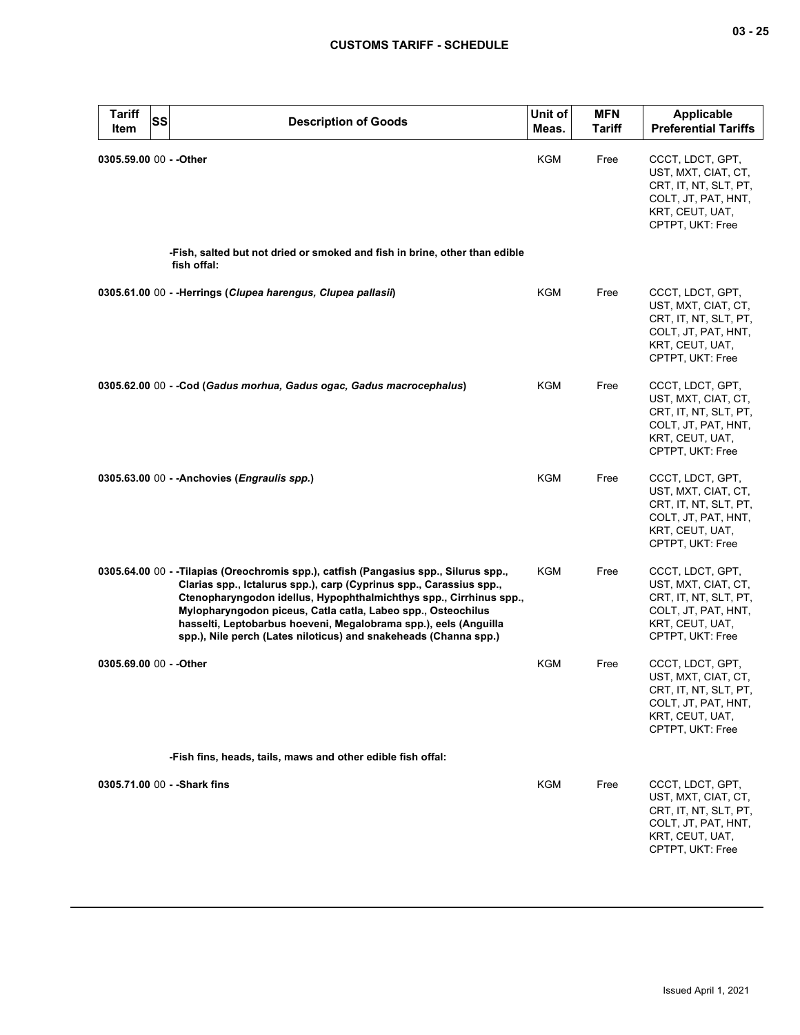| <b>Tariff</b><br>Item   | <b>SS</b> | <b>Description of Goods</b>                                                                                                                                                                                                                                                                                                                                                                                                               | Unit of<br>Meas. | <b>MFN</b><br><b>Tariff</b> | <b>Applicable</b><br><b>Preferential Tariffs</b>                                                                               |
|-------------------------|-----------|-------------------------------------------------------------------------------------------------------------------------------------------------------------------------------------------------------------------------------------------------------------------------------------------------------------------------------------------------------------------------------------------------------------------------------------------|------------------|-----------------------------|--------------------------------------------------------------------------------------------------------------------------------|
| 0305.59.00 00 - - Other |           |                                                                                                                                                                                                                                                                                                                                                                                                                                           | KGM              | Free                        | CCCT, LDCT, GPT,<br>UST, MXT, CIAT, CT,<br>CRT, IT, NT, SLT, PT,<br>COLT, JT, PAT, HNT,<br>KRT, CEUT, UAT,<br>CPTPT, UKT: Free |
|                         |           | -Fish, salted but not dried or smoked and fish in brine, other than edible<br>fish offal:                                                                                                                                                                                                                                                                                                                                                 |                  |                             |                                                                                                                                |
|                         |           | 0305.61.00 00 - - Herrings (Clupea harengus, Clupea pallasii)                                                                                                                                                                                                                                                                                                                                                                             | KGM              | Free                        | CCCT, LDCT, GPT,<br>UST, MXT, CIAT, CT,<br>CRT, IT, NT, SLT, PT,<br>COLT, JT, PAT, HNT,<br>KRT, CEUT, UAT,<br>CPTPT, UKT: Free |
|                         |           | 0305.62.00 00 - -Cod (Gadus morhua, Gadus ogac, Gadus macrocephalus)                                                                                                                                                                                                                                                                                                                                                                      | KGM              | Free                        | CCCT, LDCT, GPT,<br>UST, MXT, CIAT, CT,<br>CRT, IT, NT, SLT, PT,<br>COLT, JT, PAT, HNT,<br>KRT, CEUT, UAT,<br>CPTPT, UKT: Free |
|                         |           | $0305.63.00 00 -$ Anchovies ( <i>Engraulis spp.</i> )                                                                                                                                                                                                                                                                                                                                                                                     | <b>KGM</b>       | Free                        | CCCT, LDCT, GPT,<br>UST, MXT, CIAT, CT,<br>CRT, IT, NT, SLT, PT,<br>COLT, JT, PAT, HNT,<br>KRT, CEUT, UAT,<br>CPTPT, UKT: Free |
|                         |           | 0305.64.00 00 - -Tilapias (Oreochromis spp.), catfish (Pangasius spp., Silurus spp.,<br>Clarias spp., Ictalurus spp.), carp (Cyprinus spp., Carassius spp.,<br>Ctenopharyngodon idellus, Hypophthalmichthys spp., Cirrhinus spp.,<br>Mylopharyngodon piceus, Catla catla, Labeo spp., Osteochilus<br>hasselti, Leptobarbus hoeveni, Megalobrama spp.), eels (Anguilla<br>spp.), Nile perch (Lates niloticus) and snakeheads (Channa spp.) | KGM              | Free                        | CCCT, LDCT, GPT,<br>UST, MXT, CIAT, CT,<br>CRT, IT, NT, SLT, PT,<br>COLT, JT, PAT, HNT,<br>KRT, CEUT, UAT,<br>CPTPT, UKT: Free |
| 0305.69.00 00 - - Other |           |                                                                                                                                                                                                                                                                                                                                                                                                                                           | KGM              | Free                        | CCCT, LDCT, GPT,<br>UST, MXT, CIAT, CT,<br>CRT, IT, NT, SLT, PT,<br>COLT, JT, PAT, HNT,<br>KRT, CEUT, UAT,<br>CPTPT, UKT: Free |
|                         |           | -Fish fins, heads, tails, maws and other edible fish offal:                                                                                                                                                                                                                                                                                                                                                                               |                  |                             |                                                                                                                                |
|                         |           | 0305.71.00 00 - - Shark fins                                                                                                                                                                                                                                                                                                                                                                                                              | KGM              | Free                        | CCCT, LDCT, GPT,<br>UST, MXT, CIAT, CT,<br>CRT, IT, NT, SLT, PT,<br>COLT, JT, PAT, HNT,<br>KRT, CEUT, UAT,<br>CPTPT, UKT: Free |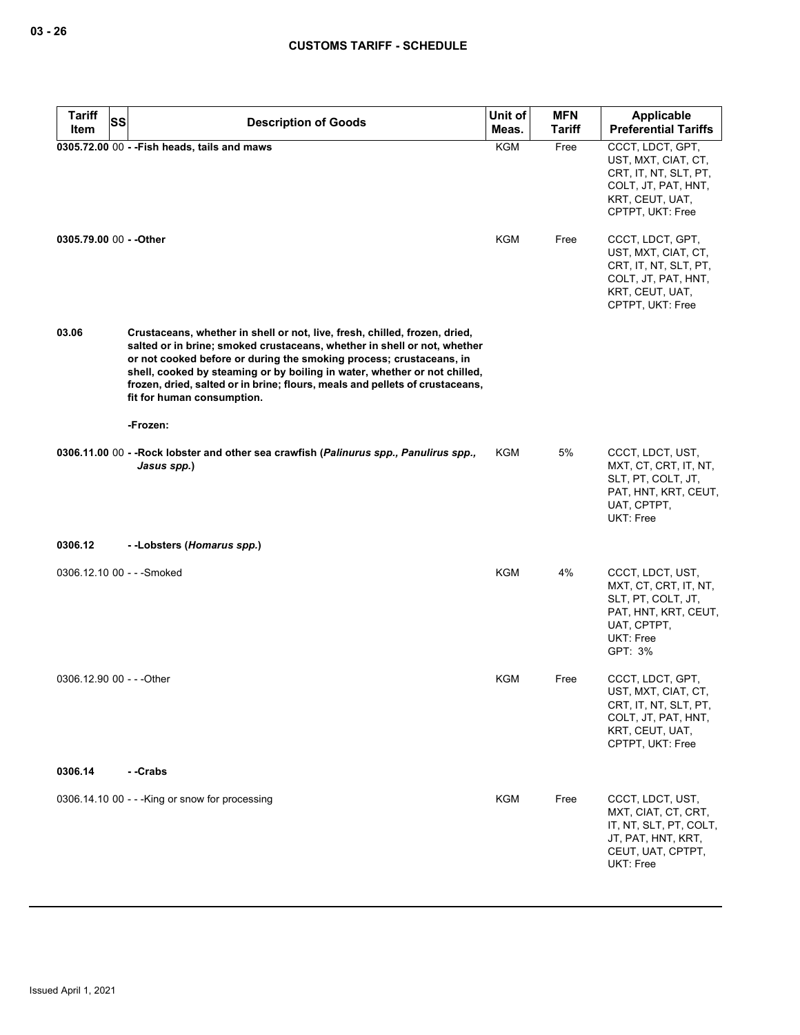| <b>Tariff</b>             | SS<br><b>Description of Goods</b>                                                                                                                                                                                                                                                                                                                                                                                        | Unit of    | <b>MFN</b>    | Applicable                                                                                                                     |
|---------------------------|--------------------------------------------------------------------------------------------------------------------------------------------------------------------------------------------------------------------------------------------------------------------------------------------------------------------------------------------------------------------------------------------------------------------------|------------|---------------|--------------------------------------------------------------------------------------------------------------------------------|
| Item                      |                                                                                                                                                                                                                                                                                                                                                                                                                          | Meas.      | <b>Tariff</b> | <b>Preferential Tariffs</b>                                                                                                    |
|                           | 0305.72.00 00 - - Fish heads, tails and maws                                                                                                                                                                                                                                                                                                                                                                             | KGM        | Free          | CCCT, LDCT, GPT,<br>UST, MXT, CIAT, CT,<br>CRT, IT, NT, SLT, PT,<br>COLT, JT, PAT, HNT,<br>KRT, CEUT, UAT,<br>CPTPT, UKT: Free |
| 0305.79.00 00 - - Other   |                                                                                                                                                                                                                                                                                                                                                                                                                          | <b>KGM</b> | Free          | CCCT, LDCT, GPT,<br>UST, MXT, CIAT, CT,<br>CRT, IT, NT, SLT, PT,<br>COLT, JT, PAT, HNT,<br>KRT, CEUT, UAT,<br>CPTPT, UKT: Free |
| 03.06                     | Crustaceans, whether in shell or not, live, fresh, chilled, frozen, dried,<br>salted or in brine; smoked crustaceans, whether in shell or not, whether<br>or not cooked before or during the smoking process; crustaceans, in<br>shell, cooked by steaming or by boiling in water, whether or not chilled,<br>frozen, dried, salted or in brine; flours, meals and pellets of crustaceans,<br>fit for human consumption. |            |               |                                                                                                                                |
|                           | -Frozen:                                                                                                                                                                                                                                                                                                                                                                                                                 |            |               |                                                                                                                                |
|                           | 0306.11.00 00 - -Rock lobster and other sea crawfish (Palinurus spp., Panulirus spp.,<br>Jasus spp.)                                                                                                                                                                                                                                                                                                                     | KGM        | 5%            | CCCT, LDCT, UST,<br>MXT, CT, CRT, IT, NT,<br>SLT, PT, COLT, JT,<br>PAT, HNT, KRT, CEUT,<br>UAT, CPTPT,<br>UKT: Free            |
| 0306.12                   | --Lobsters (Homarus spp.)                                                                                                                                                                                                                                                                                                                                                                                                |            |               |                                                                                                                                |
|                           | 0306.12.10 00 - - - Smoked                                                                                                                                                                                                                                                                                                                                                                                               | KGM        | 4%            | CCCT, LDCT, UST,<br>MXT, CT, CRT, IT, NT,<br>SLT, PT, COLT, JT,<br>PAT, HNT, KRT, CEUT,<br>UAT, CPTPT,<br>UKT: Free<br>GPT: 3% |
| 0306.12.90 00 - - - Other |                                                                                                                                                                                                                                                                                                                                                                                                                          | <b>KGM</b> | Free          | CCCT, LDCT, GPT,<br>UST, MXT, CIAT, CT,<br>CRT, IT, NT, SLT, PT,<br>COLT, JT, PAT, HNT,<br>KRT, CEUT, UAT,<br>CPTPT, UKT: Free |
| 0306.14                   | - -Crabs                                                                                                                                                                                                                                                                                                                                                                                                                 |            |               |                                                                                                                                |
|                           | 0306.14.10 00 - - - King or snow for processing                                                                                                                                                                                                                                                                                                                                                                          | <b>KGM</b> | Free          | CCCT, LDCT, UST,<br>MXT, CIAT, CT, CRT,<br>IT, NT, SLT, PT, COLT,<br>JT, PAT, HNT, KRT,<br>CEUT, UAT, CPTPT,<br>UKT: Free      |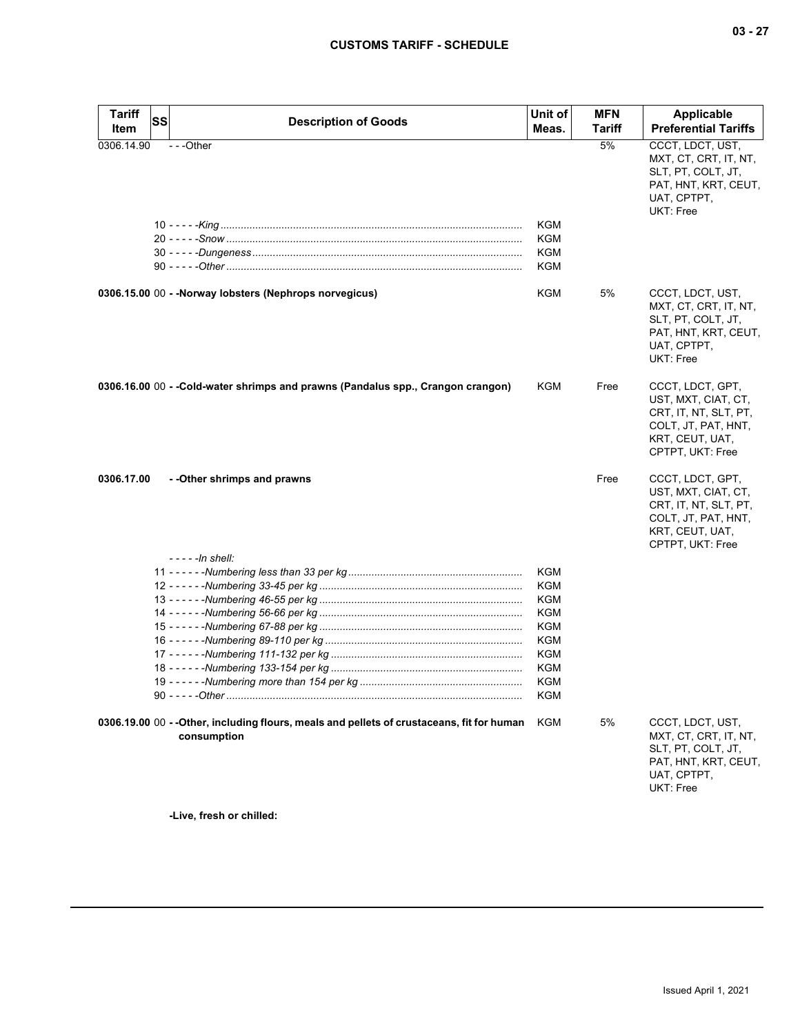| Tariff<br>Item | SS | <b>Description of Goods</b>                                                                              | Unit of<br>Meas.         | <b>MFN</b><br>Tariff | <b>Applicable</b><br><b>Preferential Tariffs</b>                                                                               |
|----------------|----|----------------------------------------------------------------------------------------------------------|--------------------------|----------------------|--------------------------------------------------------------------------------------------------------------------------------|
| 0306.14.90     |    | ---Other                                                                                                 | KGM<br>KGM<br>KGM<br>KGM | 5%                   | CCCT, LDCT, UST,<br>MXT, CT, CRT, IT, NT,<br>SLT, PT, COLT, JT,<br>PAT, HNT, KRT, CEUT,<br>UAT, CPTPT,<br><b>UKT: Free</b>     |
|                |    | 0306.15.00 00 - - Norway lobsters (Nephrops norvegicus)                                                  | KGM                      | 5%                   | CCCT, LDCT, UST,<br>MXT, CT, CRT, IT, NT,<br>SLT, PT, COLT, JT,<br>PAT, HNT, KRT, CEUT,<br>UAT, CPTPT,<br><b>UKT: Free</b>     |
|                |    | 0306.16.00 00 - -Cold-water shrimps and prawns (Pandalus spp., Crangon crangon)                          | KGM                      | Free                 | CCCT, LDCT, GPT,<br>UST, MXT, CIAT, CT,<br>CRT, IT, NT, SLT, PT,<br>COLT, JT, PAT, HNT,<br>KRT, CEUT, UAT,<br>CPTPT, UKT: Free |
| 0306.17.00     |    | - - Other shrimps and prawns                                                                             |                          | Free                 | CCCT, LDCT, GPT,<br>UST, MXT, CIAT, CT,<br>CRT, IT, NT, SLT, PT,<br>COLT, JT, PAT, HNT,<br>KRT, CEUT, UAT,<br>CPTPT, UKT: Free |
|                |    | - - - - -In shell:                                                                                       | KGM                      |                      |                                                                                                                                |
|                |    |                                                                                                          | <b>KGM</b>               |                      |                                                                                                                                |
|                |    |                                                                                                          | KGM                      |                      |                                                                                                                                |
|                |    |                                                                                                          | KGM                      |                      |                                                                                                                                |
|                |    |                                                                                                          | <b>KGM</b>               |                      |                                                                                                                                |
|                |    |                                                                                                          | <b>KGM</b>               |                      |                                                                                                                                |
|                |    |                                                                                                          | KGM                      |                      |                                                                                                                                |
|                |    |                                                                                                          | KGM                      |                      |                                                                                                                                |
|                |    |                                                                                                          | KGM                      |                      |                                                                                                                                |
|                |    | 90 - - - - - Other ………………………………………………………………………………………                                                     | KGM                      |                      |                                                                                                                                |
|                |    | 0306.19.00 00 -- Other, including flours, meals and pellets of crustaceans, fit for human<br>consumption | KGM                      | 5%                   | CCCT, LDCT, UST,<br>MXT, CT, CRT, IT, NT,<br>SLT, PT, COLT, JT,<br>PAT, HNT, KRT, CEUT,<br>UAT, CPTPT,<br>UKT: Free            |

**-Live, fresh or chilled:**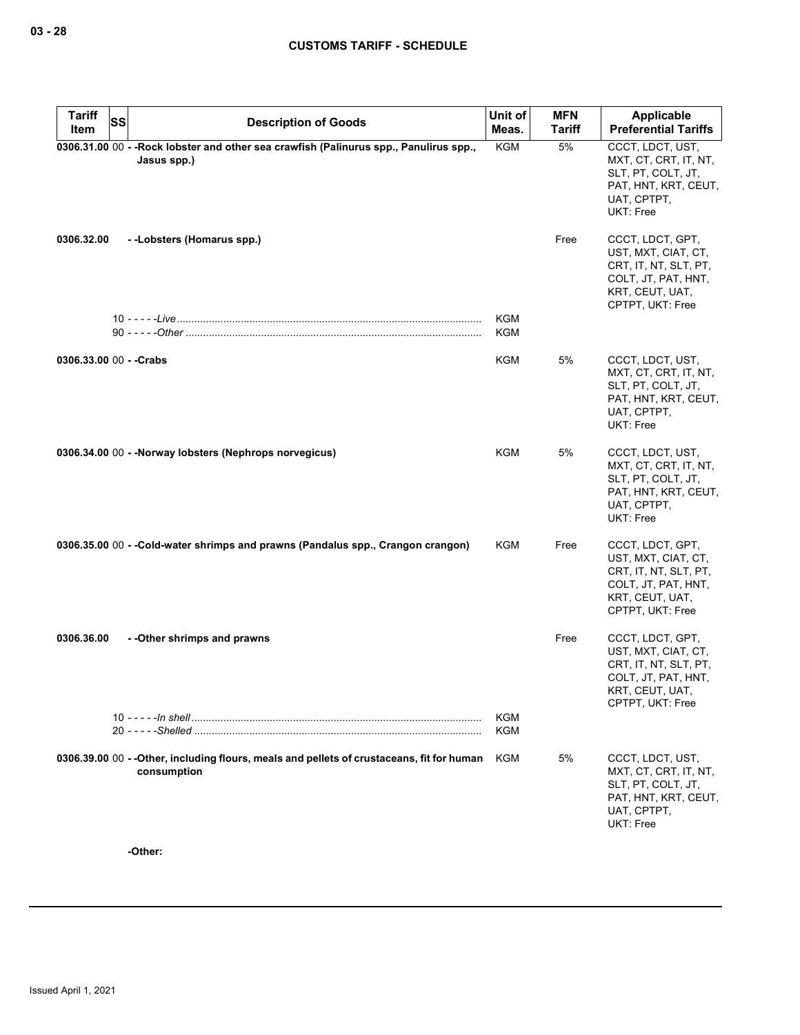| <b>Tariff</b>           | SS | <b>Description of Goods</b>                                                                               | Unit of    | <b>MFN</b>    | Applicable                                                                                                                     |
|-------------------------|----|-----------------------------------------------------------------------------------------------------------|------------|---------------|--------------------------------------------------------------------------------------------------------------------------------|
| Item                    |    |                                                                                                           | Meas.      | <b>Tariff</b> | <b>Preferential Tariffs</b>                                                                                                    |
|                         |    | 0306.31.00 00 - - Rock lobster and other sea crawfish (Palinurus spp., Panulirus spp.,<br>Jasus spp.)     | <b>KGM</b> | 5%            | CCCT, LDCT, UST,<br>MXT, CT, CRT, IT, NT,<br>SLT, PT, COLT, JT,<br>PAT, HNT, KRT, CEUT,<br>UAT, CPTPT,<br>UKT: Free            |
| 0306.32.00              |    | --Lobsters (Homarus spp.)                                                                                 |            | Free          | CCCT, LDCT, GPT,<br>UST, MXT, CIAT, CT,<br>CRT, IT, NT, SLT, PT,<br>COLT, JT, PAT, HNT,<br>KRT, CEUT, UAT,<br>CPTPT, UKT: Free |
|                         |    |                                                                                                           | KGM<br>KGM |               |                                                                                                                                |
| 0306.33.00 00 - - Crabs |    |                                                                                                           | KGM        | 5%            | CCCT, LDCT, UST,<br>MXT, CT, CRT, IT, NT,<br>SLT, PT, COLT, JT,<br>PAT, HNT, KRT, CEUT,<br>UAT, CPTPT,<br>UKT: Free            |
|                         |    | 0306.34.00 00 - - Norway lobsters (Nephrops norvegicus)                                                   | KGM        | 5%            | CCCT, LDCT, UST,<br>MXT, CT, CRT, IT, NT,<br>SLT, PT, COLT, JT,<br>PAT, HNT, KRT, CEUT,<br>UAT, CPTPT,<br>UKT: Free            |
|                         |    | 0306.35.00 00 - -Cold-water shrimps and prawns (Pandalus spp., Crangon crangon)                           | KGM        | Free          | CCCT, LDCT, GPT,<br>UST, MXT, CIAT, CT,<br>CRT, IT, NT, SLT, PT,<br>COLT, JT, PAT, HNT,<br>KRT, CEUT, UAT,<br>CPTPT, UKT: Free |
| 0306.36.00              |    | - -Other shrimps and prawns                                                                               |            | Free          | CCCT, LDCT, GPT,<br>UST, MXT, CIAT, CT,<br>CRT, IT, NT, SLT, PT,<br>COLT, JT, PAT, HNT,<br>KRT, CEUT, UAT,<br>CPTPT, UKT: Free |
|                         |    |                                                                                                           | KGM<br>KGM |               |                                                                                                                                |
|                         |    | 0306.39.00 00 - - Other, including flours, meals and pellets of crustaceans, fit for human<br>consumption | KGM        | 5%            | CCCT, LDCT, UST,<br>MXT, CT, CRT, IT, NT,<br>SLT, PT, COLT, JT,<br>PAT, HNT, KRT, CEUT,<br>UAT, CPTPT,<br>UKT: Free            |

**-Other:**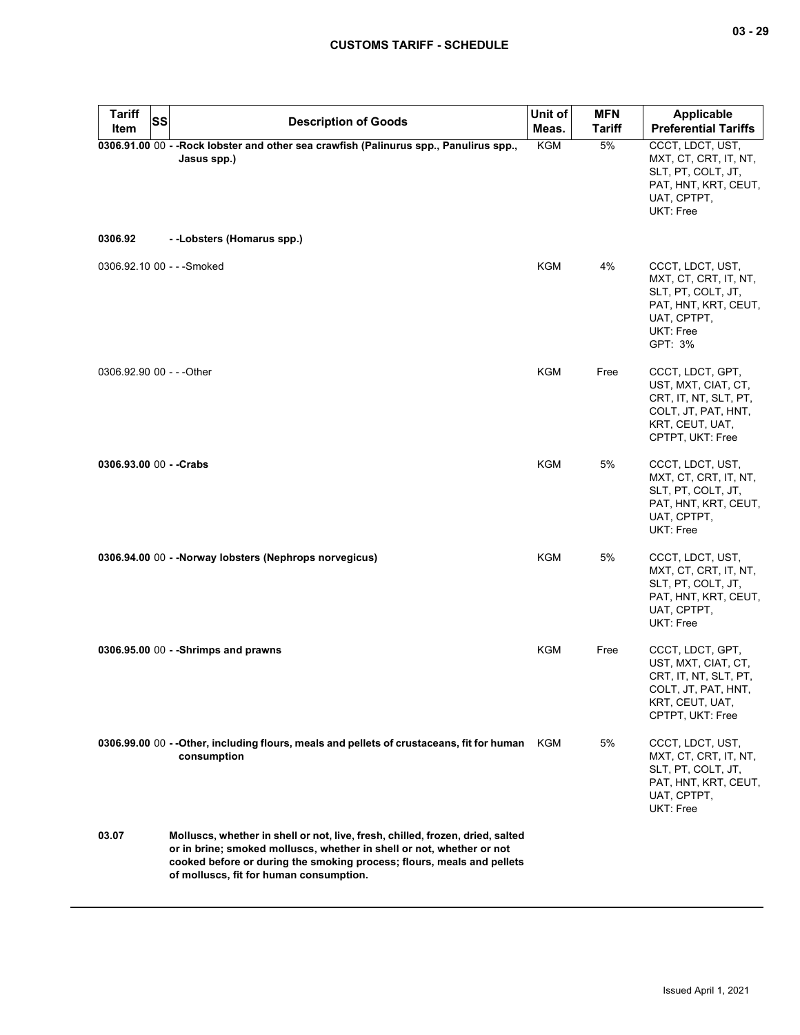| <b>Tariff</b><br>SS<br><b>Item</b> | <b>Description of Goods</b>                                                                                                                                                                                                                                                  | Unit of<br>Meas. | <b>MFN</b><br><b>Tariff</b> | <b>Applicable</b><br><b>Preferential Tariffs</b>                                                                               |
|------------------------------------|------------------------------------------------------------------------------------------------------------------------------------------------------------------------------------------------------------------------------------------------------------------------------|------------------|-----------------------------|--------------------------------------------------------------------------------------------------------------------------------|
| 0306.92                            | 0306.91.00 00 - - Rock lobster and other sea crawfish (Palinurus spp., Panulirus spp.,<br>Jasus spp.)<br>--Lobsters (Homarus spp.)                                                                                                                                           | <b>KGM</b>       | 5%                          | CCCT, LDCT, UST,<br>MXT, CT, CRT, IT, NT,<br>SLT, PT, COLT, JT,<br>PAT, HNT, KRT, CEUT,<br>UAT, CPTPT,<br>UKT: Free            |
|                                    |                                                                                                                                                                                                                                                                              |                  |                             |                                                                                                                                |
| 0306.92.10 00 - - - Smoked         |                                                                                                                                                                                                                                                                              | KGM              | 4%                          | CCCT, LDCT, UST,<br>MXT, CT, CRT, IT, NT,<br>SLT, PT, COLT, JT,<br>PAT, HNT, KRT, CEUT,<br>UAT, CPTPT,<br>UKT: Free<br>GPT: 3% |
| 0306.92.90 00 - - - Other          |                                                                                                                                                                                                                                                                              | <b>KGM</b>       | Free                        | CCCT, LDCT, GPT,<br>UST, MXT, CIAT, CT,<br>CRT, IT, NT, SLT, PT,<br>COLT, JT, PAT, HNT,<br>KRT, CEUT, UAT,<br>CPTPT, UKT: Free |
| 0306.93.00 00 - - Crabs            |                                                                                                                                                                                                                                                                              | <b>KGM</b>       | 5%                          | CCCT, LDCT, UST,<br>MXT, CT, CRT, IT, NT,<br>SLT, PT, COLT, JT,<br>PAT, HNT, KRT, CEUT,<br>UAT, CPTPT,<br><b>UKT: Free</b>     |
|                                    | 0306.94.00 00 - - Norway lobsters (Nephrops norvegicus)                                                                                                                                                                                                                      | KGM              | 5%                          | CCCT, LDCT, UST,<br>MXT, CT, CRT, IT, NT,<br>SLT, PT, COLT, JT,<br>PAT, HNT, KRT, CEUT,<br>UAT, CPTPT,<br>UKT: Free            |
|                                    | 0306.95.00 00 - - Shrimps and prawns                                                                                                                                                                                                                                         | <b>KGM</b>       | Free                        | CCCT, LDCT, GPT,<br>UST, MXT, CIAT, CT,<br>CRT, IT, NT, SLT, PT,<br>COLI, JI, PAI, HNI,<br>KRT, CEUT, UAT,<br>CPTPT, UKT: Free |
|                                    | 0306.99.00 00 -- Other, including flours, meals and pellets of crustaceans, fit for human<br>consumption                                                                                                                                                                     | KGM              | 5%                          | CCCT, LDCT, UST,<br>MXT, CT, CRT, IT, NT,<br>SLT, PT, COLT, JT,<br>PAT, HNT, KRT, CEUT,<br>UAT, CPTPT,<br>UKT: Free            |
| 03.07                              | Molluscs, whether in shell or not, live, fresh, chilled, frozen, dried, salted<br>or in brine; smoked molluscs, whether in shell or not, whether or not<br>cooked before or during the smoking process; flours, meals and pellets<br>of molluscs, fit for human consumption. |                  |                             |                                                                                                                                |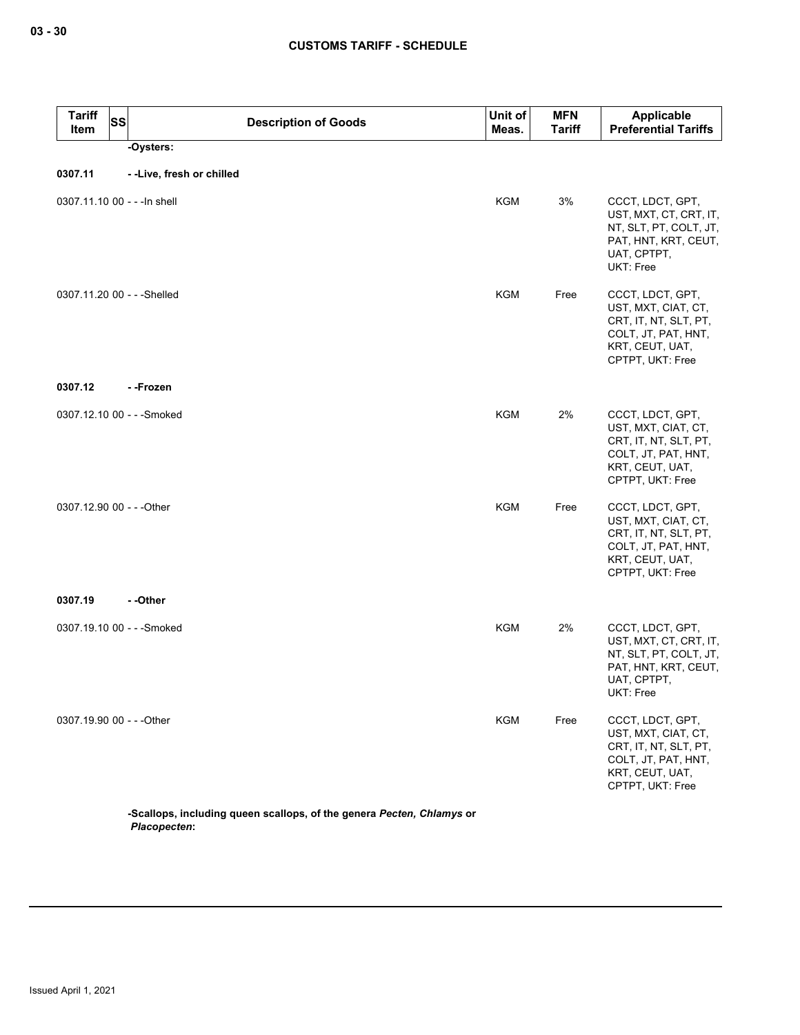| <b>Tariff</b><br>Item        | <b>SS</b> | <b>Description of Goods</b>                                           | Unit of<br>Meas. | <b>MFN</b><br><b>Tariff</b> | Applicable<br><b>Preferential Tariffs</b>                                                                                      |
|------------------------------|-----------|-----------------------------------------------------------------------|------------------|-----------------------------|--------------------------------------------------------------------------------------------------------------------------------|
|                              |           | -Oysters:                                                             |                  |                             |                                                                                                                                |
| 0307.11                      |           | --Live, fresh or chilled                                              |                  |                             |                                                                                                                                |
| 0307.11.10 00 - - - In shell |           |                                                                       | <b>KGM</b>       | 3%                          | CCCT, LDCT, GPT,<br>UST, MXT, CT, CRT, IT,<br>NT, SLT, PT, COLT, JT,<br>PAT, HNT, KRT, CEUT,<br>UAT, CPTPT,<br>UKT: Free       |
| 0307.11.20 00 - - - Shelled  |           |                                                                       | <b>KGM</b>       | Free                        | CCCT, LDCT, GPT,<br>UST, MXT, CIAT, CT,<br>CRT, IT, NT, SLT, PT,<br>COLT, JT, PAT, HNT,<br>KRT, CEUT, UAT,<br>CPTPT, UKT: Free |
| 0307.12                      |           | - -Frozen                                                             |                  |                             |                                                                                                                                |
| 0307.12.10 00 - - - Smoked   |           |                                                                       | KGM              | 2%                          | CCCT, LDCT, GPT,<br>UST, MXT, CIAT, CT,<br>CRT, IT, NT, SLT, PT,<br>COLT, JT, PAT, HNT,<br>KRT, CEUT, UAT,<br>CPTPT, UKT: Free |
| 0307.12.90 00 - - - Other    |           |                                                                       | KGM              | Free                        | CCCT, LDCT, GPT,<br>UST, MXT, CIAT, CT,<br>CRT, IT, NT, SLT, PT,<br>COLT, JT, PAT, HNT,<br>KRT, CEUT, UAT,<br>CPTPT, UKT: Free |
| 0307.19                      |           | - -Other                                                              |                  |                             |                                                                                                                                |
| 0307.19.10 00 - - - Smoked   |           |                                                                       | <b>KGM</b>       | 2%                          | CCCT, LDCT, GPT,<br>UST, MXT, CT, CRT, IT,<br>NT, SLT, PT, COLT, JT,<br>PAT, HNT, KRT, CEUT,<br>UAT, CPTPT,<br>UKT: Free       |
| 0307.19.90 00 - - - Other    |           |                                                                       | <b>KGM</b>       | Free                        | CCCT, LDCT, GPT,<br>UST, MXT, CIAT, CT,<br>CRT, IT, NT, SLT, PT,<br>COLT, JT, PAT, HNT,<br>KRT, CEUT, UAT,<br>CPTPT, UKT: Free |
|                              |           | -Scallops, including queen scallops, of the genera Pecten, Chlamys or |                  |                             |                                                                                                                                |

*Placopecten***:**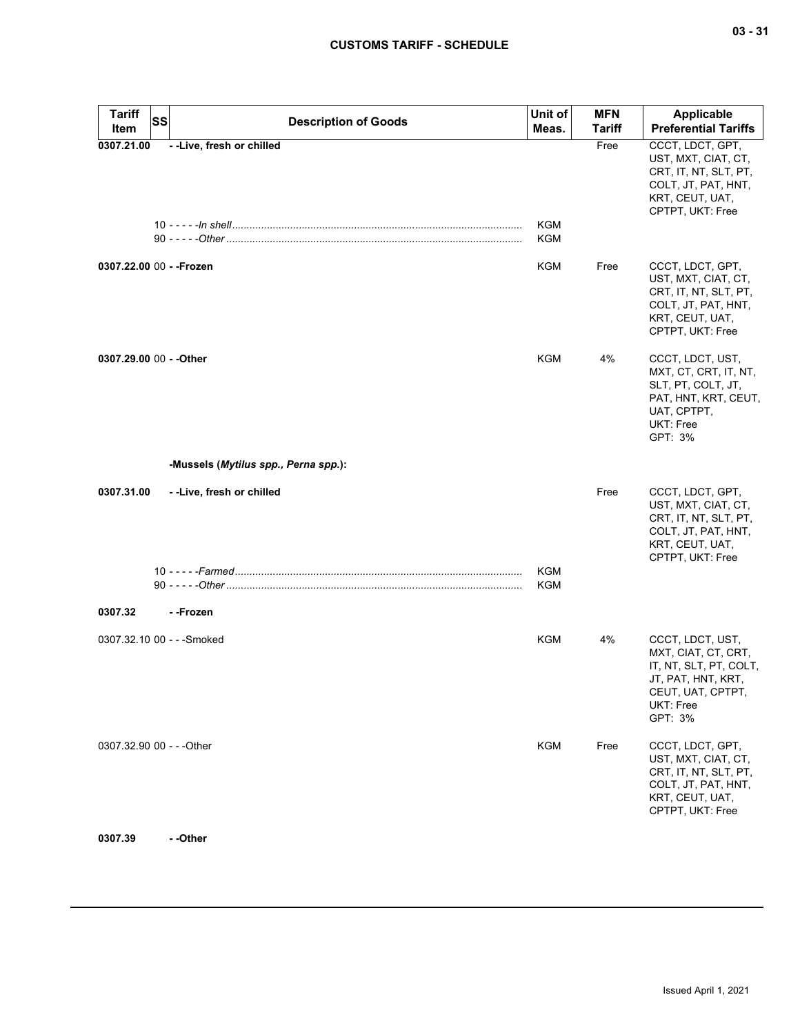| <b>Tariff</b><br>Item      | <b>SS</b> | <b>Description of Goods</b>          | Unit of<br>Meas.         | <b>MFN</b><br>Tariff | <b>Applicable</b><br><b>Preferential Tariffs</b>                                                                                      |
|----------------------------|-----------|--------------------------------------|--------------------------|----------------------|---------------------------------------------------------------------------------------------------------------------------------------|
| 0307.21.00                 |           | - - Live, fresh or chilled           | <b>KGM</b>               | Free                 | CCCT, LDCT, GPT,<br>UST, MXT, CIAT, CT,<br>CRT, IT, NT, SLT, PT,<br>COLT, JT, PAT, HNT,<br>KRT, CEUT, UAT,<br>CPTPT, UKT: Free        |
|                            |           |                                      | <b>KGM</b>               |                      |                                                                                                                                       |
| 0307.22.00 00 - - Frozen   |           |                                      | KGM                      | Free                 | CCCT, LDCT, GPT,<br>UST, MXT, CIAT, CT,<br>CRT, IT, NT, SLT, PT,<br>COLT, JT, PAT, HNT,<br>KRT, CEUT, UAT,<br>CPTPT, UKT: Free        |
| 0307.29.00 00 - - Other    |           |                                      | <b>KGM</b>               | 4%                   | CCCT, LDCT, UST,<br>MXT, CT, CRT, IT, NT,<br>SLT, PT, COLT, JT,<br>PAT, HNT, KRT, CEUT,<br>UAT, CPTPT,<br><b>UKT: Free</b><br>GPT: 3% |
|                            |           | -Mussels (Mytilus spp., Perna spp.): |                          |                      |                                                                                                                                       |
| 0307.31.00                 |           | --Live, fresh or chilled             |                          | Free                 | CCCT, LDCT, GPT,<br>UST, MXT, CIAT, CT,<br>CRT, IT, NT, SLT, PT,<br>COLT, JT, PAT, HNT,<br>KRT, CEUT, UAT,<br>CPTPT, UKT: Free        |
|                            |           |                                      | <b>KGM</b><br><b>KGM</b> |                      |                                                                                                                                       |
| 0307.32                    |           | - -Frozen                            |                          |                      |                                                                                                                                       |
| 0307.32.10 00 - - - Smoked |           |                                      | KGM                      | 4%                   | CCCT, LDCT, UST,<br>MXT, CIAT, CT, CRT,<br>IT, NT, SLT, PT, COLT,<br>JT, PAT, HNT, KRT,<br>CEUT, UAT, CPTPT,<br>UKT: Free<br>GPT: 3%  |
| 0307.32.90 00 - - - Other  |           |                                      | <b>KGM</b>               | Free                 | CCCT, LDCT, GPT,<br>UST, MXT, CIAT, CT,<br>CRT, IT, NT, SLT, PT,<br>COLT, JT, PAT, HNT,<br>KRT, CEUT, UAT,<br>CPTPT, UKT: Free        |
| 0307.39                    |           | - -Other                             |                          |                      |                                                                                                                                       |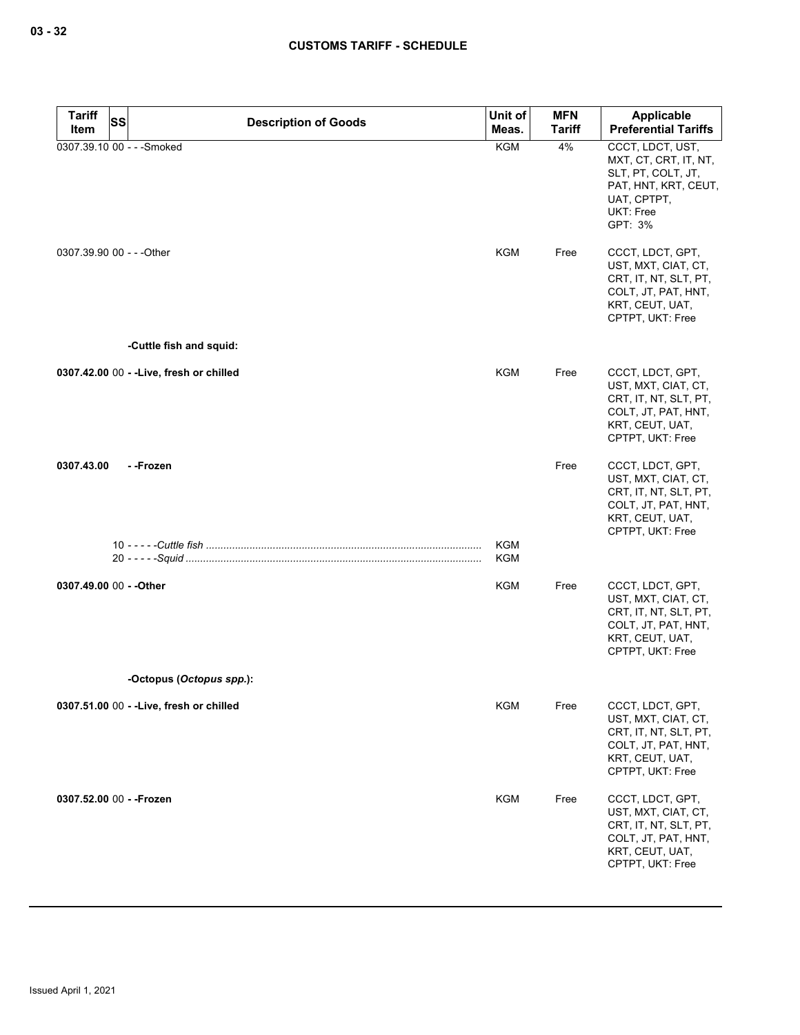| <b>Tariff</b>           | SS<br><b>Description of Goods</b>        | Unit of           | <b>MFN</b>    | Applicable                                                                                                                     |
|-------------------------|------------------------------------------|-------------------|---------------|--------------------------------------------------------------------------------------------------------------------------------|
| Item                    |                                          | Meas.             | <b>Tariff</b> | <b>Preferential Tariffs</b>                                                                                                    |
|                         | 0307.39.10 00 - - - Smoked               | KGM               | 4%            | CCCT, LDCT, UST,<br>MXT, CT, CRT, IT, NT,<br>SLT, PT, COLT, JT,<br>PAT, HNT, KRT, CEUT,<br>UAT, CPTPT,<br>UKT: Free<br>GPT: 3% |
|                         | 0307.39.90 00 - - - Other                | <b>KGM</b>        | Free          | CCCT, LDCT, GPT,<br>UST, MXT, CIAT, CT,<br>CRT, IT, NT, SLT, PT,<br>COLT, JT, PAT, HNT,<br>KRT, CEUT, UAT,<br>CPTPT, UKT: Free |
|                         | -Cuttle fish and squid:                  |                   |               |                                                                                                                                |
|                         | 0307.42.00 00 - - Live, fresh or chilled | <b>KGM</b>        | Free          | CCCT, LDCT, GPT,<br>UST, MXT, CIAT, CT,<br>CRT, IT, NT, SLT, PT,<br>COLT, JT, PAT, HNT,<br>KRT, CEUT, UAT,<br>CPTPT, UKT: Free |
| 0307.43.00              | - -Frozen                                |                   | Free          | CCCT, LDCT, GPT,<br>UST, MXT, CIAT, CT,<br>CRT, IT, NT, SLT, PT,<br>COLT, JT, PAT, HNT,<br>KRT, CEUT, UAT,<br>CPTPT, UKT: Free |
|                         |                                          | KGM<br><b>KGM</b> |               |                                                                                                                                |
|                         |                                          |                   |               |                                                                                                                                |
| 0307.49.00 00 - - Other |                                          | KGM               | Free          | CCCT, LDCT, GPT,<br>UST, MXT, CIAT, CT,<br>CRT, IT, NT, SLT, PT,<br>COLT, JT, PAT, HNT,<br>KRT, CEUT, UAT,<br>CPTPT, UKT: Free |
|                         | -Octopus (Octopus spp.):                 |                   |               |                                                                                                                                |
|                         | 0307.51.00 00 - - Live, fresh or chilled | <b>KGM</b>        | Free          | CCCT, LDCT, GPT,<br>UST, MXT, CIAT, CT,<br>CRT, IT, NT, SLT, PT,<br>COLT, JT, PAT, HNT,<br>KRT, CEUT, UAT,<br>CPTPT, UKT: Free |
|                         | 0307.52.00 00 - - Frozen                 | <b>KGM</b>        | Free          | CCCT, LDCT, GPT,<br>UST, MXT, CIAT, CT,<br>CRT, IT, NT, SLT, PT,<br>COLT, JT, PAT, HNT,<br>KRT, CEUT, UAT,<br>CPTPT, UKT: Free |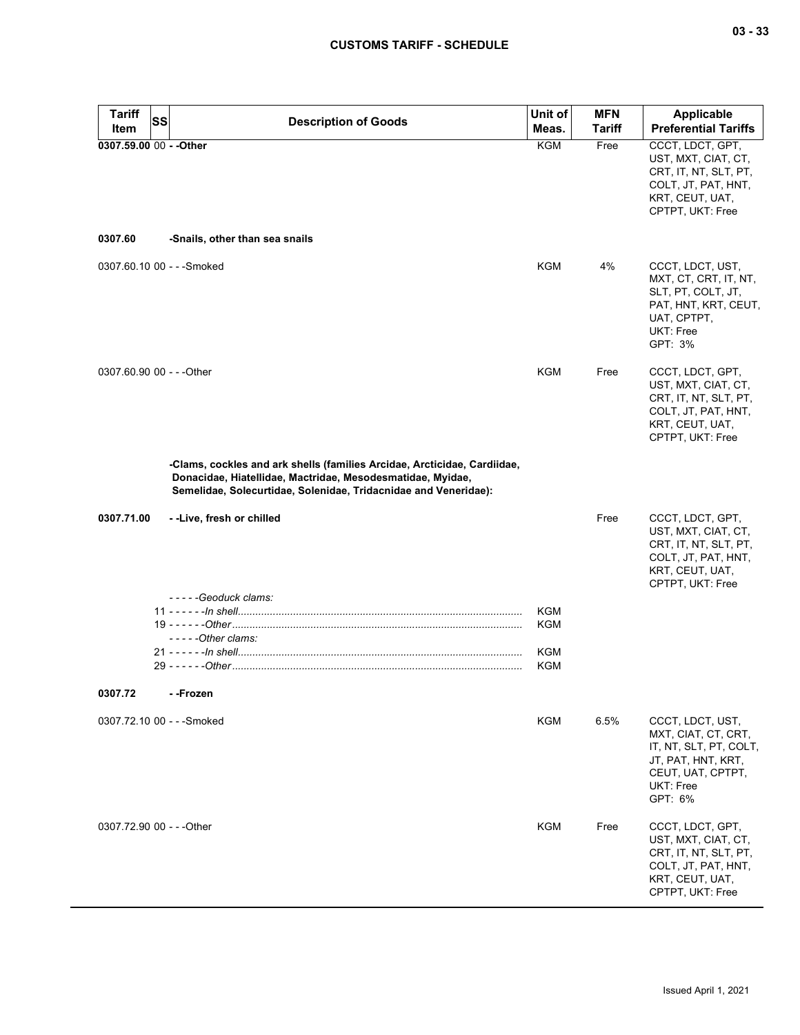| <b>Tariff</b><br>Item     | SS<br><b>Description of Goods</b>                                                                                                                                                                         | Unit of<br>Meas.         | <b>MFN</b><br><b>Tariff</b> | <b>Applicable</b><br><b>Preferential Tariffs</b>                                                                                     |
|---------------------------|-----------------------------------------------------------------------------------------------------------------------------------------------------------------------------------------------------------|--------------------------|-----------------------------|--------------------------------------------------------------------------------------------------------------------------------------|
| 0307.59.00 00 - - Other   |                                                                                                                                                                                                           | <b>KGM</b>               | Free                        | CCCT, LDCT, GPT,<br>UST, MXT, CIAT, CT,<br>CRT, IT, NT, SLT, PT,<br>COLT, JT, PAT, HNT,<br>KRT, CEUT, UAT,<br>CPTPT, UKT: Free       |
| 0307.60                   | -Snails, other than sea snails                                                                                                                                                                            |                          |                             |                                                                                                                                      |
|                           | 0307.60.10 00 - - - Smoked                                                                                                                                                                                | <b>KGM</b>               | 4%                          | CCCT, LDCT, UST,<br>MXT, CT, CRT, IT, NT,<br>SLT, PT, COLT, JT,<br>PAT, HNT, KRT, CEUT,<br>UAT, CPTPT,<br>UKT: Free<br>GPT: 3%       |
| 0307.60.90 00 - - - Other |                                                                                                                                                                                                           | <b>KGM</b>               | Free                        | CCCT, LDCT, GPT,<br>UST, MXT, CIAT, CT,<br>CRT, IT, NT, SLT, PT,<br>COLT, JT, PAT, HNT,<br>KRT, CEUT, UAT,<br>CPTPT, UKT: Free       |
|                           | -Clams, cockles and ark shells (families Arcidae, Arcticidae, Cardiidae,<br>Donacidae, Hiatellidae, Mactridae, Mesodesmatidae, Myidae,<br>Semelidae, Solecurtidae, Solenidae, Tridacnidae and Veneridae): |                          |                             |                                                                                                                                      |
| 0307.71.00                | --Live, fresh or chilled                                                                                                                                                                                  |                          | Free                        | CCCT, LDCT, GPT,<br>UST, MXT, CIAT, CT,<br>CRT, IT, NT, SLT, PT,<br>COLT, JT, PAT, HNT,<br>KRT, CEUT, UAT,<br>CPTPT, UKT: Free       |
|                           | -----Geoduck clams:                                                                                                                                                                                       |                          |                             |                                                                                                                                      |
|                           | $---Other claims:$                                                                                                                                                                                        | <b>KGM</b><br><b>KGM</b> |                             |                                                                                                                                      |
|                           |                                                                                                                                                                                                           | KGM<br>KGM               |                             |                                                                                                                                      |
|                           |                                                                                                                                                                                                           |                          |                             |                                                                                                                                      |
| 0307.72                   | - -Frozen                                                                                                                                                                                                 |                          |                             |                                                                                                                                      |
|                           | 0307.72.10 00 - - - Smoked                                                                                                                                                                                | <b>KGM</b>               | 6.5%                        | CCCT, LDCT, UST,<br>MXT, CIAT, CT, CRT,<br>IT, NT, SLT, PT, COLT,<br>JT, PAT, HNT, KRT,<br>CEUT, UAT, CPTPT,<br>UKT: Free<br>GPT: 6% |
| 0307.72.90 00 - - - Other |                                                                                                                                                                                                           | <b>KGM</b>               | Free                        | CCCT, LDCT, GPT,<br>UST, MXT, CIAT, CT,<br>CRT, IT, NT, SLT, PT,<br>COLT, JT, PAT, HNT,<br>KRT, CEUT, UAT,<br>CPTPT, UKT: Free       |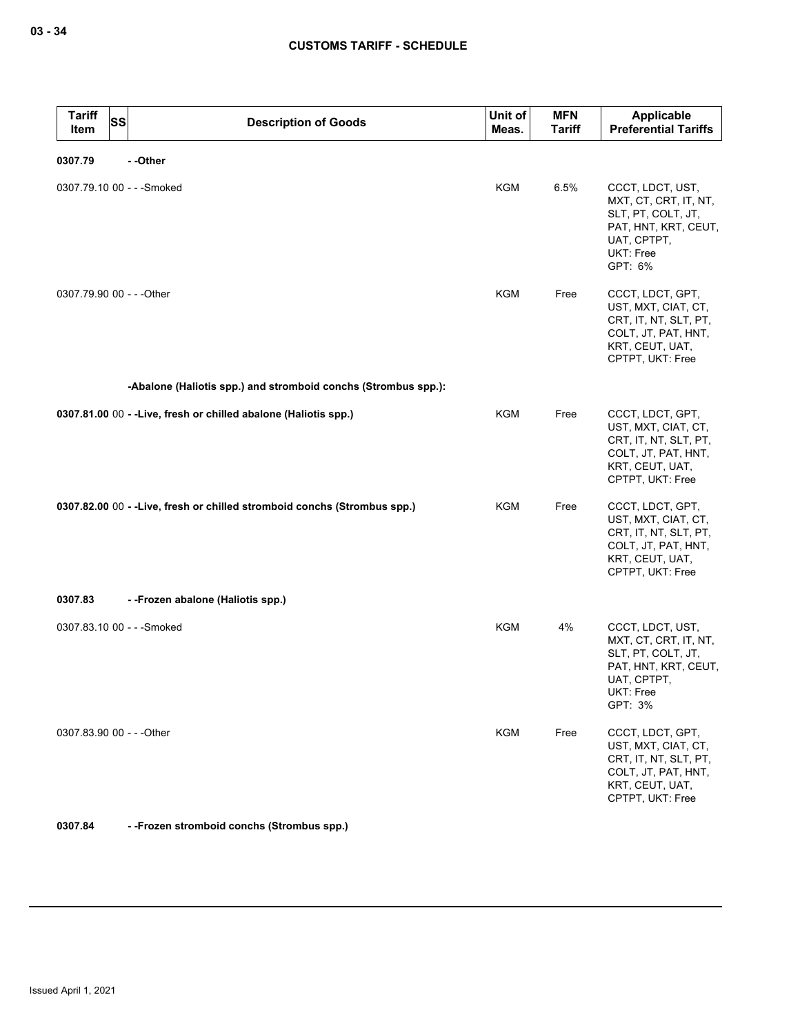| <b>Tariff</b><br><b>SS</b><br>Item | <b>Description of Goods</b>                                              | Unit of<br>Meas. | MFN<br><b>Tariff</b> | Applicable<br><b>Preferential Tariffs</b>                                                                                      |
|------------------------------------|--------------------------------------------------------------------------|------------------|----------------------|--------------------------------------------------------------------------------------------------------------------------------|
| 0307.79                            | --Other                                                                  |                  |                      |                                                                                                                                |
| 0307.79.10 00 - - - Smoked         |                                                                          | KGM              | 6.5%                 | CCCT, LDCT, UST,<br>MXT, CT, CRT, IT, NT,<br>SLT, PT, COLT, JT,<br>PAT, HNT, KRT, CEUT,<br>UAT, CPTPT,<br>UKT: Free<br>GPT: 6% |
| 0307.79.90 00 - - - Other          |                                                                          | KGM              | Free                 | CCCT, LDCT, GPT,<br>UST, MXT, CIAT, CT,<br>CRT, IT, NT, SLT, PT,<br>COLT, JT, PAT, HNT,<br>KRT, CEUT, UAT,<br>CPTPT, UKT: Free |
|                                    | -Abalone (Haliotis spp.) and stromboid conchs (Strombus spp.):           |                  |                      |                                                                                                                                |
|                                    | 0307.81.00 00 - - Live, fresh or chilled abalone (Haliotis spp.)         | <b>KGM</b>       | Free                 | CCCT, LDCT, GPT,<br>UST, MXT, CIAT, CT,<br>CRT, IT, NT, SLT, PT,<br>COLT, JT, PAT, HNT,<br>KRT, CEUT, UAT,<br>CPTPT, UKT: Free |
|                                    | 0307.82.00 00 - -Live, fresh or chilled stromboid conchs (Strombus spp.) | KGM              | Free                 | CCCT, LDCT, GPT,<br>UST, MXT, CIAT, CT,<br>CRT, IT, NT, SLT, PT,<br>COLT, JT, PAT, HNT,<br>KRT, CEUT, UAT,<br>CPTPT, UKT: Free |
| 0307.83                            | - - Frozen abalone (Haliotis spp.)                                       |                  |                      |                                                                                                                                |
| 0307.83.10 00 - - - Smoked         |                                                                          | KGM              | 4%                   | CCCT, LDCT, UST,<br>MXT, CT, CRT, IT, NT,<br>SLT, PT, COLT, JT,<br>PAT, HNT, KRT, CEUT,<br>UAT, CPTPT,<br>UKT: Free<br>GPT: 3% |
| 0307.83.90 00 - - - Other          |                                                                          | <b>KGM</b>       | Free                 | CCCT, LDCT, GPT,<br>UST, MXT, CIAT, CT,<br>CRT, IT, NT, SLT, PT,<br>COLT, JT, PAT, HNT,<br>KRT, CEUT, UAT,<br>CPTPT, UKT: Free |

**0307.84 - -Frozen stromboid conchs (Strombus spp.)**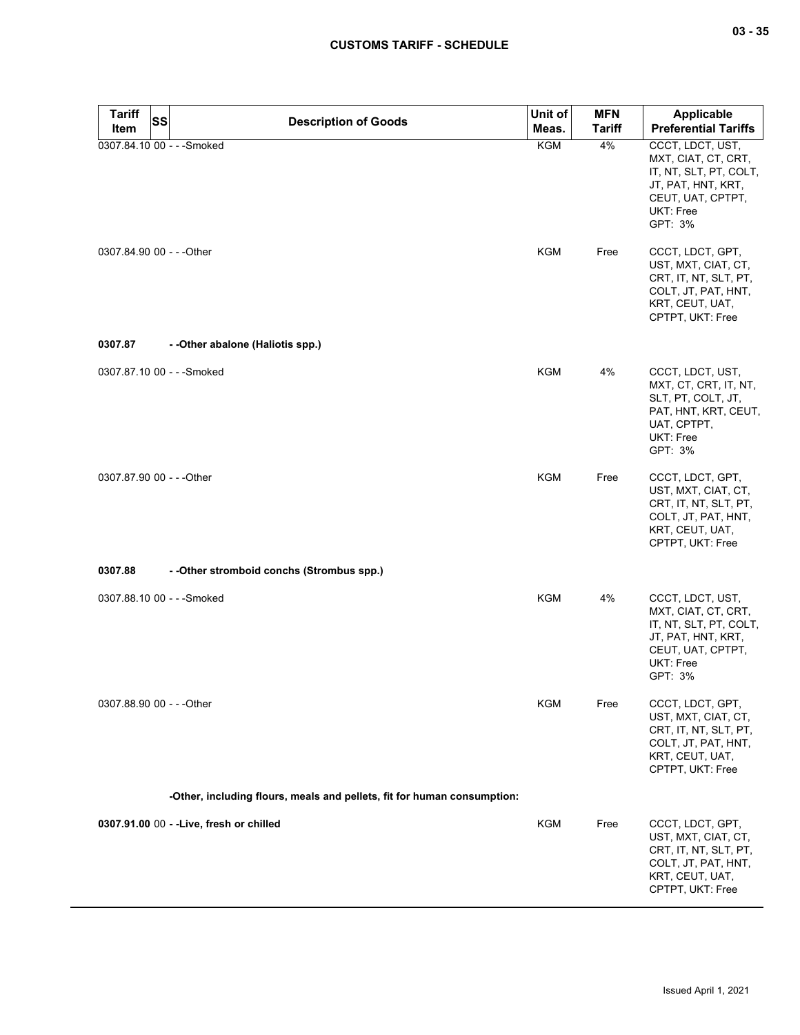| <b>Tariff</b>             | SS<br><b>Description of Goods</b>                                       | Unit of    | <b>MFN</b>    | <b>Applicable</b>                                                                                                                    |
|---------------------------|-------------------------------------------------------------------------|------------|---------------|--------------------------------------------------------------------------------------------------------------------------------------|
| Item                      |                                                                         | Meas.      | <b>Tariff</b> | <b>Preferential Tariffs</b>                                                                                                          |
|                           | 0307.84.10 00 - - - Smoked                                              | <b>KGM</b> | 4%            | CCCT, LDCT, UST,<br>MXT, CIAT, CT, CRT,<br>IT, NT, SLT, PT, COLT,<br>JT, PAT, HNT, KRT,<br>CEUT, UAT, CPTPT,<br>UKT: Free<br>GPT: 3% |
| 0307.84.90 00 - - - Other |                                                                         | <b>KGM</b> | Free          | CCCT, LDCT, GPT,<br>UST, MXT, CIAT, CT,<br>CRT, IT, NT, SLT, PT,<br>COLT, JT, PAT, HNT,<br>KRT, CEUT, UAT,<br>CPTPT, UKT: Free       |
| 0307.87                   | - - Other abalone (Haliotis spp.)                                       |            |               |                                                                                                                                      |
|                           | 0307.87.10 00 - - - Smoked                                              | <b>KGM</b> | 4%            | CCCT, LDCT, UST,<br>MXT, CT, CRT, IT, NT,<br>SLT, PT, COLT, JT,<br>PAT, HNT, KRT, CEUT,<br>UAT, CPTPT,<br>UKT: Free<br>GPT: 3%       |
| 0307.87.90 00 - - - Other |                                                                         | <b>KGM</b> | Free          | CCCT, LDCT, GPT,<br>UST, MXT, CIAT, CT,<br>CRT, IT, NT, SLT, PT,<br>COLT, JT, PAT, HNT,<br>KRT, CEUT, UAT,<br>CPTPT, UKT: Free       |
| 0307.88                   | - - Other stromboid conchs (Strombus spp.)                              |            |               |                                                                                                                                      |
|                           | 0307.88.10 00 - - - Smoked                                              | KGM        | 4%            | CCCT, LDCT, UST,<br>MXT, CIAT, CT, CRT,<br>IT, NT, SLT, PT, COLT,<br>JT, PAT, HNT, KRT,<br>CEUT, UAT, CPTPT,<br>UKT: Free<br>GPT: 3% |
| 0307.88.90 00 - - - Other |                                                                         | <b>KGM</b> | Free          | CCCT, LDCT, GPT,<br>UST, MXT, CIAT, CT,<br>CRT, IT, NT, SLT, PT,<br>COLT, JT, PAT, HNT,<br>KRT, CEUT, UAT,<br>CPTPT, UKT: Free       |
|                           | -Other, including flours, meals and pellets, fit for human consumption: |            |               |                                                                                                                                      |
|                           | 0307.91.00 00 - - Live, fresh or chilled                                | <b>KGM</b> | Free          | CCCT, LDCT, GPT,<br>UST, MXT, CIAT, CT,<br>CRT, IT, NT, SLT, PT,<br>COLT, JT, PAT, HNT,<br>KRT, CEUT, UAT,<br>CPTPT, UKT: Free       |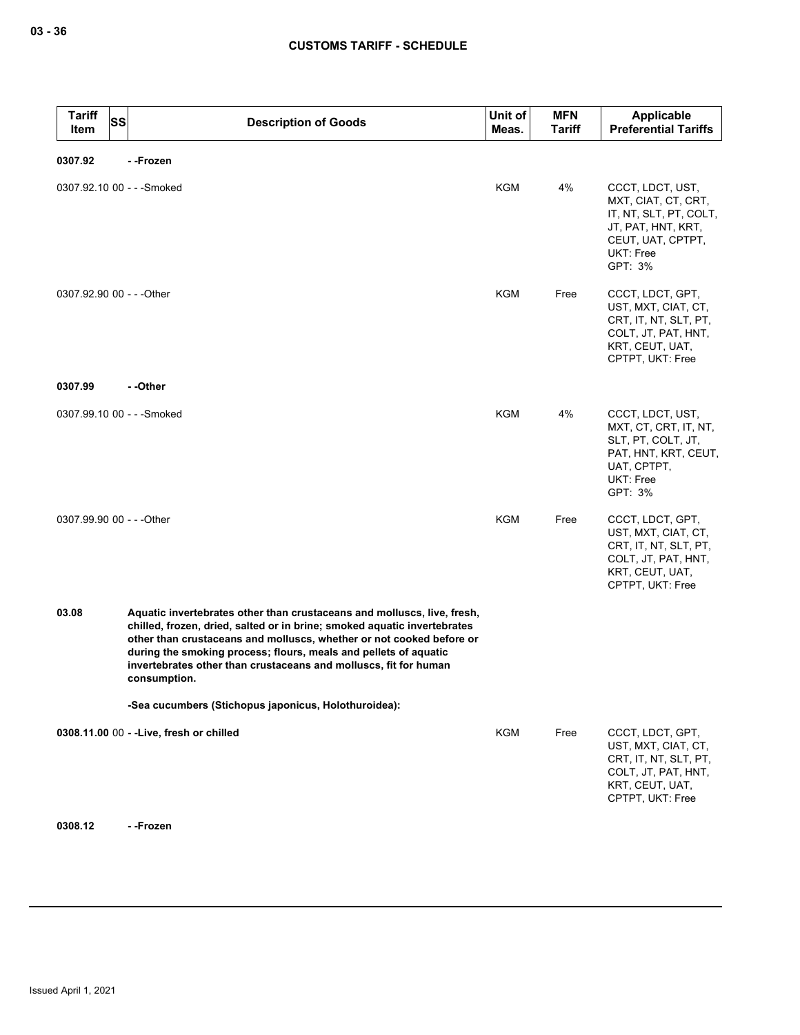| <b>Tariff</b><br>Item     | <b>SS</b><br><b>Description of Goods</b>                                                                                                                                                                                                                                                                                                                                            | Unit of<br>Meas. | <b>MFN</b><br><b>Tariff</b> | Applicable<br><b>Preferential Tariffs</b>                                                                                            |
|---------------------------|-------------------------------------------------------------------------------------------------------------------------------------------------------------------------------------------------------------------------------------------------------------------------------------------------------------------------------------------------------------------------------------|------------------|-----------------------------|--------------------------------------------------------------------------------------------------------------------------------------|
| 0307.92                   | - -Frozen                                                                                                                                                                                                                                                                                                                                                                           |                  |                             |                                                                                                                                      |
|                           | 0307.92.10 00 - - - Smoked                                                                                                                                                                                                                                                                                                                                                          | <b>KGM</b>       | 4%                          | CCCT, LDCT, UST,<br>MXT, CIAT, CT, CRT,<br>IT, NT, SLT, PT, COLT,<br>JT, PAT, HNT, KRT,<br>CEUT, UAT, CPTPT,<br>UKT: Free<br>GPT: 3% |
| 0307.92.90 00 - - - Other |                                                                                                                                                                                                                                                                                                                                                                                     | <b>KGM</b>       | Free                        | CCCT, LDCT, GPT,<br>UST, MXT, CIAT, CT,<br>CRT, IT, NT, SLT, PT,<br>COLT, JT, PAT, HNT,<br>KRT, CEUT, UAT,<br>CPTPT, UKT: Free       |
| 0307.99                   | - -Other                                                                                                                                                                                                                                                                                                                                                                            |                  |                             |                                                                                                                                      |
|                           | 0307.99.10 00 - - - Smoked                                                                                                                                                                                                                                                                                                                                                          | KGM              | 4%                          | CCCT, LDCT, UST,<br>MXT, CT, CRT, IT, NT,<br>SLT, PT, COLT, JT,<br>PAT, HNT, KRT, CEUT,<br>UAT, CPTPT,<br>UKT: Free<br>GPT: 3%       |
| 0307.99.90 00 - - - Other |                                                                                                                                                                                                                                                                                                                                                                                     | <b>KGM</b>       | Free                        | CCCT, LDCT, GPT,<br>UST, MXT, CIAT, CT,<br>CRT, IT, NT, SLT, PT,<br>COLT, JT, PAT, HNT,<br>KRT, CEUT, UAT,<br>CPTPT, UKT: Free       |
| 03.08                     | Aquatic invertebrates other than crustaceans and molluscs, live, fresh,<br>chilled, frozen, dried, salted or in brine; smoked aquatic invertebrates<br>other than crustaceans and molluscs, whether or not cooked before or<br>during the smoking process; flours, meals and pellets of aquatic<br>invertebrates other than crustaceans and molluscs, fit for human<br>consumption. |                  |                             |                                                                                                                                      |
|                           | -Sea cucumbers (Stichopus japonicus, Holothuroidea):                                                                                                                                                                                                                                                                                                                                |                  |                             |                                                                                                                                      |
|                           | 0308.11.00 00 - - Live, fresh or chilled                                                                                                                                                                                                                                                                                                                                            | KGM              | Free                        | CCCT, LDCT, GPT,<br>UST, MXT, CIAT, CT,<br>CRT, IT, NT, SLT, PT,<br>COLT, JT, PAT, HNT,<br>KRT, CEUT, UAT,<br>CPTPT, UKT: Free       |

**0308.12 - -Frozen**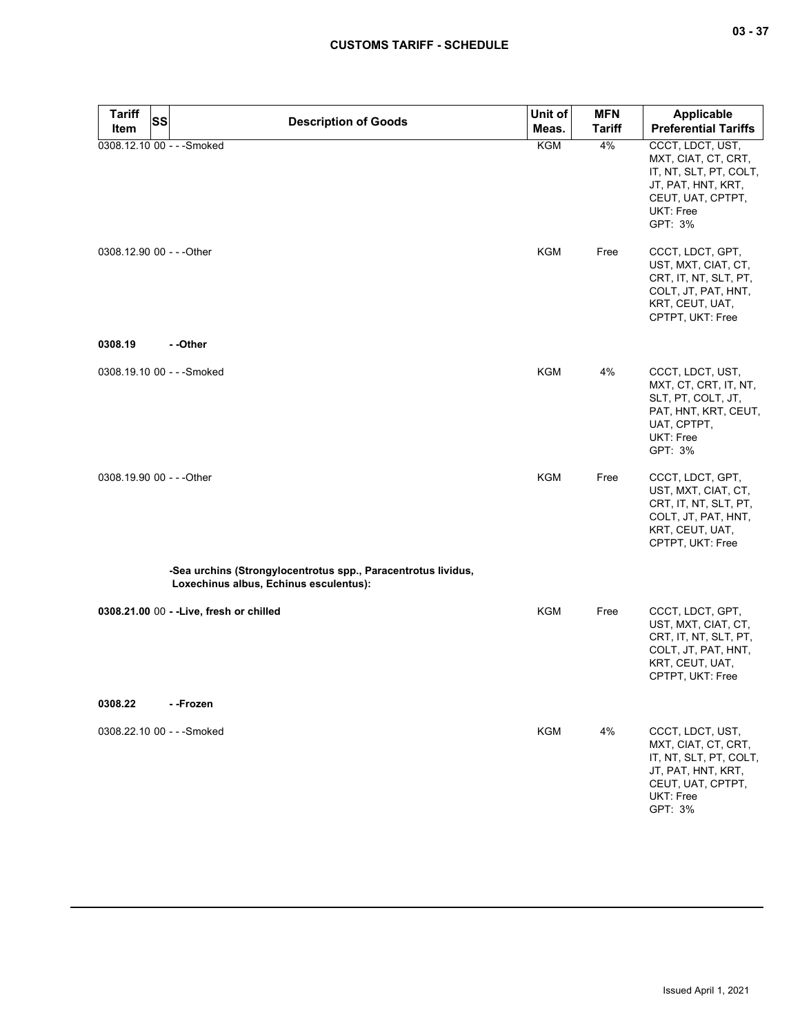| <b>Tariff</b><br>Item | <b>SS</b><br><b>Description of Goods</b>                                                   | Unit of    | <b>MFN</b>    | <b>Applicable</b>                                                                                                                    |
|-----------------------|--------------------------------------------------------------------------------------------|------------|---------------|--------------------------------------------------------------------------------------------------------------------------------------|
|                       |                                                                                            | Meas.      | <b>Tariff</b> | <b>Preferential Tariffs</b>                                                                                                          |
|                       | 0308.12.10 00 - - - Smoked                                                                 | <b>KGM</b> | 4%            | CCCT, LDCT, UST,<br>MXT, CIAT, CT, CRT,<br>IT, NT, SLT, PT, COLT,<br>JT, PAT, HNT, KRT,<br>CEUT, UAT, CPTPT,<br>UKT: Free<br>GPT: 3% |
|                       | 0308.12.90 00 - - - Other                                                                  | KGM        | Free          | CCCT, LDCT, GPT,<br>UST, MXT, CIAT, CT,<br>CRT, IT, NT, SLT, PT,<br>COLT, JT, PAT, HNT,<br>KRT, CEUT, UAT,<br>CPTPT, UKT: Free       |
| 0308.19               | --Other                                                                                    |            |               |                                                                                                                                      |
|                       | 0308.19.10 00 - - - Smoked                                                                 | <b>KGM</b> | 4%            | CCCT, LDCT, UST,<br>MXT, CT, CRT, IT, NT,<br>SLT, PT, COLT, JT,<br>PAT, HNT, KRT, CEUT,<br>UAT, CPTPT,<br>UKT: Free<br>GPT: 3%       |
|                       | 0308.19.90 00 - - - Other<br>-Sea urchins (Strongylocentrotus spp., Paracentrotus lividus, | <b>KGM</b> | Free          | CCCT, LDCT, GPT,<br>UST, MXT, CIAT, CT,<br>CRT, IT, NT, SLT, PT,<br>COLT, JT, PAT, HNT,<br>KRT, CEUT, UAT,<br>CPTPT, UKT: Free       |
|                       | Loxechinus albus, Echinus esculentus):                                                     |            |               |                                                                                                                                      |
|                       | 0308.21.00 00 - - Live, fresh or chilled                                                   | <b>KGM</b> | Free          | CCCT, LDCT, GPT,<br>UST, MXT, CIAT, CT,<br>CRT, IT, NT, SLT, PT,<br>COLT, JT, PAT, HNT,<br>KRT, CEUT, UAT,<br>CPTPT, UKT: Free       |
| 0308.22               | --Frozen                                                                                   |            |               |                                                                                                                                      |
|                       | 0308.22.10 00 - - - Smoked                                                                 | <b>KGM</b> | 4%            | CCCT, LDCT, UST,<br>MXT, CIAT, CT, CRT,<br>IT, NT, SLT, PT, COLT,<br>JT, PAT, HNT, KRT,<br>CEUT, UAT, CPTPT,<br>UKT: Free<br>GPT: 3% |